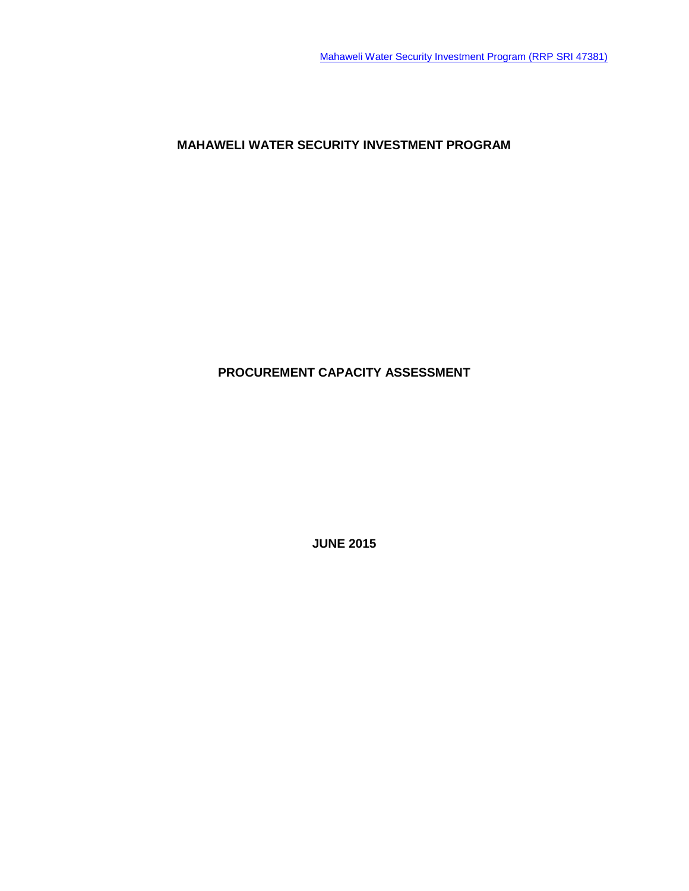**MAHAWELI WATER SECURITY INVESTMENT PROGRAM**

# **PROCUREMENT CAPACITY ASSESSMENT**

**JUNE 2015**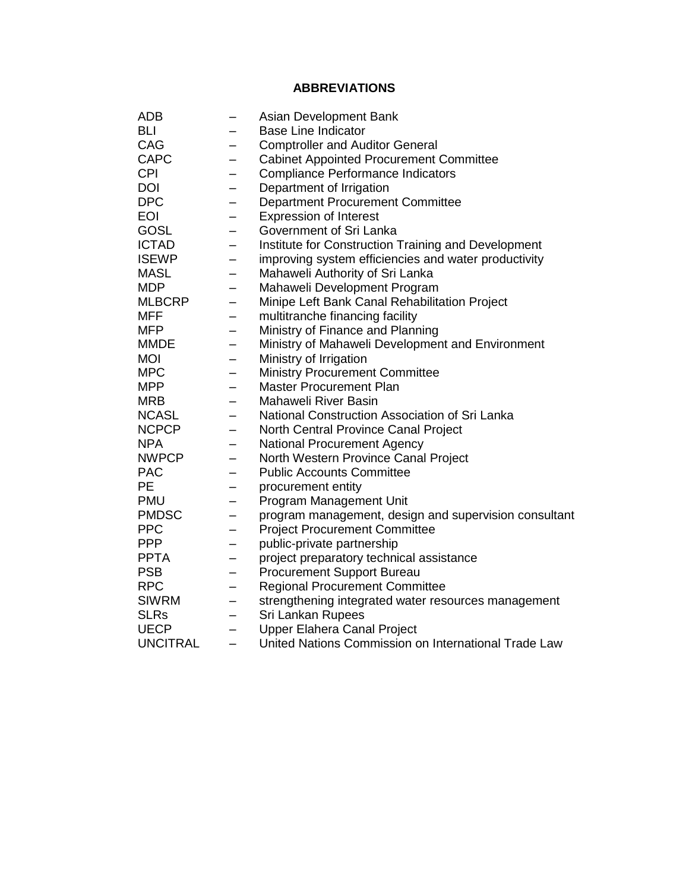# **ABBREVIATIONS**

| <b>ADB</b>      |   | Asian Development Bank                                |
|-----------------|---|-------------------------------------------------------|
| BLI             |   | <b>Base Line Indicator</b>                            |
| CAG             |   | <b>Comptroller and Auditor General</b>                |
| <b>CAPC</b>     | - | <b>Cabinet Appointed Procurement Committee</b>        |
| <b>CPI</b>      |   | <b>Compliance Performance Indicators</b>              |
| <b>DOI</b>      |   | Department of Irrigation                              |
| <b>DPC</b>      | — | <b>Department Procurement Committee</b>               |
| <b>EOI</b>      | — | <b>Expression of Interest</b>                         |
| GOSL            |   | Government of Sri Lanka                               |
| <b>ICTAD</b>    |   | Institute for Construction Training and Development   |
| <b>ISEWP</b>    | - | improving system efficiencies and water productivity  |
| <b>MASL</b>     |   | Mahaweli Authority of Sri Lanka                       |
| <b>MDP</b>      |   | Mahaweli Development Program                          |
| <b>MLBCRP</b>   |   | Minipe Left Bank Canal Rehabilitation Project         |
| <b>MFF</b>      |   | multitranche financing facility                       |
| <b>MFP</b>      |   | Ministry of Finance and Planning                      |
| <b>MMDE</b>     |   | Ministry of Mahaweli Development and Environment      |
| <b>MOI</b>      | - | Ministry of Irrigation                                |
| <b>MPC</b>      | — | <b>Ministry Procurement Committee</b>                 |
| <b>MPP</b>      |   | <b>Master Procurement Plan</b>                        |
| <b>MRB</b>      | — | <b>Mahaweli River Basin</b>                           |
| <b>NCASL</b>    | — | National Construction Association of Sri Lanka        |
| <b>NCPCP</b>    | — | North Central Province Canal Project                  |
| <b>NPA</b>      | — | <b>National Procurement Agency</b>                    |
| <b>NWPCP</b>    | — | North Western Province Canal Project                  |
| <b>PAC</b>      | - | <b>Public Accounts Committee</b>                      |
| <b>PE</b>       | - | procurement entity                                    |
| <b>PMU</b>      | — | Program Management Unit                               |
| <b>PMDSC</b>    | - | program management, design and supervision consultant |
| <b>PPC</b>      |   | <b>Project Procurement Committee</b>                  |
| <b>PPP</b>      | - | public-private partnership                            |
| <b>PPTA</b>     | — | project preparatory technical assistance              |
| <b>PSB</b>      | — | Procurement Support Bureau                            |
| <b>RPC</b>      | — | <b>Regional Procurement Committee</b>                 |
| <b>SIWRM</b>    |   | strengthening integrated water resources management   |
| <b>SLRs</b>     | — | Sri Lankan Rupees                                     |
| <b>UECP</b>     | — | <b>Upper Elahera Canal Project</b>                    |
| <b>UNCITRAL</b> |   | United Nations Commission on International Trade Law  |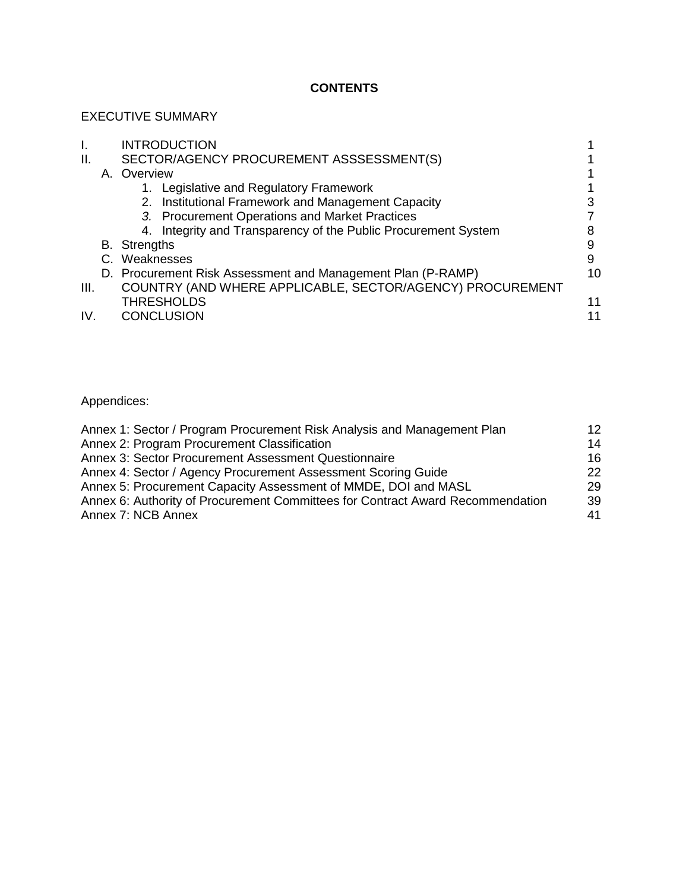## **CONTENTS**

# EXECUTIVE SUMMARY

|      | <b>INTRODUCTION</b>                                            |    |
|------|----------------------------------------------------------------|----|
| Ш.   | SECTOR/AGENCY PROCUREMENT ASSSESSMENT(S)                       |    |
|      | A. Overview                                                    |    |
|      | 1. Legislative and Regulatory Framework                        |    |
|      | 2. Institutional Framework and Management Capacity             |    |
|      | 3. Procurement Operations and Market Practices                 |    |
|      | 4. Integrity and Transparency of the Public Procurement System |    |
|      | <b>B.</b> Strengths                                            | 9  |
|      | C. Weaknesses                                                  | 9  |
|      | D. Procurement Risk Assessment and Management Plan (P-RAMP)    | 10 |
| III. | COUNTRY (AND WHERE APPLICABLE, SECTOR/AGENCY) PROCUREMENT      |    |
|      | <b>THRESHOLDS</b>                                              | 11 |
| IV.  | <b>CONCLUSION</b>                                              | 11 |
|      |                                                                |    |

Appendices:

| Annex 1: Sector / Program Procurement Risk Analysis and Management Plan        | 12 |
|--------------------------------------------------------------------------------|----|
| Annex 2: Program Procurement Classification                                    | 14 |
| Annex 3: Sector Procurement Assessment Questionnaire                           | 16 |
| Annex 4: Sector / Agency Procurement Assessment Scoring Guide                  | 22 |
| Annex 5: Procurement Capacity Assessment of MMDE, DOI and MASL                 | 29 |
| Annex 6: Authority of Procurement Committees for Contract Award Recommendation | 39 |
| Annex 7: NCB Annex                                                             | 41 |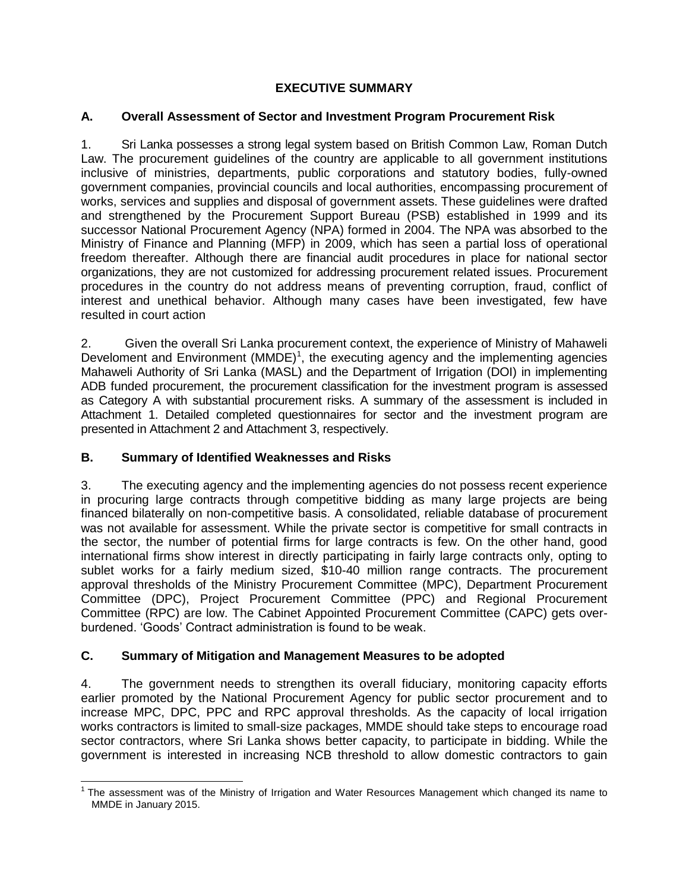### **EXECUTIVE SUMMARY**

### **A. Overall Assessment of Sector and Investment Program Procurement Risk**

1. Sri Lanka possesses a strong legal system based on British Common Law, Roman Dutch Law. The procurement guidelines of the country are applicable to all government institutions inclusive of ministries, departments, public corporations and statutory bodies, fully-owned government companies, provincial councils and local authorities, encompassing procurement of works, services and supplies and disposal of government assets. These guidelines were drafted and strengthened by the Procurement Support Bureau (PSB) established in 1999 and its successor National Procurement Agency (NPA) formed in 2004. The NPA was absorbed to the Ministry of Finance and Planning (MFP) in 2009, which has seen a partial loss of operational freedom thereafter. Although there are financial audit procedures in place for national sector organizations, they are not customized for addressing procurement related issues. Procurement procedures in the country do not address means of preventing corruption, fraud, conflict of interest and unethical behavior. Although many cases have been investigated, few have resulted in court action

2. Given the overall Sri Lanka procurement context, the experience of Ministry of Mahaweli Develoment and Environment  $(MMDE)^1$ , the executing agency and the implementing agencies Mahaweli Authority of Sri Lanka (MASL) and the Department of Irrigation (DOI) in implementing ADB funded procurement, the procurement classification for the investment program is assessed as Category A with substantial procurement risks. A summary of the assessment is included in Attachment 1. Detailed completed questionnaires for sector and the investment program are presented in Attachment 2 and Attachment 3, respectively.

### **B. Summary of Identified Weaknesses and Risks**

3. The executing agency and the implementing agencies do not possess recent experience in procuring large contracts through competitive bidding as many large projects are being financed bilaterally on non-competitive basis. A consolidated, reliable database of procurement was not available for assessment. While the private sector is competitive for small contracts in the sector, the number of potential firms for large contracts is few. On the other hand, good international firms show interest in directly participating in fairly large contracts only, opting to sublet works for a fairly medium sized, \$10-40 million range contracts. The procurement approval thresholds of the Ministry Procurement Committee (MPC), Department Procurement Committee (DPC), Project Procurement Committee (PPC) and Regional Procurement Committee (RPC) are low. The Cabinet Appointed Procurement Committee (CAPC) gets overburdened. 'Goods' Contract administration is found to be weak.

### **C. Summary of Mitigation and Management Measures to be adopted**

4. The government needs to strengthen its overall fiduciary, monitoring capacity efforts earlier promoted by the National Procurement Agency for public sector procurement and to increase MPC, DPC, PPC and RPC approval thresholds. As the capacity of local irrigation works contractors is limited to small-size packages, MMDE should take steps to encourage road sector contractors, where Sri Lanka shows better capacity, to participate in bidding. While the government is interested in increasing NCB threshold to allow domestic contractors to gain

 $\overline{a}$ <sup>1</sup> The assessment was of the Ministry of Irrigation and Water Resources Management which changed its name to MMDE in January 2015.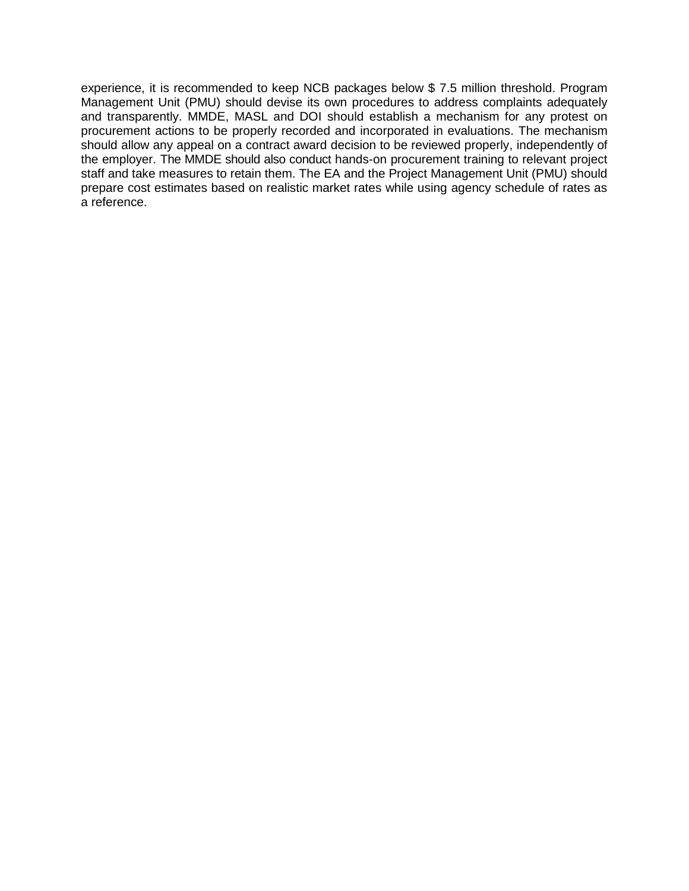experience, it is recommended to keep NCB packages below \$ 7.5 million threshold. Program Management Unit (PMU) should devise its own procedures to address complaints adequately and transparently. MMDE, MASL and DOI should establish a mechanism for any protest on procurement actions to be properly recorded and incorporated in evaluations. The mechanism should allow any appeal on a contract award decision to be reviewed properly, independently of the employer. The MMDE should also conduct hands-on procurement training to relevant project staff and take measures to retain them. The EA and the Project Management Unit (PMU) should prepare cost estimates based on realistic market rates while using agency schedule of rates as a reference.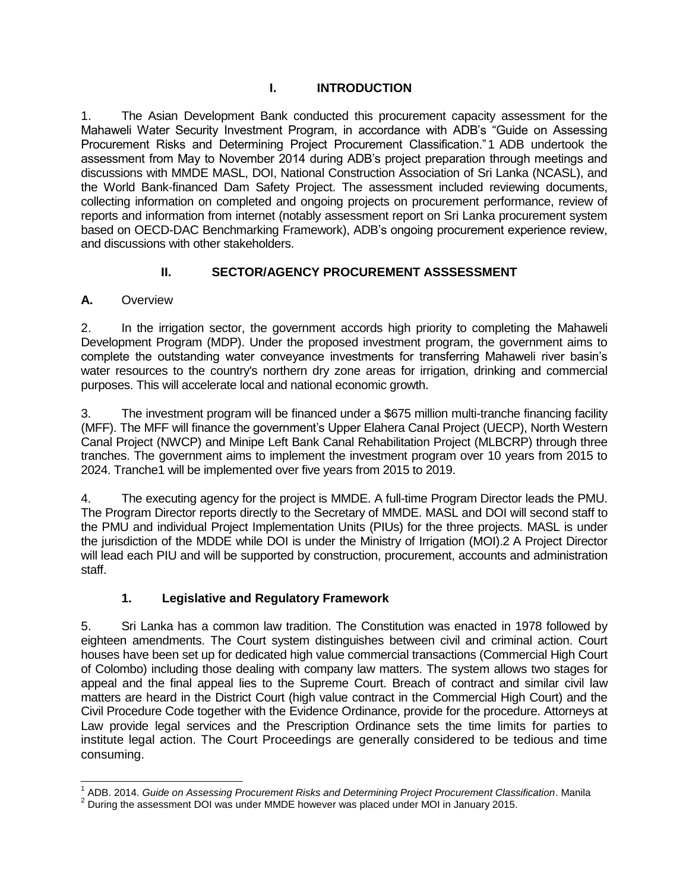### **I. INTRODUCTION**

1. The Asian Development Bank conducted this procurement capacity assessment for the Mahaweli Water Security Investment Program, in accordance with ADB's "Guide on Assessing Procurement Risks and Determining Project Procurement Classification."1 ADB undertook the assessment from May to November 2014 during ADB's project preparation through meetings and discussions with MMDE MASL, DOI, National Construction Association of Sri Lanka (NCASL), and the World Bank-financed Dam Safety Project. The assessment included reviewing documents, collecting information on completed and ongoing projects on procurement performance, review of reports and information from internet (notably assessment report on Sri Lanka procurement system based on OECD-DAC Benchmarking Framework), ADB's ongoing procurement experience review, and discussions with other stakeholders.

# **II. SECTOR/AGENCY PROCUREMENT ASSSESSMENT**

## **A.** Overview

2. In the irrigation sector, the government accords high priority to completing the Mahaweli Development Program (MDP). Under the proposed investment program, the government aims to complete the outstanding water conveyance investments for transferring Mahaweli river basin's water resources to the country's northern dry zone areas for irrigation, drinking and commercial purposes. This will accelerate local and national economic growth.

3. The investment program will be financed under a \$675 million multi-tranche financing facility (MFF). The MFF will finance the government's Upper Elahera Canal Project (UECP), North Western Canal Project (NWCP) and Minipe Left Bank Canal Rehabilitation Project (MLBCRP) through three tranches. The government aims to implement the investment program over 10 years from 2015 to 2024. Tranche1 will be implemented over five years from 2015 to 2019.

4. The executing agency for the project is MMDE. A full-time Program Director leads the PMU. The Program Director reports directly to the Secretary of MMDE. MASL and DOI will second staff to the PMU and individual Project Implementation Units (PIUs) for the three projects. MASL is under the jurisdiction of the MDDE while DOI is under the Ministry of Irrigation (MOI).2 A Project Director will lead each PIU and will be supported by construction, procurement, accounts and administration staff.

# **1. Legislative and Regulatory Framework**

5. Sri Lanka has a common law tradition. The Constitution was enacted in 1978 followed by eighteen amendments. The Court system distinguishes between civil and criminal action. Court houses have been set up for dedicated high value commercial transactions (Commercial High Court of Colombo) including those dealing with company law matters. The system allows two stages for appeal and the final appeal lies to the Supreme Court. Breach of contract and similar civil law matters are heard in the District Court (high value contract in the Commercial High Court) and the Civil Procedure Code together with the Evidence Ordinance, provide for the procedure. Attorneys at Law provide legal services and the Prescription Ordinance sets the time limits for parties to institute legal action. The Court Proceedings are generally considered to be tedious and time consuming.

 $\overline{a}$ <sup>1</sup> ADB. 2014. *Guide on Assessing Procurement Risks and Determining Project Procurement Classification. Manila* 

 $2$  During the assessment DOI was under MMDE however was placed under MOI in January 2015.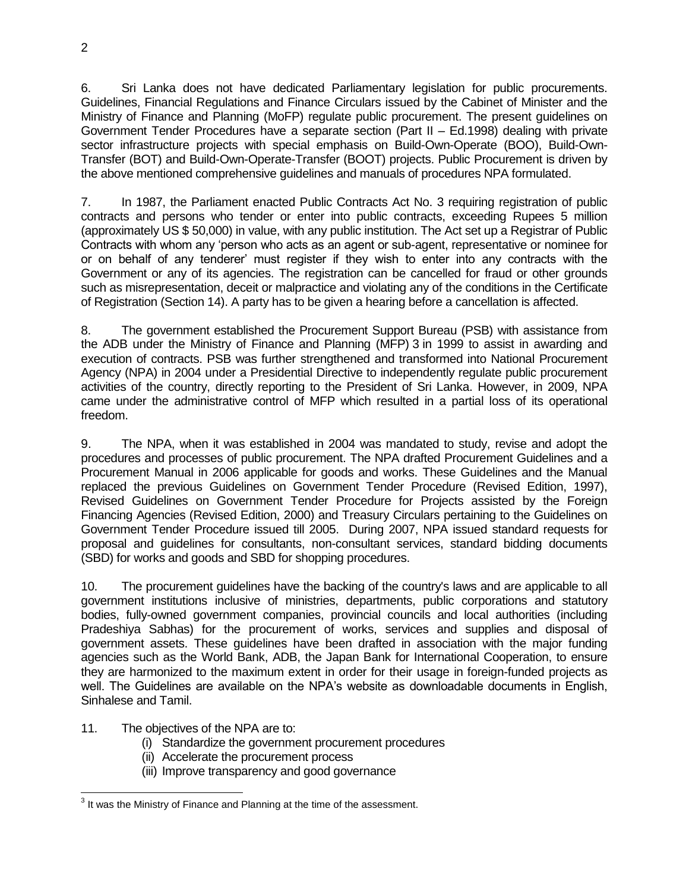6. Sri Lanka does not have dedicated Parliamentary legislation for public procurements. Guidelines, Financial Regulations and Finance Circulars issued by the Cabinet of Minister and the Ministry of Finance and Planning (MoFP) regulate public procurement. The present guidelines on Government Tender Procedures have a separate section (Part II – Ed.1998) dealing with private sector infrastructure projects with special emphasis on Build-Own-Operate (BOO), Build-Own-Transfer (BOT) and Build-Own-Operate-Transfer (BOOT) projects. Public Procurement is driven by the above mentioned comprehensive guidelines and manuals of procedures NPA formulated.

7. In 1987, the Parliament enacted Public Contracts Act No. 3 requiring registration of public contracts and persons who tender or enter into public contracts, exceeding Rupees 5 million (approximately US \$ 50,000) in value, with any public institution. The Act set up a Registrar of Public Contracts with whom any 'person who acts as an agent or sub-agent, representative or nominee for or on behalf of any tenderer' must register if they wish to enter into any contracts with the Government or any of its agencies. The registration can be cancelled for fraud or other grounds such as misrepresentation, deceit or malpractice and violating any of the conditions in the Certificate of Registration (Section 14). A party has to be given a hearing before a cancellation is affected.

8. The government established the Procurement Support Bureau (PSB) with assistance from the ADB under the Ministry of Finance and Planning (MFP) 3 in 1999 to assist in awarding and execution of contracts. PSB was further strengthened and transformed into National Procurement Agency (NPA) in 2004 under a Presidential Directive to independently regulate public procurement activities of the country, directly reporting to the President of Sri Lanka. However, in 2009, NPA came under the administrative control of MFP which resulted in a partial loss of its operational freedom.

9. The NPA, when it was established in 2004 was mandated to study, revise and adopt the procedures and processes of public procurement. The NPA drafted Procurement Guidelines and a Procurement Manual in 2006 applicable for goods and works. These Guidelines and the Manual replaced the previous Guidelines on Government Tender Procedure (Revised Edition, 1997), Revised Guidelines on Government Tender Procedure for Projects assisted by the Foreign Financing Agencies (Revised Edition, 2000) and Treasury Circulars pertaining to the Guidelines on Government Tender Procedure issued till 2005. During 2007, NPA issued standard requests for proposal and guidelines for consultants, non-consultant services, standard bidding documents (SBD) for works and goods and SBD for shopping procedures.

10. The procurement guidelines have the backing of the country's laws and are applicable to all government institutions inclusive of ministries, departments, public corporations and statutory bodies, fully-owned government companies, provincial councils and local authorities (including Pradeshiya Sabhas) for the procurement of works, services and supplies and disposal of government assets. These guidelines have been drafted in association with the major funding agencies such as the World Bank, ADB, the Japan Bank for International Cooperation, to ensure they are harmonized to the maximum extent in order for their usage in foreign-funded projects as well. The Guidelines are available on the NPA's website as downloadable documents in English, Sinhalese and Tamil.

#### 11. The objectives of the NPA are to:

- (i) Standardize the government procurement procedures
- (ii) Accelerate the procurement process
- (iii) Improve transparency and good governance

**Fig. 2**<br><sup>3</sup> It was the Ministry of Finance and Planning at the time of the assessment.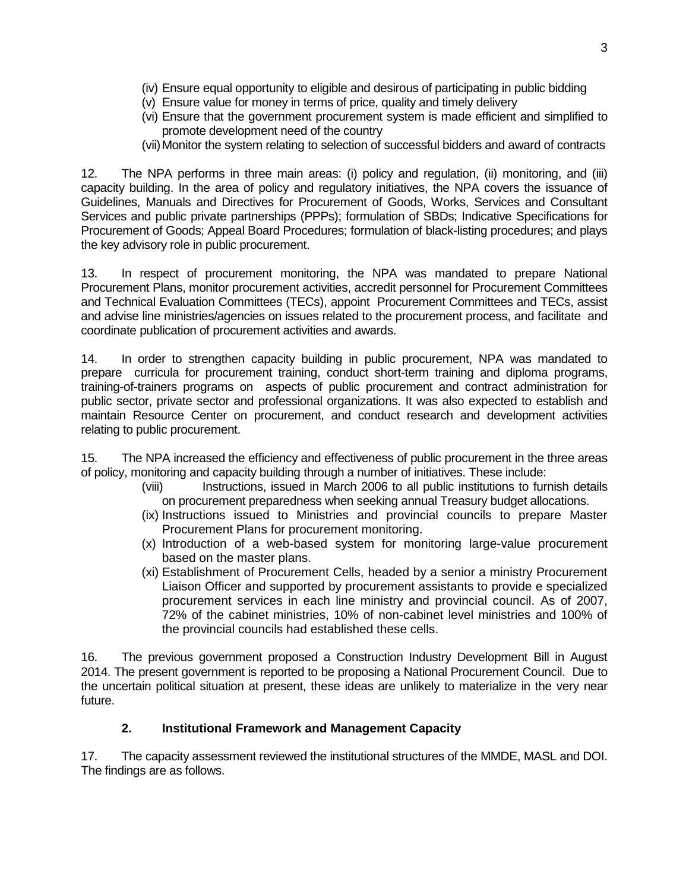- (iv) Ensure equal opportunity to eligible and desirous of participating in public bidding
- (v) Ensure value for money in terms of price, quality and timely delivery
- (vi) Ensure that the government procurement system is made efficient and simplified to promote development need of the country
- (vii)Monitor the system relating to selection of successful bidders and award of contracts

12. The NPA performs in three main areas: (i) policy and regulation, (ii) monitoring, and (iii) capacity building. In the area of policy and regulatory initiatives, the NPA covers the issuance of Guidelines, Manuals and Directives for Procurement of Goods, Works, Services and Consultant Services and public private partnerships (PPPs); formulation of SBDs; Indicative Specifications for Procurement of Goods; Appeal Board Procedures; formulation of black-listing procedures; and plays the key advisory role in public procurement.

13. In respect of procurement monitoring, the NPA was mandated to prepare National Procurement Plans, monitor procurement activities, accredit personnel for Procurement Committees and Technical Evaluation Committees (TECs), appoint Procurement Committees and TECs, assist and advise line ministries/agencies on issues related to the procurement process, and facilitate and coordinate publication of procurement activities and awards.

14. In order to strengthen capacity building in public procurement, NPA was mandated to prepare curricula for procurement training, conduct short-term training and diploma programs, training-of-trainers programs on aspects of public procurement and contract administration for public sector, private sector and professional organizations. It was also expected to establish and maintain Resource Center on procurement, and conduct research and development activities relating to public procurement.

15. The NPA increased the efficiency and effectiveness of public procurement in the three areas of policy, monitoring and capacity building through a number of initiatives. These include:

- (viii) Instructions, issued in March 2006 to all public institutions to furnish details on procurement preparedness when seeking annual Treasury budget allocations.
- (ix) Instructions issued to Ministries and provincial councils to prepare Master Procurement Plans for procurement monitoring.
- (x) Introduction of a web-based system for monitoring large-value procurement based on the master plans.
- (xi) Establishment of Procurement Cells, headed by a senior a ministry Procurement Liaison Officer and supported by procurement assistants to provide e specialized procurement services in each line ministry and provincial council. As of 2007, 72% of the cabinet ministries, 10% of non-cabinet level ministries and 100% of the provincial councils had established these cells.

16. The previous government proposed a Construction Industry Development Bill in August 2014. The present government is reported to be proposing a National Procurement Council. Due to the uncertain political situation at present, these ideas are unlikely to materialize in the very near future.

### **2. Institutional Framework and Management Capacity**

17. The capacity assessment reviewed the institutional structures of the MMDE, MASL and DOI. The findings are as follows.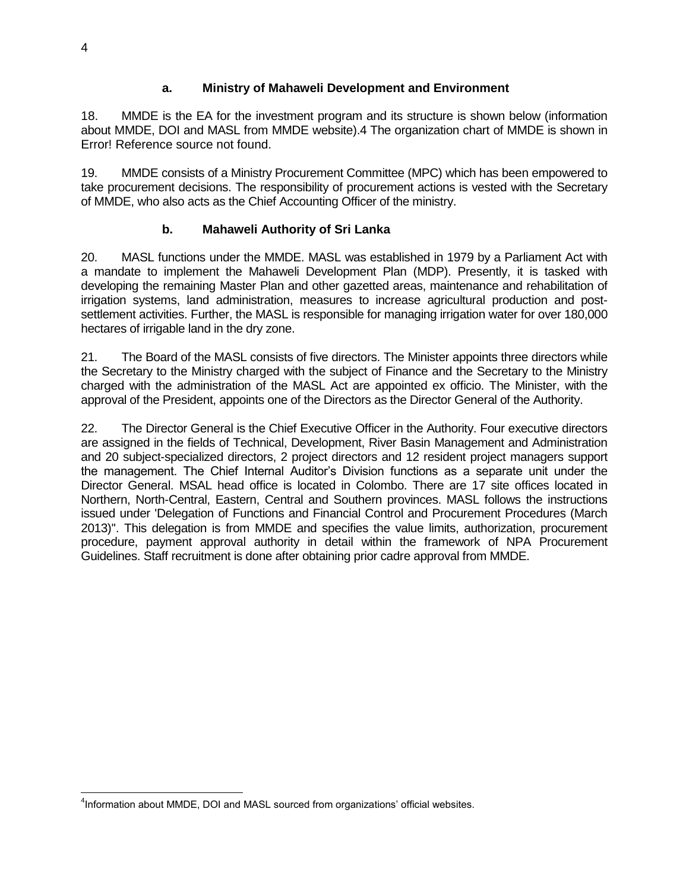### **a. Ministry of Mahaweli Development and Environment**

18. MMDE is the EA for the investment program and its structure is shown below (information about MMDE, DOI and MASL from MMDE website).4 The organization chart of MMDE is shown in Error! Reference source not found.

19. MMDE consists of a Ministry Procurement Committee (MPC) which has been empowered to take procurement decisions. The responsibility of procurement actions is vested with the Secretary of MMDE, who also acts as the Chief Accounting Officer of the ministry.

### **b. Mahaweli Authority of Sri Lanka**

20. MASL functions under the MMDE. MASL was established in 1979 by a Parliament Act with a mandate to implement the Mahaweli Development Plan (MDP). Presently, it is tasked with developing the remaining Master Plan and other gazetted areas, maintenance and rehabilitation of irrigation systems, land administration, measures to increase agricultural production and postsettlement activities. Further, the MASL is responsible for managing irrigation water for over 180,000 hectares of irrigable land in the dry zone.

21. The Board of the MASL consists of five directors. The Minister appoints three directors while the Secretary to the Ministry charged with the subject of Finance and the Secretary to the Ministry charged with the administration of the MASL Act are appointed ex officio. The Minister, with the approval of the President, appoints one of the Directors as the Director General of the Authority.

22. The Director General is the Chief Executive Officer in the Authority. Four executive directors are assigned in the fields of Technical, Development, River Basin Management and Administration and 20 subject-specialized directors, 2 project directors and 12 resident project managers support the management. The Chief Internal Auditor's Division functions as a separate unit under the Director General. MSAL head office is located in Colombo. There are 17 site offices located in Northern, North-Central, Eastern, Central and Southern provinces. MASL follows the instructions issued under 'Delegation of Functions and Financial Control and Procurement Procedures (March 2013)''. This delegation is from MMDE and specifies the value limits, authorization, procurement procedure, payment approval authority in detail within the framework of NPA Procurement Guidelines. Staff recruitment is done after obtaining prior cadre approval from MMDE.

 <sup>4</sup>Information about MMDE, DOI and MASL sourced from organizations' official websites.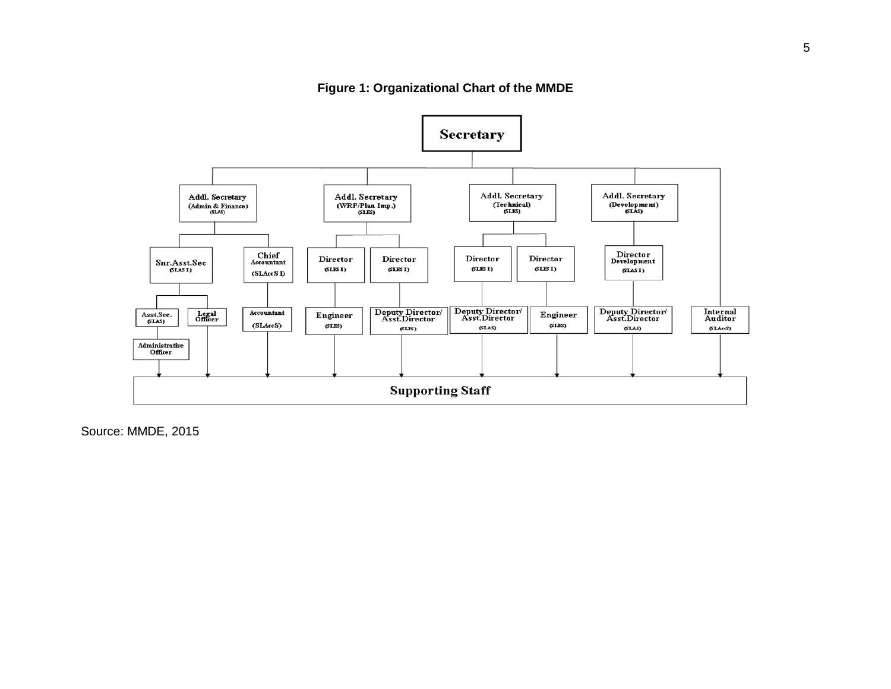

**Figure 1: Organizational Chart of the MMDE**

Source: MMDE, 2015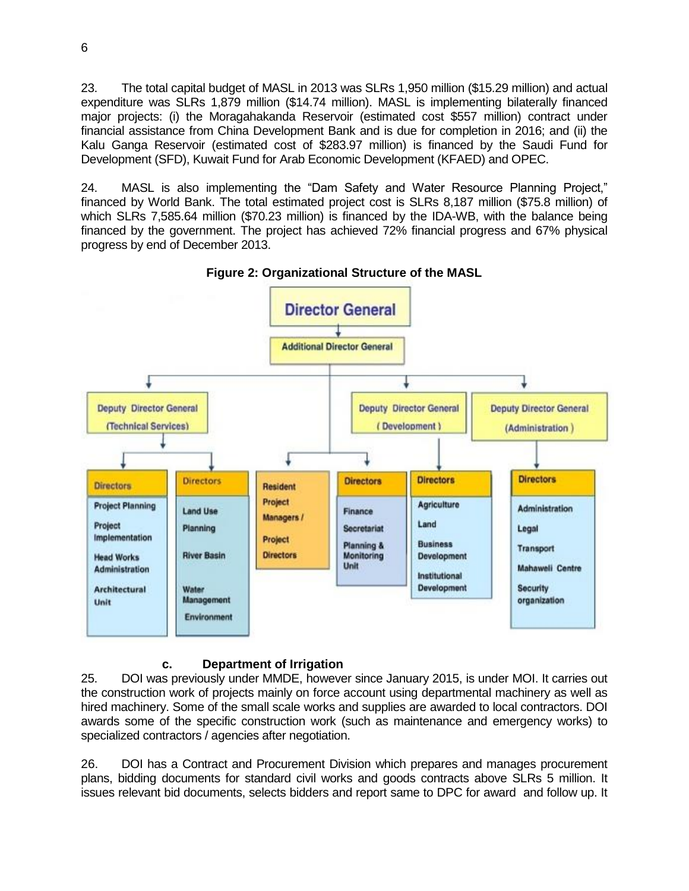23. The total capital budget of MASL in 2013 was SLRs 1,950 million (\$15.29 million) and actual expenditure was SLRs 1,879 million (\$14.74 million). MASL is implementing bilaterally financed major projects: (i) the Moragahakanda Reservoir (estimated cost \$557 million) contract under financial assistance from China Development Bank and is due for completion in 2016; and (ii) the Kalu Ganga Reservoir (estimated cost of \$283.97 million) is financed by the Saudi Fund for Development (SFD), Kuwait Fund for Arab Economic Development (KFAED) and OPEC.

24. MASL is also implementing the "Dam Safety and Water Resource Planning Project," financed by World Bank. The total estimated project cost is SLRs 8,187 million (\$75.8 million) of which SLRs 7,585.64 million (\$70.23 million) is financed by the IDA-WB, with the balance being financed by the government. The project has achieved 72% financial progress and 67% physical progress by end of December 2013.



**Figure 2: Organizational Structure of the MASL**

### **c. Department of Irrigation**

25. DOI was previously under MMDE, however since January 2015, is under MOI. It carries out the construction work of projects mainly on force account using departmental machinery as well as hired machinery. Some of the small scale works and supplies are awarded to local contractors. DOI awards some of the specific construction work (such as maintenance and emergency works) to specialized contractors / agencies after negotiation.

26. DOI has a Contract and Procurement Division which prepares and manages procurement plans, bidding documents for standard civil works and goods contracts above SLRs 5 million. It issues relevant bid documents, selects bidders and report same to DPC for award and follow up. It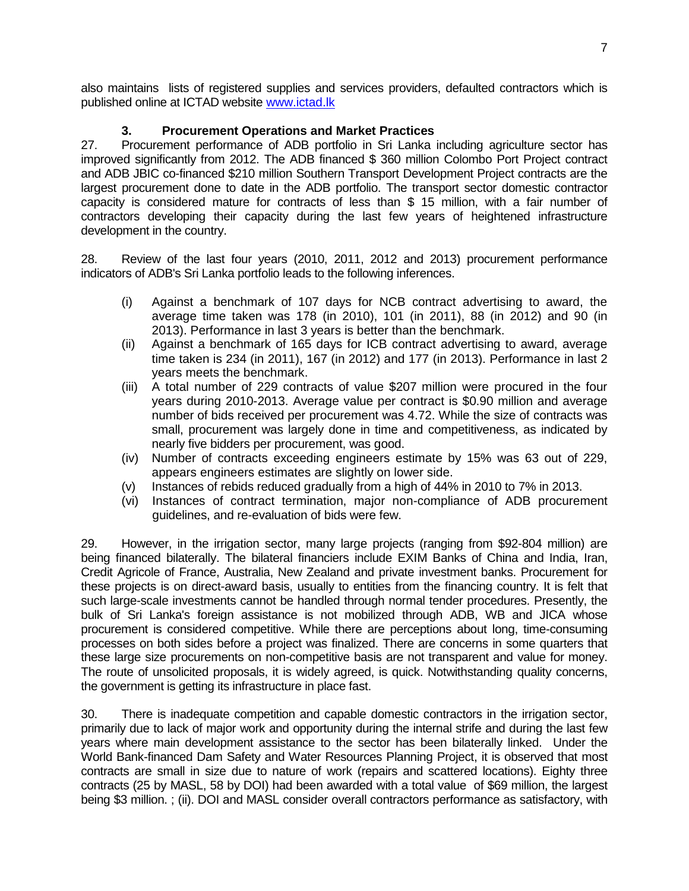also maintains lists of registered supplies and services providers, defaulted contractors which is published online at ICTAD website [www.ictad.lk](http://www.ictad.lk/)

### **3. Procurement Operations and Market Practices**

27. Procurement performance of ADB portfolio in Sri Lanka including agriculture sector has improved significantly from 2012. The ADB financed \$ 360 million Colombo Port Project contract and ADB JBIC co-financed \$210 million Southern Transport Development Project contracts are the largest procurement done to date in the ADB portfolio. The transport sector domestic contractor capacity is considered mature for contracts of less than \$ 15 million, with a fair number of contractors developing their capacity during the last few years of heightened infrastructure development in the country.

28. Review of the last four years (2010, 2011, 2012 and 2013) procurement performance indicators of ADB's Sri Lanka portfolio leads to the following inferences.

- (i) Against a benchmark of 107 days for NCB contract advertising to award, the average time taken was 178 (in 2010), 101 (in 2011), 88 (in 2012) and 90 (in 2013). Performance in last 3 years is better than the benchmark.
- (ii) Against a benchmark of 165 days for ICB contract advertising to award, average time taken is 234 (in 2011), 167 (in 2012) and 177 (in 2013). Performance in last 2 years meets the benchmark.
- (iii) A total number of 229 contracts of value \$207 million were procured in the four years during 2010-2013. Average value per contract is \$0.90 million and average number of bids received per procurement was 4.72. While the size of contracts was small, procurement was largely done in time and competitiveness, as indicated by nearly five bidders per procurement, was good.
- (iv) Number of contracts exceeding engineers estimate by 15% was 63 out of 229, appears engineers estimates are slightly on lower side.
- (v) Instances of rebids reduced gradually from a high of 44% in 2010 to 7% in 2013.
- (vi) Instances of contract termination, major non-compliance of ADB procurement guidelines, and re-evaluation of bids were few.

29. However, in the irrigation sector, many large projects (ranging from \$92-804 million) are being financed bilaterally. The bilateral financiers include EXIM Banks of China and India, Iran, Credit Agricole of France, Australia, New Zealand and private investment banks. Procurement for these projects is on direct-award basis, usually to entities from the financing country. It is felt that such large-scale investments cannot be handled through normal tender procedures. Presently, the bulk of Sri Lanka's foreign assistance is not mobilized through ADB, WB and JICA whose procurement is considered competitive. While there are perceptions about long, time-consuming processes on both sides before a project was finalized. There are concerns in some quarters that these large size procurements on non-competitive basis are not transparent and value for money. The route of unsolicited proposals, it is widely agreed, is quick. Notwithstanding quality concerns, the government is getting its infrastructure in place fast.

30. There is inadequate competition and capable domestic contractors in the irrigation sector, primarily due to lack of major work and opportunity during the internal strife and during the last few years where main development assistance to the sector has been bilaterally linked. Under the World Bank-financed Dam Safety and Water Resources Planning Project, it is observed that most contracts are small in size due to nature of work (repairs and scattered locations). Eighty three contracts (25 by MASL, 58 by DOI) had been awarded with a total value of \$69 million, the largest being \$3 million. ; (ii). DOI and MASL consider overall contractors performance as satisfactory, with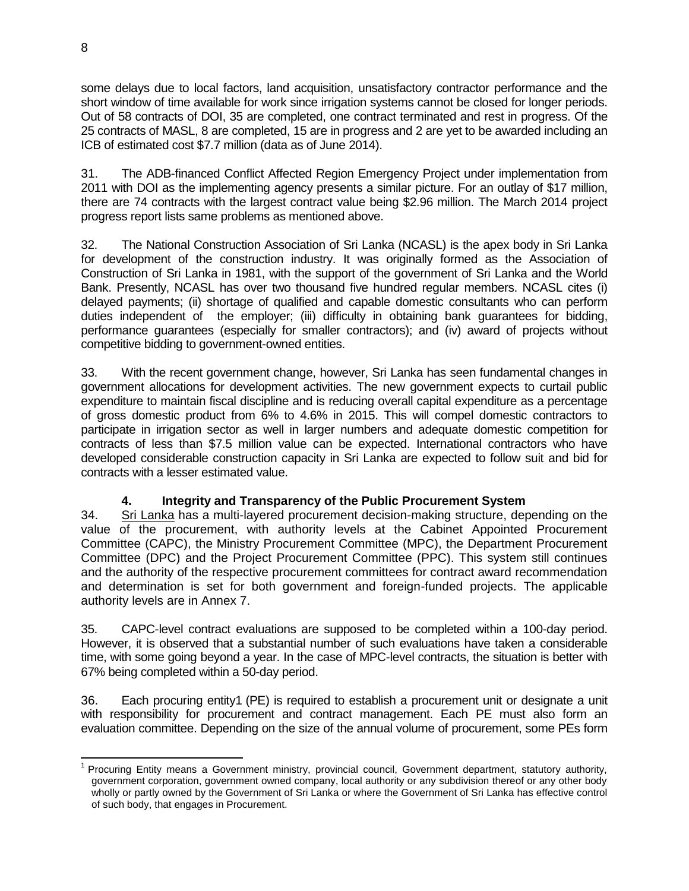some delays due to local factors, land acquisition, unsatisfactory contractor performance and the short window of time available for work since irrigation systems cannot be closed for longer periods. Out of 58 contracts of DOI, 35 are completed, one contract terminated and rest in progress. Of the 25 contracts of MASL, 8 are completed, 15 are in progress and 2 are yet to be awarded including an ICB of estimated cost \$7.7 million (data as of June 2014).

31. The ADB-financed Conflict Affected Region Emergency Project under implementation from 2011 with DOI as the implementing agency presents a similar picture. For an outlay of \$17 million, there are 74 contracts with the largest contract value being \$2.96 million. The March 2014 project progress report lists same problems as mentioned above.

32. The National Construction Association of Sri Lanka (NCASL) is the apex body in Sri Lanka for development of the construction industry. It was originally formed as the Association of Construction of Sri Lanka in 1981, with the support of the government of Sri Lanka and the World Bank. Presently, NCASL has over two thousand five hundred regular members. NCASL cites (i) delayed payments; (ii) shortage of qualified and capable domestic consultants who can perform duties independent of the employer; (iii) difficulty in obtaining bank guarantees for bidding, performance guarantees (especially for smaller contractors); and (iv) award of projects without competitive bidding to government-owned entities.

33. With the recent government change, however, Sri Lanka has seen fundamental changes in government allocations for development activities. The new government expects to curtail public expenditure to maintain fiscal discipline and is reducing overall capital expenditure as a percentage of gross domestic product from 6% to 4.6% in 2015. This will compel domestic contractors to participate in irrigation sector as well in larger numbers and adequate domestic competition for contracts of less than \$7.5 million value can be expected. International contractors who have developed considerable construction capacity in Sri Lanka are expected to follow suit and bid for contracts with a lesser estimated value.

### **4. Integrity and Transparency of the Public Procurement System**

34. Sri Lanka has a multi-layered procurement decision-making structure, depending on the value of the procurement, with authority levels at the Cabinet Appointed Procurement Committee (CAPC), the Ministry Procurement Committee (MPC), the Department Procurement Committee (DPC) and the Project Procurement Committee (PPC). This system still continues and the authority of the respective procurement committees for contract award recommendation and determination is set for both government and foreign-funded projects. The applicable authority levels are in Annex 7.

35. CAPC-level contract evaluations are supposed to be completed within a 100-day period. However, it is observed that a substantial number of such evaluations have taken a considerable time, with some going beyond a year. In the case of MPC-level contracts, the situation is better with 67% being completed within a 50-day period.

36. Each procuring entity1 (PE) is required to establish a procurement unit or designate a unit with responsibility for procurement and contract management. Each PE must also form an evaluation committee. Depending on the size of the annual volume of procurement, some PEs form

**ENET CONCO TE 1.1 To 2.1 To 2.1 To 2.1 To 2.1 To 2.1 To 2.1 To 2.1 To 2.1 To 2.1 To 2.1 To 2.1 To 2.1 To 2.1 T**<br><sup>1</sup> Procuring Entity means a Government ministry, provincial council, Government department, statutory author government corporation, government owned company, local authority or any subdivision thereof or any other body wholly or partly owned by the Government of Sri Lanka or where the Government of Sri Lanka has effective control of such body, that engages in Procurement.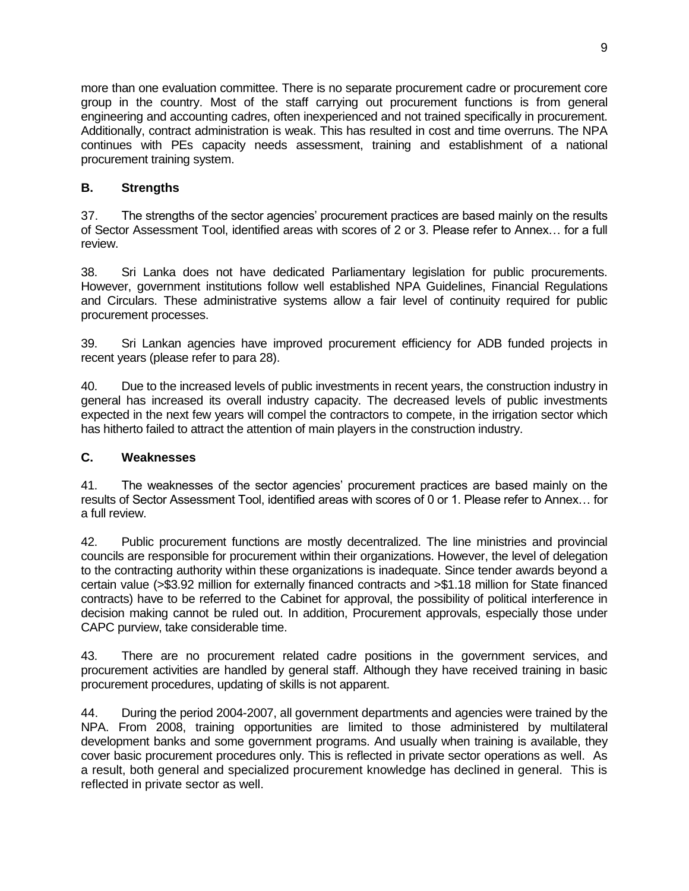more than one evaluation committee. There is no separate procurement cadre or procurement core group in the country. Most of the staff carrying out procurement functions is from general engineering and accounting cadres, often inexperienced and not trained specifically in procurement. Additionally, contract administration is weak. This has resulted in cost and time overruns. The NPA continues with PEs capacity needs assessment, training and establishment of a national procurement training system.

## **B. Strengths**

37. The strengths of the sector agencies' procurement practices are based mainly on the results of Sector Assessment Tool, identified areas with scores of 2 or 3. Please refer to Annex… for a full review.

38. Sri Lanka does not have dedicated Parliamentary legislation for public procurements. However, government institutions follow well established NPA Guidelines, Financial Regulations and Circulars. These administrative systems allow a fair level of continuity required for public procurement processes.

39. Sri Lankan agencies have improved procurement efficiency for ADB funded projects in recent years (please refer to para 28).

40. Due to the increased levels of public investments in recent years, the construction industry in general has increased its overall industry capacity. The decreased levels of public investments expected in the next few years will compel the contractors to compete, in the irrigation sector which has hitherto failed to attract the attention of main players in the construction industry.

### **C. Weaknesses**

41. The weaknesses of the sector agencies' procurement practices are based mainly on the results of Sector Assessment Tool, identified areas with scores of 0 or 1. Please refer to Annex… for a full review.

42. Public procurement functions are mostly decentralized. The line ministries and provincial councils are responsible for procurement within their organizations. However, the level of delegation to the contracting authority within these organizations is inadequate. Since tender awards beyond a certain value (>\$3.92 million for externally financed contracts and >\$1.18 million for State financed contracts) have to be referred to the Cabinet for approval, the possibility of political interference in decision making cannot be ruled out. In addition, Procurement approvals, especially those under CAPC purview, take considerable time.

43. There are no procurement related cadre positions in the government services, and procurement activities are handled by general staff. Although they have received training in basic procurement procedures, updating of skills is not apparent.

44. During the period 2004-2007, all government departments and agencies were trained by the NPA. From 2008, training opportunities are limited to those administered by multilateral development banks and some government programs. And usually when training is available, they cover basic procurement procedures only. This is reflected in private sector operations as well. As a result, both general and specialized procurement knowledge has declined in general. This is reflected in private sector as well.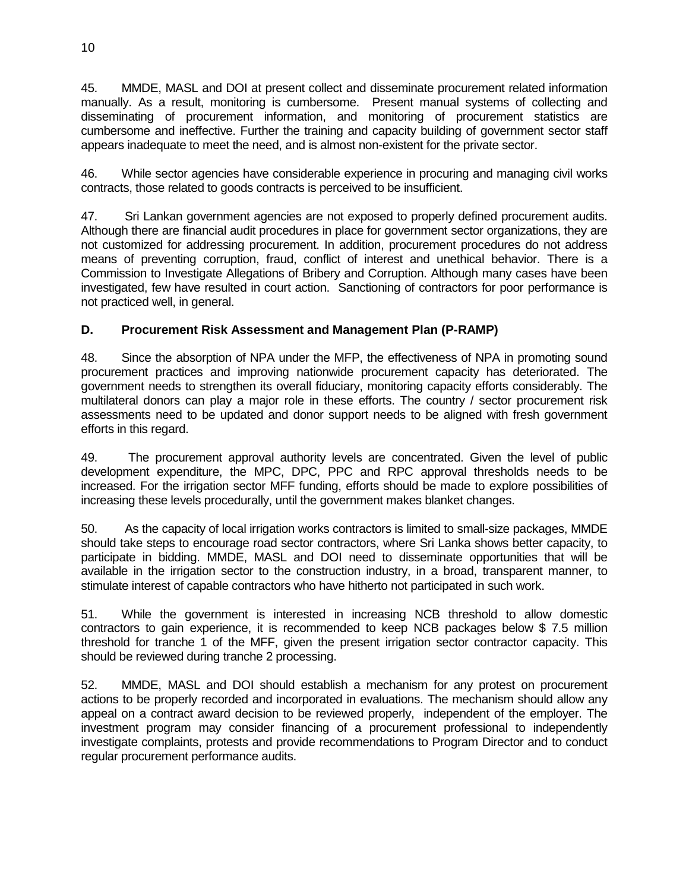45. MMDE, MASL and DOI at present collect and disseminate procurement related information manually. As a result, monitoring is cumbersome. Present manual systems of collecting and disseminating of procurement information, and monitoring of procurement statistics are cumbersome and ineffective. Further the training and capacity building of government sector staff appears inadequate to meet the need, and is almost non-existent for the private sector.

46. While sector agencies have considerable experience in procuring and managing civil works contracts, those related to goods contracts is perceived to be insufficient.

47. Sri Lankan government agencies are not exposed to properly defined procurement audits. Although there are financial audit procedures in place for government sector organizations, they are not customized for addressing procurement. In addition, procurement procedures do not address means of preventing corruption, fraud, conflict of interest and unethical behavior. There is a Commission to Investigate Allegations of Bribery and Corruption. Although many cases have been investigated, few have resulted in court action. Sanctioning of contractors for poor performance is not practiced well, in general.

## **D. Procurement Risk Assessment and Management Plan (P-RAMP)**

48. Since the absorption of NPA under the MFP, the effectiveness of NPA in promoting sound procurement practices and improving nationwide procurement capacity has deteriorated. The government needs to strengthen its overall fiduciary, monitoring capacity efforts considerably. The multilateral donors can play a major role in these efforts. The country / sector procurement risk assessments need to be updated and donor support needs to be aligned with fresh government efforts in this regard.

49. The procurement approval authority levels are concentrated. Given the level of public development expenditure, the MPC, DPC, PPC and RPC approval thresholds needs to be increased. For the irrigation sector MFF funding, efforts should be made to explore possibilities of increasing these levels procedurally, until the government makes blanket changes.

50. As the capacity of local irrigation works contractors is limited to small-size packages, MMDE should take steps to encourage road sector contractors, where Sri Lanka shows better capacity, to participate in bidding. MMDE, MASL and DOI need to disseminate opportunities that will be available in the irrigation sector to the construction industry, in a broad, transparent manner, to stimulate interest of capable contractors who have hitherto not participated in such work.

51. While the government is interested in increasing NCB threshold to allow domestic contractors to gain experience, it is recommended to keep NCB packages below \$ 7.5 million threshold for tranche 1 of the MFF, given the present irrigation sector contractor capacity. This should be reviewed during tranche 2 processing.

52. MMDE, MASL and DOI should establish a mechanism for any protest on procurement actions to be properly recorded and incorporated in evaluations. The mechanism should allow any appeal on a contract award decision to be reviewed properly, independent of the employer. The investment program may consider financing of a procurement professional to independently investigate complaints, protests and provide recommendations to Program Director and to conduct regular procurement performance audits.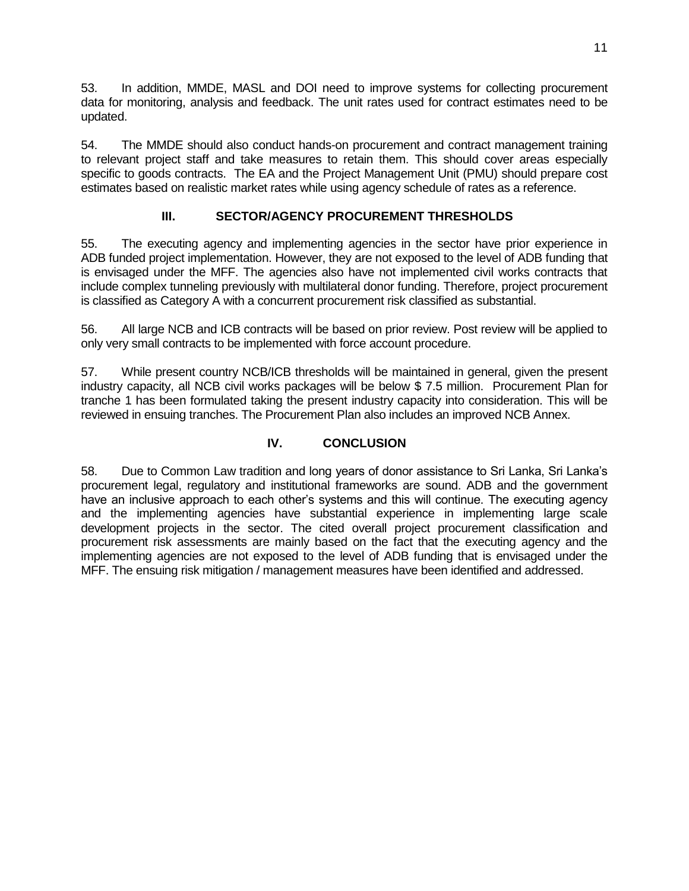53. In addition, MMDE, MASL and DOI need to improve systems for collecting procurement data for monitoring, analysis and feedback. The unit rates used for contract estimates need to be updated.

54. The MMDE should also conduct hands-on procurement and contract management training to relevant project staff and take measures to retain them. This should cover areas especially specific to goods contracts. The EA and the Project Management Unit (PMU) should prepare cost estimates based on realistic market rates while using agency schedule of rates as a reference.

# **III. SECTOR/AGENCY PROCUREMENT THRESHOLDS**

55. The executing agency and implementing agencies in the sector have prior experience in ADB funded project implementation. However, they are not exposed to the level of ADB funding that is envisaged under the MFF. The agencies also have not implemented civil works contracts that include complex tunneling previously with multilateral donor funding. Therefore, project procurement is classified as Category A with a concurrent procurement risk classified as substantial.

56. All large NCB and ICB contracts will be based on prior review. Post review will be applied to only very small contracts to be implemented with force account procedure.

57. While present country NCB/ICB thresholds will be maintained in general, given the present industry capacity, all NCB civil works packages will be below \$ 7.5 million. Procurement Plan for tranche 1 has been formulated taking the present industry capacity into consideration. This will be reviewed in ensuing tranches. The Procurement Plan also includes an improved NCB Annex.

### **IV. CONCLUSION**

58. Due to Common Law tradition and long years of donor assistance to Sri Lanka, Sri Lanka's procurement legal, regulatory and institutional frameworks are sound. ADB and the government have an inclusive approach to each other's systems and this will continue. The executing agency and the implementing agencies have substantial experience in implementing large scale development projects in the sector. The cited overall project procurement classification and procurement risk assessments are mainly based on the fact that the executing agency and the implementing agencies are not exposed to the level of ADB funding that is envisaged under the MFF. The ensuing risk mitigation / management measures have been identified and addressed.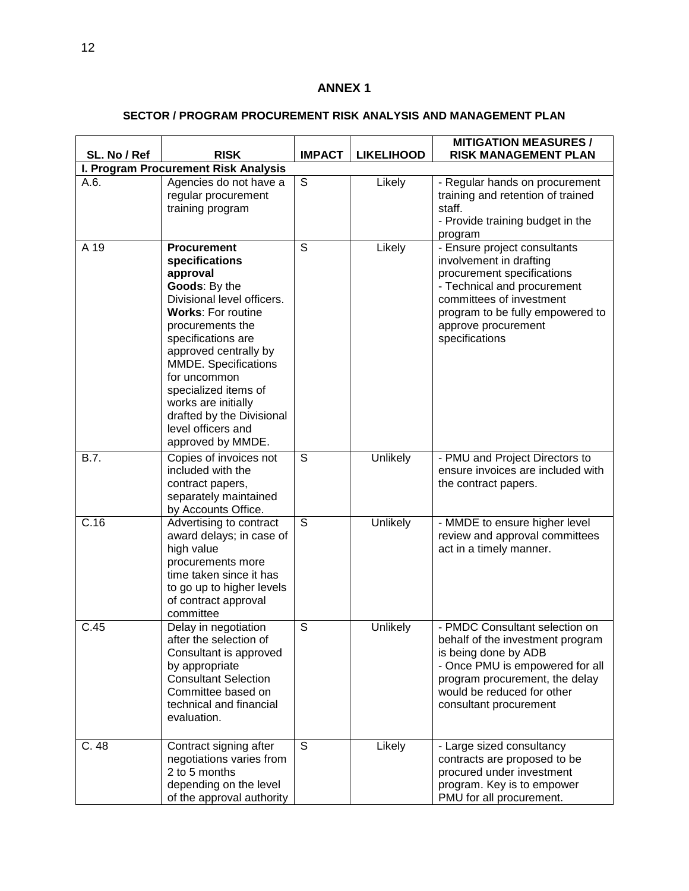### **ANNEX 1**

## **SECTOR / PROGRAM PROCUREMENT RISK ANALYSIS AND MANAGEMENT PLAN**

| SL. No / Ref | <b>RISK</b>                                                                                                                                                                                                                                                                                                                                                    | <b>IMPACT</b>  | <b>LIKELIHOOD</b> | <b>MITIGATION MEASURES /</b><br><b>RISK MANAGEMENT PLAN</b>                                                                                                                                                                   |
|--------------|----------------------------------------------------------------------------------------------------------------------------------------------------------------------------------------------------------------------------------------------------------------------------------------------------------------------------------------------------------------|----------------|-------------------|-------------------------------------------------------------------------------------------------------------------------------------------------------------------------------------------------------------------------------|
|              | I. Program Procurement Risk Analysis                                                                                                                                                                                                                                                                                                                           |                |                   |                                                                                                                                                                                                                               |
| A.6.         | Agencies do not have a<br>regular procurement<br>training program                                                                                                                                                                                                                                                                                              | $\mathsf S$    | Likely            | - Regular hands on procurement<br>training and retention of trained<br>staff.<br>- Provide training budget in the<br>program                                                                                                  |
| A 19         | <b>Procurement</b><br>specifications<br>approval<br>Goods: By the<br>Divisional level officers.<br><b>Works: For routine</b><br>procurements the<br>specifications are<br>approved centrally by<br>MMDE. Specifications<br>for uncommon<br>specialized items of<br>works are initially<br>drafted by the Divisional<br>level officers and<br>approved by MMDE. | $\overline{s}$ | Likely            | - Ensure project consultants<br>involvement in drafting<br>procurement specifications<br>- Technical and procurement<br>committees of investment<br>program to be fully empowered to<br>approve procurement<br>specifications |
| B.7.         | Copies of invoices not<br>included with the<br>contract papers,<br>separately maintained<br>by Accounts Office.                                                                                                                                                                                                                                                | $\overline{s}$ | Unlikely          | - PMU and Project Directors to<br>ensure invoices are included with<br>the contract papers.                                                                                                                                   |
| C.16         | Advertising to contract<br>award delays; in case of<br>high value<br>procurements more<br>time taken since it has<br>to go up to higher levels<br>of contract approval<br>committee                                                                                                                                                                            | S              | Unlikely          | - MMDE to ensure higher level<br>review and approval committees<br>act in a timely manner.                                                                                                                                    |
| C.45         | Delay in negotiation<br>after the selection of<br>Consultant is approved<br>by appropriate<br><b>Consultant Selection</b><br>Committee based on<br>technical and financial<br>evaluation.                                                                                                                                                                      | S              | Unlikely          | - PMDC Consultant selection on<br>behalf of the investment program<br>is being done by ADB<br>- Once PMU is empowered for all<br>program procurement, the delay<br>would be reduced for other<br>consultant procurement       |
| C.48         | Contract signing after<br>negotiations varies from<br>2 to 5 months<br>depending on the level<br>of the approval authority                                                                                                                                                                                                                                     | S              | Likely            | - Large sized consultancy<br>contracts are proposed to be<br>procured under investment<br>program. Key is to empower<br>PMU for all procurement.                                                                              |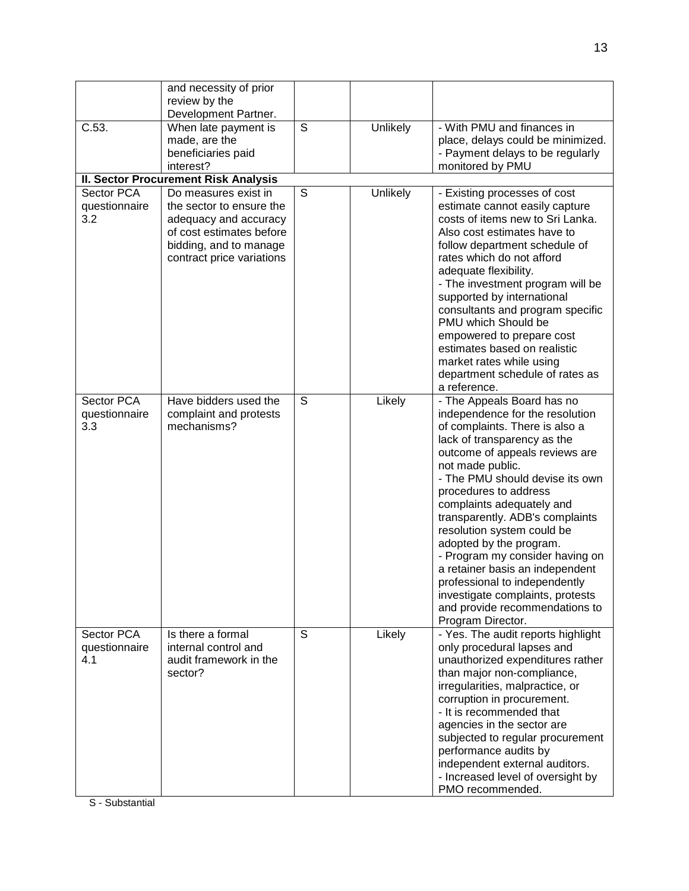|                      | and necessity of prior<br>review by the     |   |          |                                                                |
|----------------------|---------------------------------------------|---|----------|----------------------------------------------------------------|
|                      | Development Partner.                        |   |          |                                                                |
| C.53.                | When late payment is                        | S | Unlikely | - With PMU and finances in                                     |
|                      | made, are the                               |   |          | place, delays could be minimized.                              |
|                      | beneficiaries paid                          |   |          | - Payment delays to be regularly                               |
|                      | interest?                                   |   |          | monitored by PMU                                               |
|                      | <b>II. Sector Procurement Risk Analysis</b> |   |          |                                                                |
| Sector PCA           | Do measures exist in                        | S | Unlikely | - Existing processes of cost                                   |
| questionnaire        | the sector to ensure the                    |   |          | estimate cannot easily capture                                 |
| 3.2                  | adequacy and accuracy                       |   |          | costs of items new to Sri Lanka.                               |
|                      | of cost estimates before                    |   |          | Also cost estimates have to                                    |
|                      | bidding, and to manage                      |   |          | follow department schedule of                                  |
|                      | contract price variations                   |   |          | rates which do not afford                                      |
|                      |                                             |   |          | adequate flexibility.                                          |
|                      |                                             |   |          | - The investment program will be                               |
|                      |                                             |   |          | supported by international<br>consultants and program specific |
|                      |                                             |   |          | PMU which Should be                                            |
|                      |                                             |   |          | empowered to prepare cost                                      |
|                      |                                             |   |          | estimates based on realistic                                   |
|                      |                                             |   |          | market rates while using                                       |
|                      |                                             |   |          | department schedule of rates as                                |
|                      |                                             |   |          | a reference.                                                   |
| Sector PCA           | Have bidders used the                       | S | Likely   | - The Appeals Board has no                                     |
| questionnaire        | complaint and protests                      |   |          | independence for the resolution                                |
| 3.3                  | mechanisms?                                 |   |          | of complaints. There is also a                                 |
|                      |                                             |   |          | lack of transparency as the                                    |
|                      |                                             |   |          | outcome of appeals reviews are                                 |
|                      |                                             |   |          | not made public.<br>- The PMU should devise its own            |
|                      |                                             |   |          | procedures to address                                          |
|                      |                                             |   |          | complaints adequately and                                      |
|                      |                                             |   |          | transparently. ADB's complaints                                |
|                      |                                             |   |          | resolution system could be                                     |
|                      |                                             |   |          | adopted by the program.                                        |
|                      |                                             |   |          | - Program my consider having on                                |
|                      |                                             |   |          | a retainer basis an independent                                |
|                      |                                             |   |          | professional to independently                                  |
|                      |                                             |   |          | investigate complaints, protests                               |
|                      |                                             |   |          | and provide recommendations to                                 |
|                      |                                             |   |          | Program Director.                                              |
| Sector PCA           | Is there a formal                           | S | Likely   | - Yes. The audit reports highlight                             |
| questionnaire<br>4.1 | internal control and                        |   |          | only procedural lapses and                                     |
|                      | audit framework in the<br>sector?           |   |          | unauthorized expenditures rather<br>than major non-compliance, |
|                      |                                             |   |          | irregularities, malpractice, or                                |
|                      |                                             |   |          | corruption in procurement.                                     |
|                      |                                             |   |          | - It is recommended that                                       |
|                      |                                             |   |          | agencies in the sector are                                     |
|                      |                                             |   |          | subjected to regular procurement                               |
|                      |                                             |   |          | performance audits by                                          |
|                      |                                             |   |          | independent external auditors.                                 |
|                      |                                             |   |          | - Increased level of oversight by                              |
|                      |                                             |   |          | PMO recommended.                                               |

S - Substantial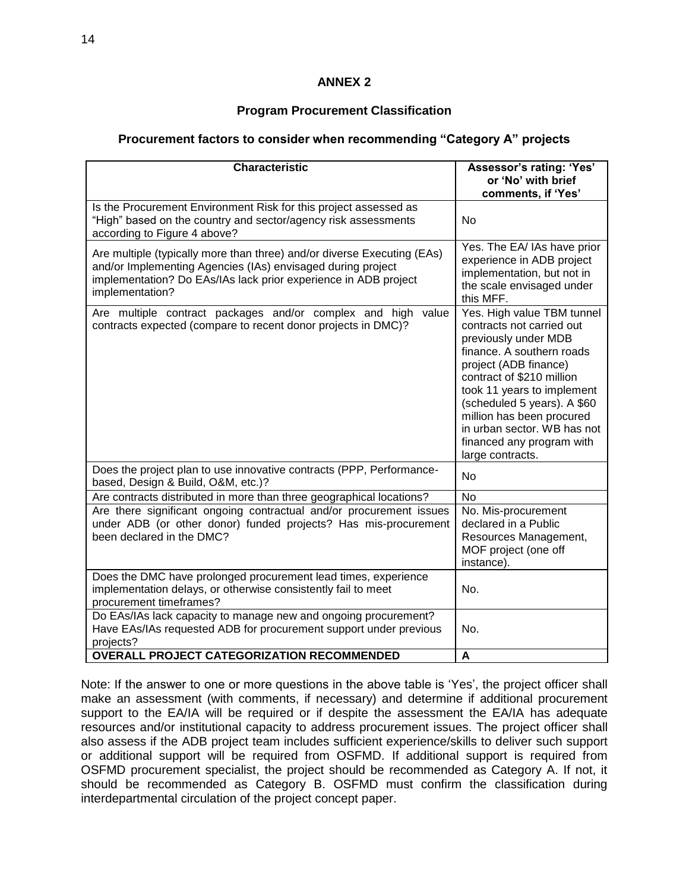### **ANNEX 2**

#### **Program Procurement Classification**

#### **Procurement factors to consider when recommending "Category A" projects**

| <b>Characteristic</b>                                                                                                                                                                                                        | Assessor's rating: 'Yes'<br>or 'No' with brief                                                                                                                                                                                                                                                                                               |
|------------------------------------------------------------------------------------------------------------------------------------------------------------------------------------------------------------------------------|----------------------------------------------------------------------------------------------------------------------------------------------------------------------------------------------------------------------------------------------------------------------------------------------------------------------------------------------|
|                                                                                                                                                                                                                              | comments, if 'Yes'                                                                                                                                                                                                                                                                                                                           |
| Is the Procurement Environment Risk for this project assessed as<br>"High" based on the country and sector/agency risk assessments<br>according to Figure 4 above?                                                           | <b>No</b>                                                                                                                                                                                                                                                                                                                                    |
| Are multiple (typically more than three) and/or diverse Executing (EAs)<br>and/or Implementing Agencies (IAs) envisaged during project<br>implementation? Do EAs/IAs lack prior experience in ADB project<br>implementation? | Yes. The EA/ IAs have prior<br>experience in ADB project<br>implementation, but not in<br>the scale envisaged under<br>this MFF.                                                                                                                                                                                                             |
| Are multiple contract packages and/or complex and high value<br>contracts expected (compare to recent donor projects in DMC)?                                                                                                | Yes. High value TBM tunnel<br>contracts not carried out<br>previously under MDB<br>finance. A southern roads<br>project (ADB finance)<br>contract of \$210 million<br>took 11 years to implement<br>(scheduled 5 years). A \$60<br>million has been procured<br>in urban sector. WB has not<br>financed any program with<br>large contracts. |
| Does the project plan to use innovative contracts (PPP, Performance-<br>based, Design & Build, O&M, etc.)?                                                                                                                   | <b>No</b>                                                                                                                                                                                                                                                                                                                                    |
| Are contracts distributed in more than three geographical locations?                                                                                                                                                         | No                                                                                                                                                                                                                                                                                                                                           |
| Are there significant ongoing contractual and/or procurement issues<br>under ADB (or other donor) funded projects? Has mis-procurement<br>been declared in the DMC?                                                          | No. Mis-procurement<br>declared in a Public<br>Resources Management,<br>MOF project (one off<br>instance).                                                                                                                                                                                                                                   |
| Does the DMC have prolonged procurement lead times, experience<br>implementation delays, or otherwise consistently fail to meet<br>procurement timeframes?                                                                   | No.                                                                                                                                                                                                                                                                                                                                          |
| Do EAs/IAs lack capacity to manage new and ongoing procurement?<br>Have EAs/IAs requested ADB for procurement support under previous<br>projects?                                                                            | No.                                                                                                                                                                                                                                                                                                                                          |
| <b>OVERALL PROJECT CATEGORIZATION RECOMMENDED</b>                                                                                                                                                                            | A                                                                                                                                                                                                                                                                                                                                            |

Note: If the answer to one or more questions in the above table is 'Yes', the project officer shall make an assessment (with comments, if necessary) and determine if additional procurement support to the EA/IA will be required or if despite the assessment the EA/IA has adequate resources and/or institutional capacity to address procurement issues. The project officer shall also assess if the ADB project team includes sufficient experience/skills to deliver such support or additional support will be required from OSFMD. If additional support is required from OSFMD procurement specialist, the project should be recommended as Category A. If not, it should be recommended as Category B. OSFMD must confirm the classification during interdepartmental circulation of the project concept paper.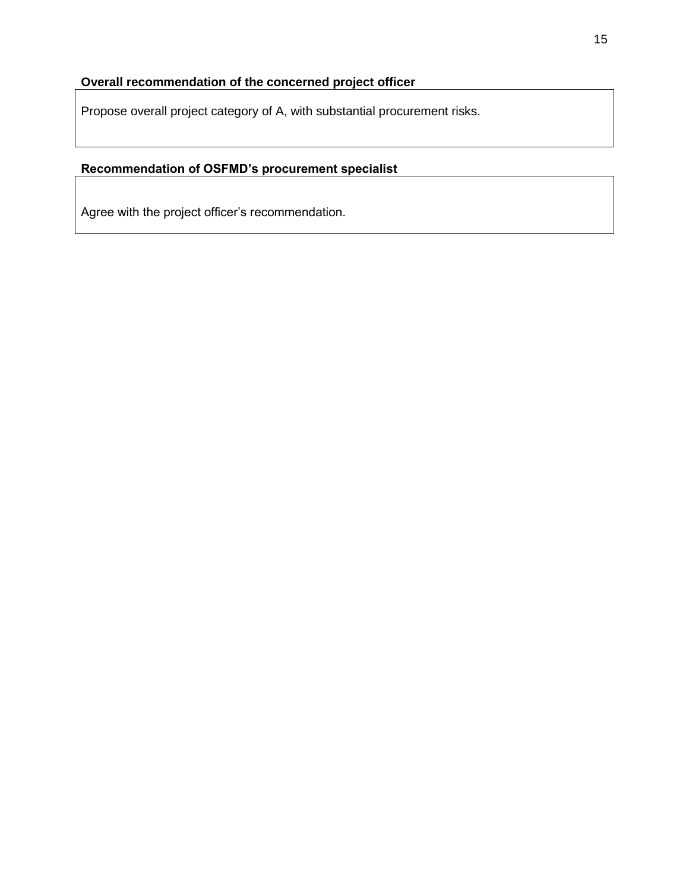### **Overall recommendation of the concerned project officer**

Propose overall project category of A, with substantial procurement risks.

## **Recommendation of OSFMD's procurement specialist**

Agree with the project officer's recommendation.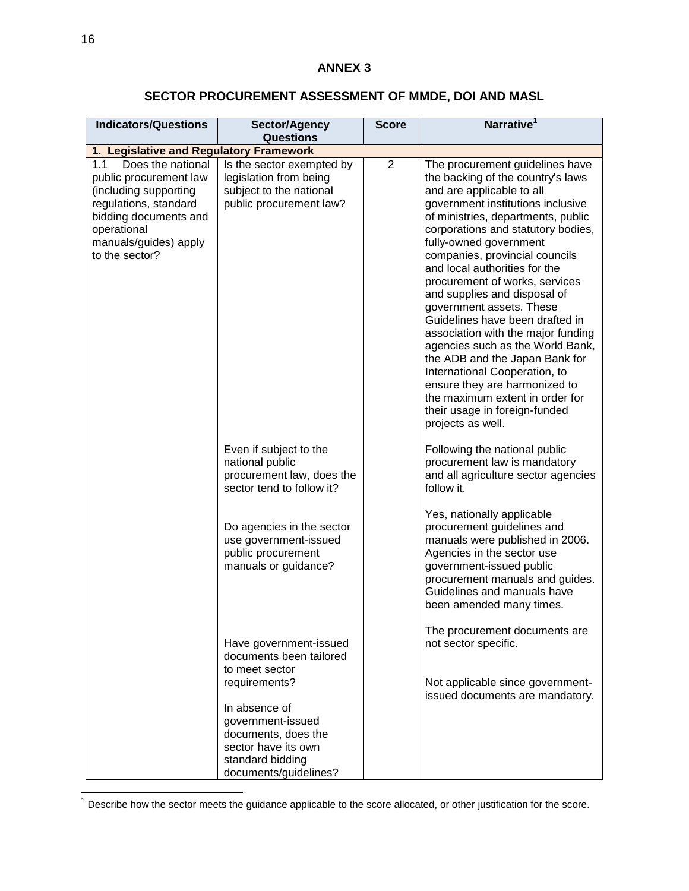#### **ANNEX 3**

# **SECTOR PROCUREMENT ASSESSMENT OF MMDE, DOI AND MASL**

| <b>Indicators/Questions</b>                                                                                                                                                             | Sector/Agency<br><b>Questions</b>                                                                            | <b>Score</b>   | Narrative <sup>1</sup>                                                                                                                                                                                                                                                                                                                                                                                                                                                                                                                                                                                                                                                                                                  |
|-----------------------------------------------------------------------------------------------------------------------------------------------------------------------------------------|--------------------------------------------------------------------------------------------------------------|----------------|-------------------------------------------------------------------------------------------------------------------------------------------------------------------------------------------------------------------------------------------------------------------------------------------------------------------------------------------------------------------------------------------------------------------------------------------------------------------------------------------------------------------------------------------------------------------------------------------------------------------------------------------------------------------------------------------------------------------------|
| 1. Legislative and Regulatory Framework                                                                                                                                                 |                                                                                                              |                |                                                                                                                                                                                                                                                                                                                                                                                                                                                                                                                                                                                                                                                                                                                         |
| 1.1<br>Does the national<br>public procurement law<br>(including supporting<br>regulations, standard<br>bidding documents and<br>operational<br>manuals/guides) apply<br>to the sector? | Is the sector exempted by<br>legislation from being<br>subject to the national<br>public procurement law?    | $\overline{2}$ | The procurement guidelines have<br>the backing of the country's laws<br>and are applicable to all<br>government institutions inclusive<br>of ministries, departments, public<br>corporations and statutory bodies,<br>fully-owned government<br>companies, provincial councils<br>and local authorities for the<br>procurement of works, services<br>and supplies and disposal of<br>government assets. These<br>Guidelines have been drafted in<br>association with the major funding<br>agencies such as the World Bank,<br>the ADB and the Japan Bank for<br>International Cooperation, to<br>ensure they are harmonized to<br>the maximum extent in order for<br>their usage in foreign-funded<br>projects as well. |
|                                                                                                                                                                                         | Even if subject to the<br>national public<br>procurement law, does the<br>sector tend to follow it?          |                | Following the national public<br>procurement law is mandatory<br>and all agriculture sector agencies<br>follow it.                                                                                                                                                                                                                                                                                                                                                                                                                                                                                                                                                                                                      |
|                                                                                                                                                                                         | Do agencies in the sector<br>use government-issued<br>public procurement<br>manuals or guidance?             |                | Yes, nationally applicable<br>procurement guidelines and<br>manuals were published in 2006.<br>Agencies in the sector use<br>government-issued public<br>procurement manuals and guides.<br>Guidelines and manuals have<br>been amended many times.                                                                                                                                                                                                                                                                                                                                                                                                                                                                     |
|                                                                                                                                                                                         | Have government-issued<br>documents been tailored<br>to meet sector<br>requirements?<br>In absence of        |                | The procurement documents are<br>not sector specific.<br>Not applicable since government-<br>issued documents are mandatory.                                                                                                                                                                                                                                                                                                                                                                                                                                                                                                                                                                                            |
|                                                                                                                                                                                         | government-issued<br>documents, does the<br>sector have its own<br>standard bidding<br>documents/guidelines? |                |                                                                                                                                                                                                                                                                                                                                                                                                                                                                                                                                                                                                                                                                                                                         |

 $1$  Describe how the sector meets the guidance applicable to the score allocated, or other justification for the score.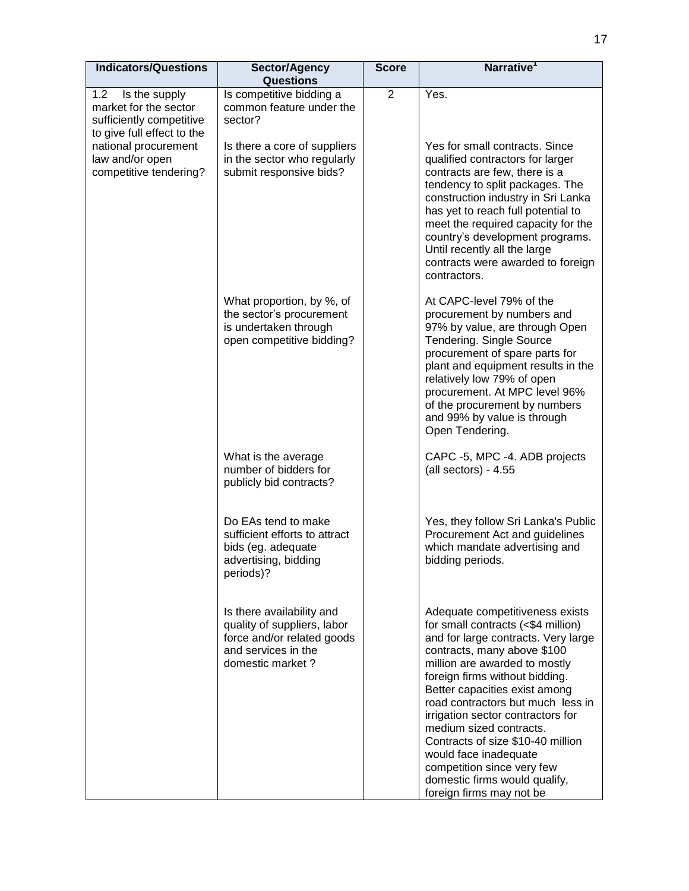| <b>Indicators/Questions</b>                                                                             | Sector/Agency<br><b>Questions</b>                                                                                                 | <b>Score</b>   | Narrative <sup>1</sup>                                                                                                                                                                                                                                                                                                                                                                                                                                                                                        |
|---------------------------------------------------------------------------------------------------------|-----------------------------------------------------------------------------------------------------------------------------------|----------------|---------------------------------------------------------------------------------------------------------------------------------------------------------------------------------------------------------------------------------------------------------------------------------------------------------------------------------------------------------------------------------------------------------------------------------------------------------------------------------------------------------------|
| 1.2<br>Is the supply<br>market for the sector<br>sufficiently competitive<br>to give full effect to the | Is competitive bidding a<br>common feature under the<br>sector?                                                                   | $\overline{2}$ | Yes.                                                                                                                                                                                                                                                                                                                                                                                                                                                                                                          |
| national procurement<br>law and/or open<br>competitive tendering?                                       | Is there a core of suppliers<br>in the sector who regularly<br>submit responsive bids?                                            |                | Yes for small contracts. Since<br>qualified contractors for larger<br>contracts are few, there is a<br>tendency to split packages. The<br>construction industry in Sri Lanka<br>has yet to reach full potential to<br>meet the required capacity for the<br>country's development programs.<br>Until recently all the large<br>contracts were awarded to foreign<br>contractors.                                                                                                                              |
|                                                                                                         | What proportion, by %, of<br>the sector's procurement<br>is undertaken through<br>open competitive bidding?                       |                | At CAPC-level 79% of the<br>procurement by numbers and<br>97% by value, are through Open<br><b>Tendering. Single Source</b><br>procurement of spare parts for<br>plant and equipment results in the<br>relatively low 79% of open<br>procurement. At MPC level 96%<br>of the procurement by numbers<br>and 99% by value is through<br>Open Tendering.                                                                                                                                                         |
|                                                                                                         | What is the average<br>number of bidders for<br>publicly bid contracts?                                                           |                | CAPC -5, MPC -4. ADB projects<br>(all sectors) - 4.55                                                                                                                                                                                                                                                                                                                                                                                                                                                         |
|                                                                                                         | Do EAs tend to make<br>sufficient efforts to attract<br>bids (eg. adequate<br>advertising, bidding<br>periods)?                   |                | Yes, they follow Sri Lanka's Public<br>Procurement Act and guidelines<br>which mandate advertising and<br>bidding periods.                                                                                                                                                                                                                                                                                                                                                                                    |
|                                                                                                         | Is there availability and<br>quality of suppliers, labor<br>force and/or related goods<br>and services in the<br>domestic market? |                | Adequate competitiveness exists<br>for small contracts (<\$4 million)<br>and for large contracts. Very large<br>contracts, many above \$100<br>million are awarded to mostly<br>foreign firms without bidding.<br>Better capacities exist among<br>road contractors but much less in<br>irrigation sector contractors for<br>medium sized contracts.<br>Contracts of size \$10-40 million<br>would face inadequate<br>competition since very few<br>domestic firms would qualify,<br>foreign firms may not be |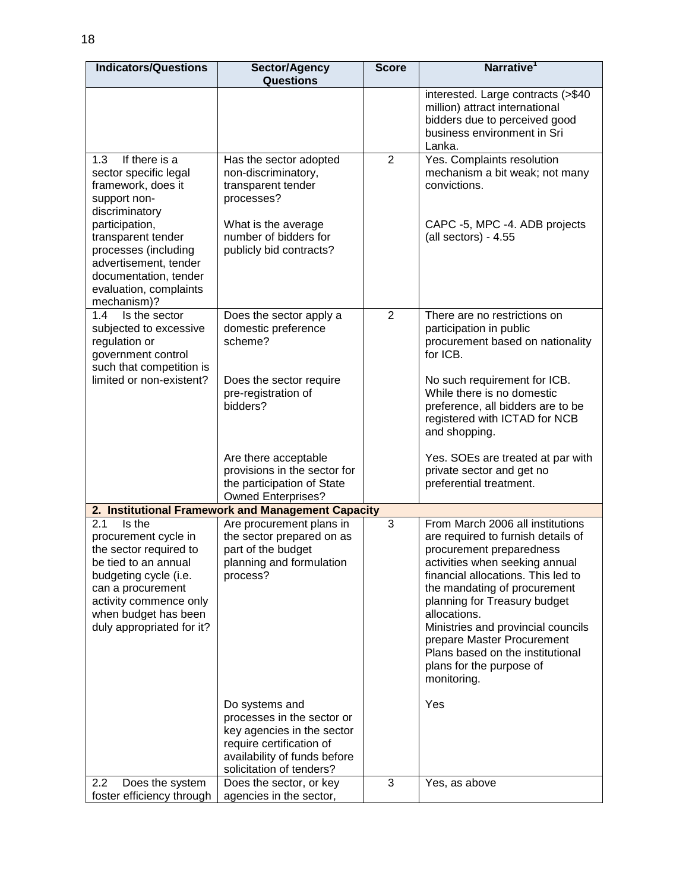| <b>Indicators/Questions</b>                                                                                                                                                                                                                                      | Sector/Agency<br><b>Questions</b>                                                                                                                                  | <b>Score</b>   | Narrative <sup>1</sup>                                                                                                                                                                                                                                                                                                                                                                                        |
|------------------------------------------------------------------------------------------------------------------------------------------------------------------------------------------------------------------------------------------------------------------|--------------------------------------------------------------------------------------------------------------------------------------------------------------------|----------------|---------------------------------------------------------------------------------------------------------------------------------------------------------------------------------------------------------------------------------------------------------------------------------------------------------------------------------------------------------------------------------------------------------------|
|                                                                                                                                                                                                                                                                  |                                                                                                                                                                    |                | interested. Large contracts (>\$40<br>million) attract international<br>bidders due to perceived good<br>business environment in Sri<br>Lanka.                                                                                                                                                                                                                                                                |
| 1.3<br>If there is a<br>sector specific legal<br>framework, does it<br>support non-<br>discriminatory<br>participation,<br>transparent tender<br>processes (including<br>advertisement, tender<br>documentation, tender<br>evaluation, complaints<br>mechanism)? | Has the sector adopted<br>non-discriminatory,<br>transparent tender<br>processes?<br>What is the average<br>number of bidders for<br>publicly bid contracts?       | $\overline{2}$ | Yes. Complaints resolution<br>mechanism a bit weak; not many<br>convictions.<br>CAPC -5, MPC -4. ADB projects<br>(all sectors) - 4.55                                                                                                                                                                                                                                                                         |
| 1.4<br>Is the sector<br>subjected to excessive<br>regulation or<br>government control<br>such that competition is<br>limited or non-existent?                                                                                                                    | Does the sector apply a<br>domestic preference<br>scheme?<br>Does the sector require<br>pre-registration of<br>bidders?                                            | $\overline{2}$ | There are no restrictions on<br>participation in public<br>procurement based on nationality<br>for ICB.<br>No such requirement for ICB.<br>While there is no domestic<br>preference, all bidders are to be<br>registered with ICTAD for NCB<br>and shopping.                                                                                                                                                  |
|                                                                                                                                                                                                                                                                  | Are there acceptable<br>provisions in the sector for<br>the participation of State<br><b>Owned Enterprises?</b>                                                    |                | Yes. SOEs are treated at par with<br>private sector and get no<br>preferential treatment.                                                                                                                                                                                                                                                                                                                     |
|                                                                                                                                                                                                                                                                  | 2. Institutional Framework and Management Capacity                                                                                                                 |                |                                                                                                                                                                                                                                                                                                                                                                                                               |
| Is the<br>2.1<br>procurement cycle in<br>the sector required to<br>be tied to an annual<br>budgeting cycle (i.e.<br>can a procurement<br>activity commence only<br>when budget has been<br>duly appropriated for it?                                             | Are procurement plans in<br>the sector prepared on as<br>part of the budget<br>planning and formulation<br>process?                                                | 3              | From March 2006 all institutions<br>are required to furnish details of<br>procurement preparedness<br>activities when seeking annual<br>financial allocations. This led to<br>the mandating of procurement<br>planning for Treasury budget<br>allocations.<br>Ministries and provincial councils<br>prepare Master Procurement<br>Plans based on the institutional<br>plans for the purpose of<br>monitoring. |
|                                                                                                                                                                                                                                                                  | Do systems and<br>processes in the sector or<br>key agencies in the sector<br>require certification of<br>availability of funds before<br>solicitation of tenders? |                | Yes                                                                                                                                                                                                                                                                                                                                                                                                           |
| Does the system<br>2.2<br>foster efficiency through                                                                                                                                                                                                              | Does the sector, or key<br>agencies in the sector,                                                                                                                 | 3              | Yes, as above                                                                                                                                                                                                                                                                                                                                                                                                 |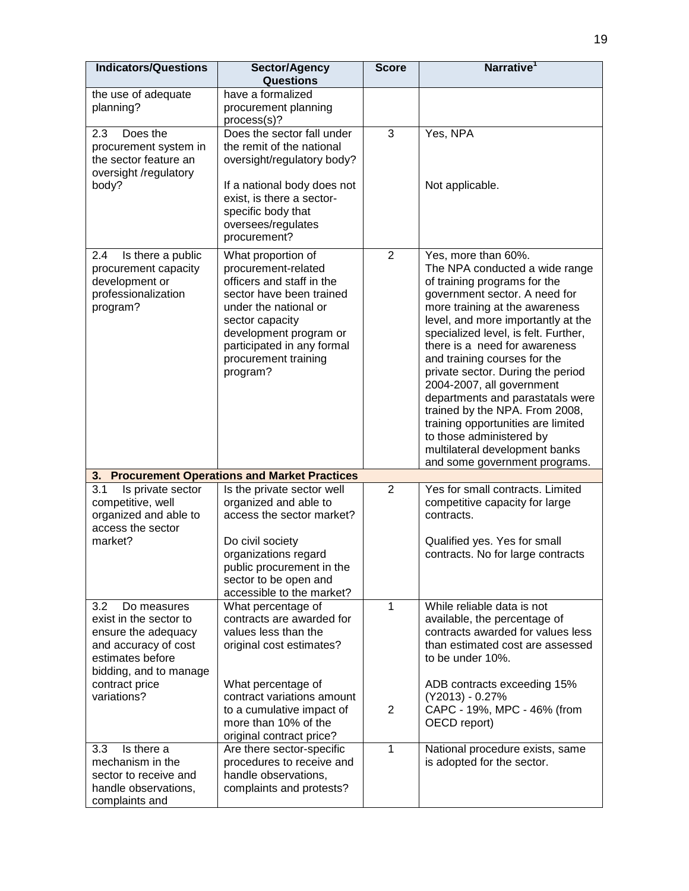| <b>Indicators/Questions</b>                                                                                                               | Sector/Agency<br><b>Questions</b>                                                                                                                                                                                                          | <b>Score</b>   | Narrative <sup>1</sup>                                                                                                                                                                                                                                                                                                                                                                                                                                                                                                                                                               |
|-------------------------------------------------------------------------------------------------------------------------------------------|--------------------------------------------------------------------------------------------------------------------------------------------------------------------------------------------------------------------------------------------|----------------|--------------------------------------------------------------------------------------------------------------------------------------------------------------------------------------------------------------------------------------------------------------------------------------------------------------------------------------------------------------------------------------------------------------------------------------------------------------------------------------------------------------------------------------------------------------------------------------|
| the use of adequate<br>planning?                                                                                                          | have a formalized<br>procurement planning<br>process(s)?                                                                                                                                                                                   |                |                                                                                                                                                                                                                                                                                                                                                                                                                                                                                                                                                                                      |
| 2.3<br>Does the<br>procurement system in<br>the sector feature an<br>oversight /regulatory<br>body?                                       | Does the sector fall under<br>the remit of the national<br>oversight/regulatory body?<br>If a national body does not<br>exist, is there a sector-<br>specific body that<br>oversees/regulates<br>procurement?                              | 3              | Yes, NPA<br>Not applicable.                                                                                                                                                                                                                                                                                                                                                                                                                                                                                                                                                          |
| 2.4<br>Is there a public<br>procurement capacity<br>development or<br>professionalization<br>program?                                     | What proportion of<br>procurement-related<br>officers and staff in the<br>sector have been trained<br>under the national or<br>sector capacity<br>development program or<br>participated in any formal<br>procurement training<br>program? | $\overline{2}$ | Yes, more than 60%.<br>The NPA conducted a wide range<br>of training programs for the<br>government sector. A need for<br>more training at the awareness<br>level, and more importantly at the<br>specialized level, is felt. Further,<br>there is a need for awareness<br>and training courses for the<br>private sector. During the period<br>2004-2007, all government<br>departments and parastatals were<br>trained by the NPA. From 2008,<br>training opportunities are limited<br>to those administered by<br>multilateral development banks<br>and some government programs. |
|                                                                                                                                           | 3. Procurement Operations and Market Practices                                                                                                                                                                                             |                |                                                                                                                                                                                                                                                                                                                                                                                                                                                                                                                                                                                      |
| 3.1<br>Is private sector<br>competitive, well<br>organized and able to<br>access the sector                                               | Is the private sector well<br>organized and able to<br>access the sector market?                                                                                                                                                           | $\overline{2}$ | Yes for small contracts. Limited<br>competitive capacity for large<br>contracts.                                                                                                                                                                                                                                                                                                                                                                                                                                                                                                     |
| market?                                                                                                                                   | Do civil society<br>organizations regard<br>public procurement in the<br>sector to be open and<br>accessible to the market?                                                                                                                |                | Qualified yes. Yes for small<br>contracts. No for large contracts                                                                                                                                                                                                                                                                                                                                                                                                                                                                                                                    |
| 3.2<br>Do measures<br>exist in the sector to<br>ensure the adequacy<br>and accuracy of cost<br>estimates before<br>bidding, and to manage | What percentage of<br>contracts are awarded for<br>values less than the<br>original cost estimates?                                                                                                                                        | 1              | While reliable data is not<br>available, the percentage of<br>contracts awarded for values less<br>than estimated cost are assessed<br>to be under 10%.                                                                                                                                                                                                                                                                                                                                                                                                                              |
| contract price<br>variations?                                                                                                             | What percentage of<br>contract variations amount<br>to a cumulative impact of<br>more than 10% of the<br>original contract price?                                                                                                          | $\overline{2}$ | ADB contracts exceeding 15%<br>(Y2013) - 0.27%<br>CAPC - 19%, MPC - 46% (from<br>OECD report)                                                                                                                                                                                                                                                                                                                                                                                                                                                                                        |
| Is there a<br>3.3<br>mechanism in the<br>sector to receive and<br>handle observations,<br>complaints and                                  | Are there sector-specific<br>procedures to receive and<br>handle observations,<br>complaints and protests?                                                                                                                                 | 1              | National procedure exists, same<br>is adopted for the sector.                                                                                                                                                                                                                                                                                                                                                                                                                                                                                                                        |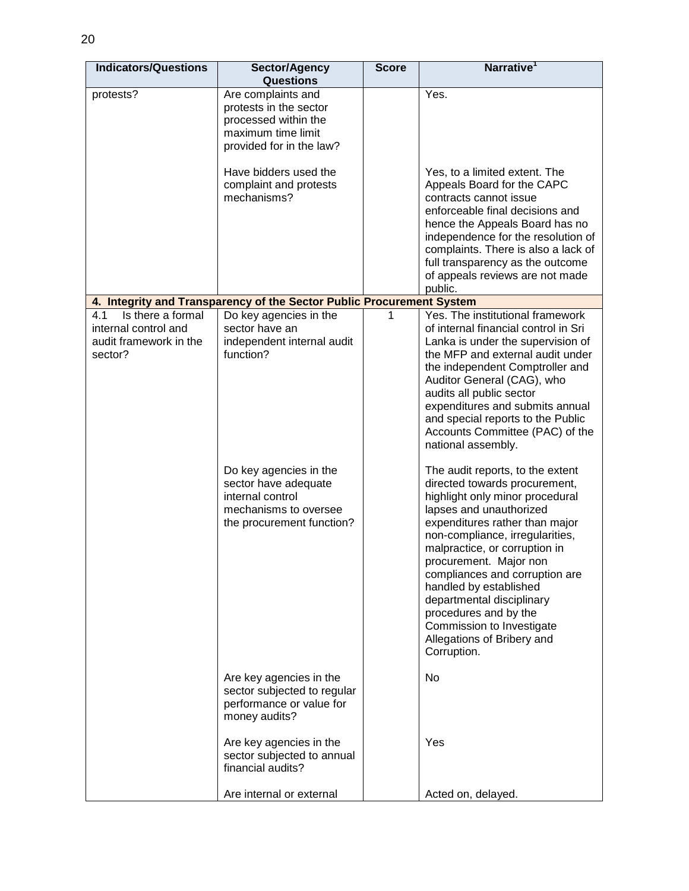| <b>Indicators/Questions</b>                                                           | Sector/Agency<br><b>Questions</b>                                                                                      | <b>Score</b> | Narrative <sup>1</sup>                                                                                                                                                                                                                                                                                                                                                                                                  |
|---------------------------------------------------------------------------------------|------------------------------------------------------------------------------------------------------------------------|--------------|-------------------------------------------------------------------------------------------------------------------------------------------------------------------------------------------------------------------------------------------------------------------------------------------------------------------------------------------------------------------------------------------------------------------------|
| protests?                                                                             | Are complaints and<br>protests in the sector<br>processed within the<br>maximum time limit<br>provided for in the law? |              | Yes.                                                                                                                                                                                                                                                                                                                                                                                                                    |
|                                                                                       | Have bidders used the<br>complaint and protests<br>mechanisms?                                                         |              | Yes, to a limited extent. The<br>Appeals Board for the CAPC<br>contracts cannot issue<br>enforceable final decisions and<br>hence the Appeals Board has no<br>independence for the resolution of<br>complaints. There is also a lack of<br>full transparency as the outcome<br>of appeals reviews are not made<br>public.                                                                                               |
|                                                                                       | 4. Integrity and Transparency of the Sector Public Procurement System                                                  |              |                                                                                                                                                                                                                                                                                                                                                                                                                         |
| Is there a formal<br>4.1<br>internal control and<br>audit framework in the<br>sector? | Do key agencies in the<br>sector have an<br>independent internal audit<br>function?<br>Do key agencies in the          | 1            | Yes. The institutional framework<br>of internal financial control in Sri<br>Lanka is under the supervision of<br>the MFP and external audit under<br>the independent Comptroller and<br>Auditor General (CAG), who<br>audits all public sector<br>expenditures and submits annual<br>and special reports to the Public<br>Accounts Committee (PAC) of the<br>national assembly.<br>The audit reports, to the extent     |
|                                                                                       | sector have adequate<br>internal control<br>mechanisms to oversee<br>the procurement function?                         |              | directed towards procurement,<br>highlight only minor procedural<br>lapses and unauthorized<br>expenditures rather than major<br>non-compliance, irregularities,<br>malpractice, or corruption in<br>procurement. Major non<br>compliances and corruption are<br>handled by established<br>departmental disciplinary<br>procedures and by the<br>Commission to Investigate<br>Allegations of Bribery and<br>Corruption. |
|                                                                                       | Are key agencies in the<br>sector subjected to regular<br>performance or value for<br>money audits?                    |              | No                                                                                                                                                                                                                                                                                                                                                                                                                      |
|                                                                                       | Are key agencies in the<br>sector subjected to annual<br>financial audits?                                             |              | Yes                                                                                                                                                                                                                                                                                                                                                                                                                     |
|                                                                                       | Are internal or external                                                                                               |              | Acted on, delayed.                                                                                                                                                                                                                                                                                                                                                                                                      |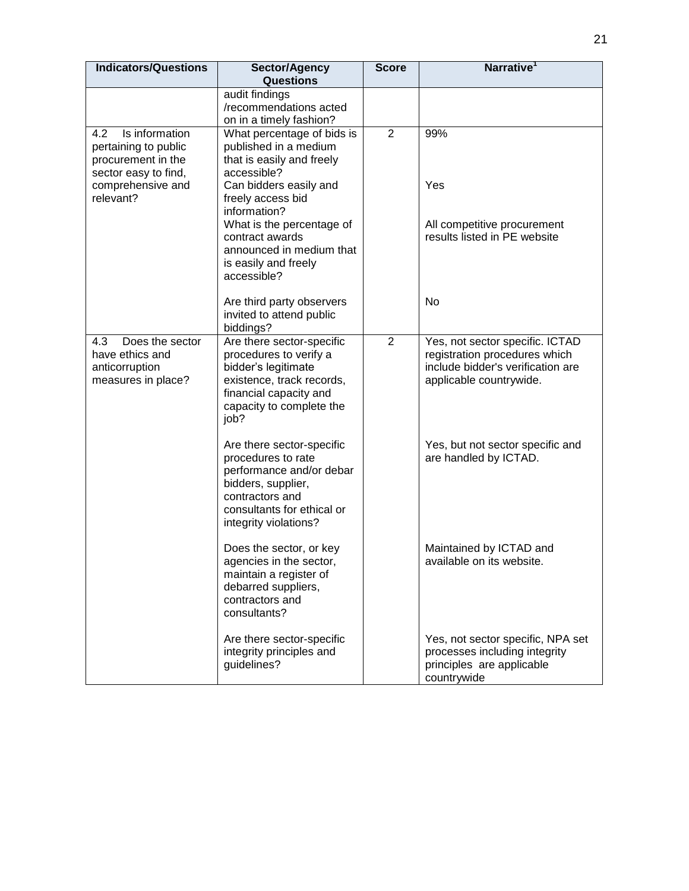| <b>Indicators/Questions</b>                | Sector/Agency<br><b>Questions</b>                  | <b>Score</b>   | Narrative <sup>1</sup>                                       |
|--------------------------------------------|----------------------------------------------------|----------------|--------------------------------------------------------------|
|                                            | audit findings                                     |                |                                                              |
|                                            | /recommendations acted                             |                |                                                              |
|                                            | on in a timely fashion?                            |                |                                                              |
| Is information<br>4.2                      | What percentage of bids is                         | $\overline{2}$ | 99%                                                          |
| pertaining to public<br>procurement in the | published in a medium<br>that is easily and freely |                |                                                              |
| sector easy to find,                       | accessible?                                        |                |                                                              |
| comprehensive and                          | Can bidders easily and                             |                | Yes                                                          |
| relevant?                                  | freely access bid<br>information?                  |                |                                                              |
|                                            | What is the percentage of                          |                | All competitive procurement                                  |
|                                            | contract awards                                    |                | results listed in PE website                                 |
|                                            | announced in medium that                           |                |                                                              |
|                                            | is easily and freely<br>accessible?                |                |                                                              |
|                                            |                                                    |                |                                                              |
|                                            | Are third party observers                          |                | No                                                           |
|                                            | invited to attend public<br>biddings?              |                |                                                              |
| Does the sector<br>4.3                     | Are there sector-specific                          | $\overline{2}$ | Yes, not sector specific. ICTAD                              |
| have ethics and                            | procedures to verify a                             |                | registration procedures which                                |
| anticorruption<br>measures in place?       | bidder's legitimate<br>existence, track records,   |                | include bidder's verification are<br>applicable countrywide. |
|                                            | financial capacity and                             |                |                                                              |
|                                            | capacity to complete the                           |                |                                                              |
|                                            | job?                                               |                |                                                              |
|                                            | Are there sector-specific                          |                | Yes, but not sector specific and                             |
|                                            | procedures to rate                                 |                | are handled by ICTAD.                                        |
|                                            | performance and/or debar<br>bidders, supplier,     |                |                                                              |
|                                            | contractors and                                    |                |                                                              |
|                                            | consultants for ethical or                         |                |                                                              |
|                                            | integrity violations?                              |                |                                                              |
|                                            | Does the sector, or key                            |                | Maintained by ICTAD and                                      |
|                                            | agencies in the sector,                            |                | available on its website.                                    |
|                                            | maintain a register of<br>debarred suppliers,      |                |                                                              |
|                                            | contractors and                                    |                |                                                              |
|                                            | consultants?                                       |                |                                                              |
|                                            | Are there sector-specific                          |                | Yes, not sector specific, NPA set                            |
|                                            | integrity principles and                           |                | processes including integrity                                |
|                                            | guidelines?                                        |                | principles are applicable                                    |
|                                            |                                                    |                | countrywide                                                  |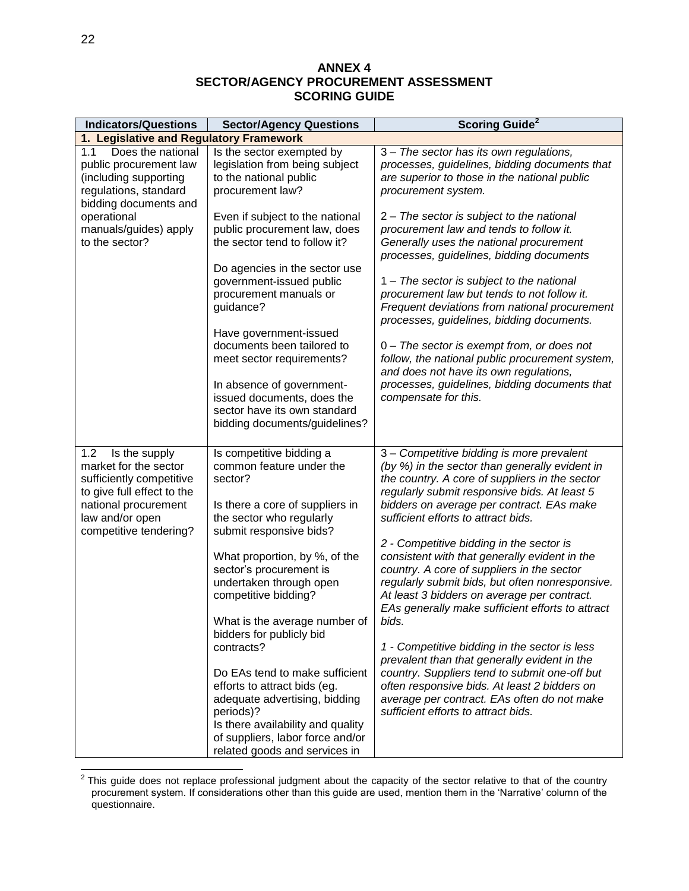#### **ANNEX 4 SECTOR/AGENCY PROCUREMENT ASSESSMENT SCORING GUIDE**

| <b>Sector/Agency Questions</b>                                                                                                                                                                                                                                                                                                                                                                                                                                                                           | <b>Scoring Guide<sup>2</sup></b>                                                                                                                                                                                                                                                                                                                                                                                                                                                                                                                                                                                                                                                                                                                                                                                                                                                    |
|----------------------------------------------------------------------------------------------------------------------------------------------------------------------------------------------------------------------------------------------------------------------------------------------------------------------------------------------------------------------------------------------------------------------------------------------------------------------------------------------------------|-------------------------------------------------------------------------------------------------------------------------------------------------------------------------------------------------------------------------------------------------------------------------------------------------------------------------------------------------------------------------------------------------------------------------------------------------------------------------------------------------------------------------------------------------------------------------------------------------------------------------------------------------------------------------------------------------------------------------------------------------------------------------------------------------------------------------------------------------------------------------------------|
| 1. Legislative and Regulatory Framework                                                                                                                                                                                                                                                                                                                                                                                                                                                                  |                                                                                                                                                                                                                                                                                                                                                                                                                                                                                                                                                                                                                                                                                                                                                                                                                                                                                     |
| Is the sector exempted by<br>legislation from being subject<br>to the national public<br>procurement law?                                                                                                                                                                                                                                                                                                                                                                                                | 3 - The sector has its own regulations,<br>processes, guidelines, bidding documents that<br>are superior to those in the national public<br>procurement system.                                                                                                                                                                                                                                                                                                                                                                                                                                                                                                                                                                                                                                                                                                                     |
| Even if subject to the national<br>public procurement law, does<br>the sector tend to follow it?<br>Do agencies in the sector use<br>government-issued public<br>procurement manuals or<br>guidance?                                                                                                                                                                                                                                                                                                     | 2 - The sector is subject to the national<br>procurement law and tends to follow it.<br>Generally uses the national procurement<br>processes, guidelines, bidding documents<br>1 – The sector is subject to the national<br>procurement law but tends to not follow it.<br>Frequent deviations from national procurement<br>processes, guidelines, bidding documents.                                                                                                                                                                                                                                                                                                                                                                                                                                                                                                               |
| Have government-issued<br>documents been tailored to<br>meet sector requirements?<br>In absence of government-<br>issued documents, does the<br>sector have its own standard<br>bidding documents/guidelines?                                                                                                                                                                                                                                                                                            | 0 – The sector is exempt from, or does not<br>follow, the national public procurement system,<br>and does not have its own regulations,<br>processes, guidelines, bidding documents that<br>compensate for this.                                                                                                                                                                                                                                                                                                                                                                                                                                                                                                                                                                                                                                                                    |
| Is competitive bidding a<br>common feature under the<br>sector?<br>Is there a core of suppliers in<br>the sector who regularly<br>submit responsive bids?<br>What proportion, by %, of the<br>sector's procurement is<br>undertaken through open<br>competitive bidding?<br>What is the average number of<br>bidders for publicly bid<br>contracts?<br>Do EAs tend to make sufficient<br>efforts to attract bids (eg.<br>adequate advertising, bidding<br>periods)?<br>Is there availability and quality | 3 - Competitive bidding is more prevalent<br>(by %) in the sector than generally evident in<br>the country. A core of suppliers in the sector<br>regularly submit responsive bids. At least 5<br>bidders on average per contract. EAs make<br>sufficient efforts to attract bids.<br>2 - Competitive bidding in the sector is<br>consistent with that generally evident in the<br>country. A core of suppliers in the sector<br>regularly submit bids, but often nonresponsive.<br>At least 3 bidders on average per contract.<br>EAs generally make sufficient efforts to attract<br>bids.<br>1 - Competitive bidding in the sector is less<br>prevalent than that generally evident in the<br>country. Suppliers tend to submit one-off but<br>often responsive bids. At least 2 bidders on<br>average per contract. EAs often do not make<br>sufficient efforts to attract bids. |
|                                                                                                                                                                                                                                                                                                                                                                                                                                                                                                          | of suppliers, labor force and/or<br>related goods and services in                                                                                                                                                                                                                                                                                                                                                                                                                                                                                                                                                                                                                                                                                                                                                                                                                   |

<sup>&</sup>lt;u>2</u><br><sup>2</sup> This guide does not replace professional judgment about the capacity of the sector relative to that of the country procurement system. If considerations other than this guide are used, mention them in the 'Narrative' column of the questionnaire.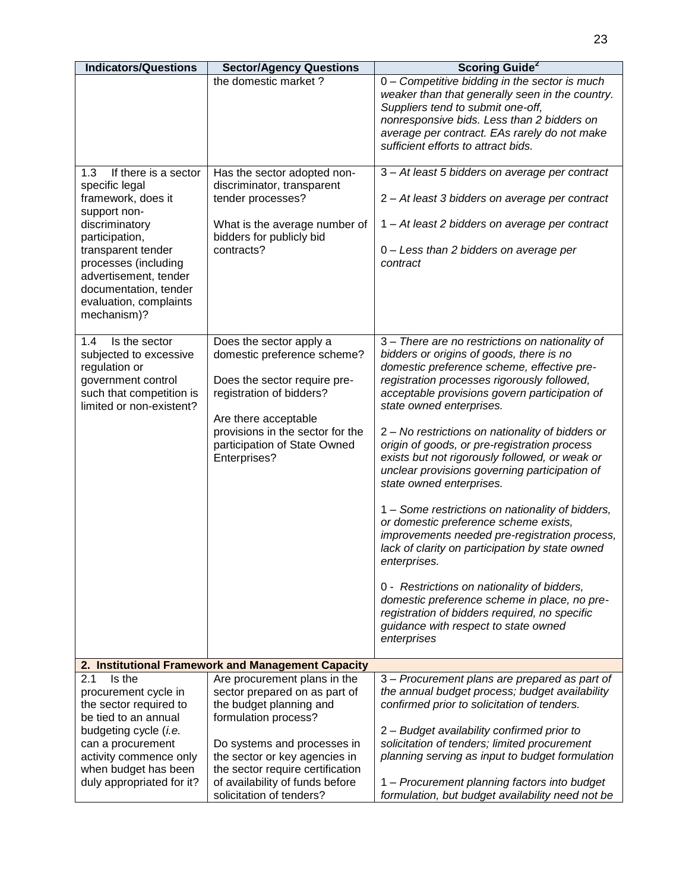| <b>Indicators/Questions</b>                                                                                                                                                                                                                                      | <b>Sector/Agency Questions</b>                                                                                                                                                                                                                                                      | <b>Scoring Guide<sup>2</sup></b>                                                                                                                                                                                                                                                                                                                                                                                                                                                                                                                                                                                                                                                                                                                                                                                                                                                                                                 |
|------------------------------------------------------------------------------------------------------------------------------------------------------------------------------------------------------------------------------------------------------------------|-------------------------------------------------------------------------------------------------------------------------------------------------------------------------------------------------------------------------------------------------------------------------------------|----------------------------------------------------------------------------------------------------------------------------------------------------------------------------------------------------------------------------------------------------------------------------------------------------------------------------------------------------------------------------------------------------------------------------------------------------------------------------------------------------------------------------------------------------------------------------------------------------------------------------------------------------------------------------------------------------------------------------------------------------------------------------------------------------------------------------------------------------------------------------------------------------------------------------------|
|                                                                                                                                                                                                                                                                  | the domestic market?                                                                                                                                                                                                                                                                | 0 - Competitive bidding in the sector is much<br>weaker than that generally seen in the country.<br>Suppliers tend to submit one-off,<br>nonresponsive bids. Less than 2 bidders on<br>average per contract. EAs rarely do not make<br>sufficient efforts to attract bids.                                                                                                                                                                                                                                                                                                                                                                                                                                                                                                                                                                                                                                                       |
| If there is a sector<br>1.3<br>specific legal<br>framework, does it<br>support non-<br>discriminatory<br>participation,<br>transparent tender<br>processes (including<br>advertisement, tender<br>documentation, tender<br>evaluation, complaints<br>mechanism)? | Has the sector adopted non-<br>discriminator, transparent<br>tender processes?<br>What is the average number of<br>bidders for publicly bid<br>contracts?                                                                                                                           | 3 - At least 5 bidders on average per contract<br>2 - At least 3 bidders on average per contract<br>1 - At least 2 bidders on average per contract<br>0 - Less than 2 bidders on average per<br>contract                                                                                                                                                                                                                                                                                                                                                                                                                                                                                                                                                                                                                                                                                                                         |
| 1.4<br>Is the sector<br>subjected to excessive<br>regulation or<br>government control<br>such that competition is<br>limited or non-existent?                                                                                                                    | Does the sector apply a<br>domestic preference scheme?<br>Does the sector require pre-<br>registration of bidders?<br>Are there acceptable<br>provisions in the sector for the<br>participation of State Owned<br>Enterprises?                                                      | 3 - There are no restrictions on nationality of<br>bidders or origins of goods, there is no<br>domestic preference scheme, effective pre-<br>registration processes rigorously followed,<br>acceptable provisions govern participation of<br>state owned enterprises.<br>2 - No restrictions on nationality of bidders or<br>origin of goods, or pre-registration process<br>exists but not rigorously followed, or weak or<br>unclear provisions governing participation of<br>state owned enterprises.<br>1 – Some restrictions on nationality of bidders,<br>or domestic preference scheme exists,<br>improvements needed pre-registration process,<br>lack of clarity on participation by state owned<br>enterprises.<br>0 - Restrictions on nationality of bidders,<br>domestic preference scheme in place, no pre-<br>registration of bidders required, no specific<br>guidance with respect to state owned<br>enterprises |
|                                                                                                                                                                                                                                                                  | 2. Institutional Framework and Management Capacity                                                                                                                                                                                                                                  |                                                                                                                                                                                                                                                                                                                                                                                                                                                                                                                                                                                                                                                                                                                                                                                                                                                                                                                                  |
| Is the<br>2.1<br>procurement cycle in<br>the sector required to<br>be tied to an annual<br>budgeting cycle (i.e.<br>can a procurement<br>activity commence only<br>when budget has been<br>duly appropriated for it?                                             | Are procurement plans in the<br>sector prepared on as part of<br>the budget planning and<br>formulation process?<br>Do systems and processes in<br>the sector or key agencies in<br>the sector require certification<br>of availability of funds before<br>solicitation of tenders? | 3 - Procurement plans are prepared as part of<br>the annual budget process; budget availability<br>confirmed prior to solicitation of tenders.<br>2 - Budget availability confirmed prior to<br>solicitation of tenders; limited procurement<br>planning serving as input to budget formulation<br>1 - Procurement planning factors into budget<br>formulation, but budget availability need not be                                                                                                                                                                                                                                                                                                                                                                                                                                                                                                                              |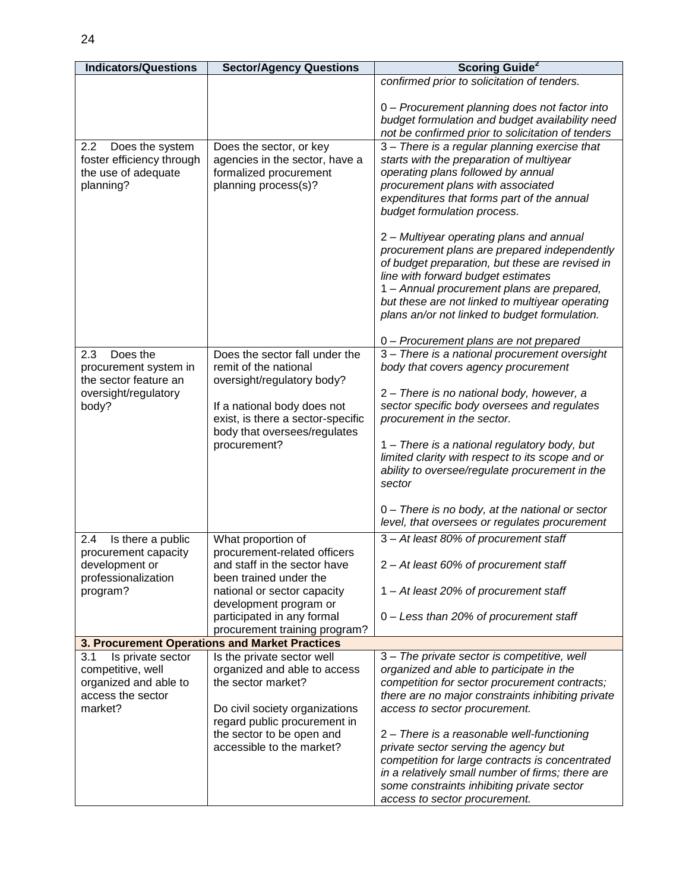| <b>Indicators/Questions</b>                                                                            | <b>Sector/Agency Questions</b>                                                                                                                                                                                                       | <b>Scoring Guide</b> <sup>2</sup>                                                                                                                                                                                                                                                                                                                                                                                                                                                                                                                                                                                                  |
|--------------------------------------------------------------------------------------------------------|--------------------------------------------------------------------------------------------------------------------------------------------------------------------------------------------------------------------------------------|------------------------------------------------------------------------------------------------------------------------------------------------------------------------------------------------------------------------------------------------------------------------------------------------------------------------------------------------------------------------------------------------------------------------------------------------------------------------------------------------------------------------------------------------------------------------------------------------------------------------------------|
|                                                                                                        |                                                                                                                                                                                                                                      | confirmed prior to solicitation of tenders.                                                                                                                                                                                                                                                                                                                                                                                                                                                                                                                                                                                        |
|                                                                                                        |                                                                                                                                                                                                                                      | 0 - Procurement planning does not factor into<br>budget formulation and budget availability need<br>not be confirmed prior to solicitation of tenders                                                                                                                                                                                                                                                                                                                                                                                                                                                                              |
| 2.2<br>Does the system<br>foster efficiency through<br>the use of adequate<br>planning?                | Does the sector, or key<br>agencies in the sector, have a<br>formalized procurement<br>planning process(s)?                                                                                                                          | 3 - There is a regular planning exercise that<br>starts with the preparation of multiyear<br>operating plans followed by annual<br>procurement plans with associated<br>expenditures that forms part of the annual<br>budget formulation process.<br>2 - Multiyear operating plans and annual<br>procurement plans are prepared independently<br>of budget preparation, but these are revised in<br>line with forward budget estimates<br>1 - Annual procurement plans are prepared,<br>but these are not linked to multiyear operating<br>plans an/or not linked to budget formulation.<br>0 - Procurement plans are not prepared |
| 2.3<br>Does the<br>procurement system in<br>the sector feature an<br>oversight/regulatory<br>body?     | Does the sector fall under the<br>remit of the national<br>oversight/regulatory body?<br>If a national body does not<br>exist, is there a sector-specific<br>body that oversees/regulates<br>procurement?                            | 3 - There is a national procurement oversight<br>body that covers agency procurement<br>2 – There is no national body, however, a<br>sector specific body oversees and regulates<br>procurement in the sector.<br>1 – There is a national regulatory body, but<br>limited clarity with respect to its scope and or<br>ability to oversee/regulate procurement in the<br>sector<br>0 - There is no body, at the national or sector<br>level, that oversees or regulates procurement                                                                                                                                                 |
| 2.4<br>Is there a public<br>procurement capacity<br>development or<br>professionalization<br>program?  | What proportion of<br>procurement-related officers<br>and staff in the sector have<br>been trained under the<br>national or sector capacity<br>development program or<br>participated in any formal<br>procurement training program? | 3 - At least 80% of procurement staff<br>2 - At least 60% of procurement staff<br>1 - At least 20% of procurement staff<br>0 – Less than 20% of procurement staff                                                                                                                                                                                                                                                                                                                                                                                                                                                                  |
|                                                                                                        | 3. Procurement Operations and Market Practices                                                                                                                                                                                       |                                                                                                                                                                                                                                                                                                                                                                                                                                                                                                                                                                                                                                    |
| 3.1<br>Is private sector<br>competitive, well<br>organized and able to<br>access the sector<br>market? | Is the private sector well<br>organized and able to access<br>the sector market?<br>Do civil society organizations<br>regard public procurement in<br>the sector to be open and<br>accessible to the market?                         | 3 - The private sector is competitive, well<br>organized and able to participate in the<br>competition for sector procurement contracts;<br>there are no major constraints inhibiting private<br>access to sector procurement.<br>2 - There is a reasonable well-functioning<br>private sector serving the agency but<br>competition for large contracts is concentrated<br>in a relatively small number of firms; there are<br>some constraints inhibiting private sector<br>access to sector procurement.                                                                                                                        |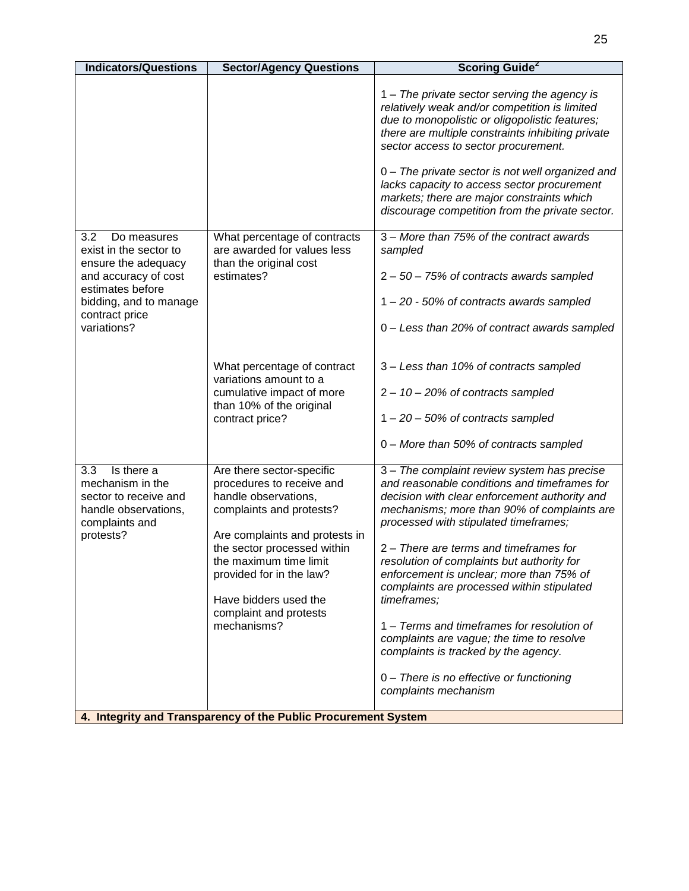| <b>Indicators/Questions</b>                                                                                           | <b>Sector/Agency Questions</b>                                                                                                                                                                                                                                                                      | <b>Scoring Guide<sup>2</sup></b>                                                                                                                                                                                                                                                                                                                                                                                                                                                                                                                                         |
|-----------------------------------------------------------------------------------------------------------------------|-----------------------------------------------------------------------------------------------------------------------------------------------------------------------------------------------------------------------------------------------------------------------------------------------------|--------------------------------------------------------------------------------------------------------------------------------------------------------------------------------------------------------------------------------------------------------------------------------------------------------------------------------------------------------------------------------------------------------------------------------------------------------------------------------------------------------------------------------------------------------------------------|
|                                                                                                                       |                                                                                                                                                                                                                                                                                                     | 1 – The private sector serving the agency is<br>relatively weak and/or competition is limited<br>due to monopolistic or oligopolistic features;<br>there are multiple constraints inhibiting private<br>sector access to sector procurement.                                                                                                                                                                                                                                                                                                                             |
|                                                                                                                       |                                                                                                                                                                                                                                                                                                     | 0 - The private sector is not well organized and<br>lacks capacity to access sector procurement<br>markets; there are major constraints which<br>discourage competition from the private sector.                                                                                                                                                                                                                                                                                                                                                                         |
| 3.2<br>Do measures<br>exist in the sector to<br>ensure the adequacy                                                   | What percentage of contracts<br>are awarded for values less<br>than the original cost                                                                                                                                                                                                               | 3 - More than 75% of the contract awards<br>sampled                                                                                                                                                                                                                                                                                                                                                                                                                                                                                                                      |
| and accuracy of cost                                                                                                  | estimates?                                                                                                                                                                                                                                                                                          | $2 - 50 - 75%$ of contracts awards sampled                                                                                                                                                                                                                                                                                                                                                                                                                                                                                                                               |
| estimates before<br>bidding, and to manage                                                                            |                                                                                                                                                                                                                                                                                                     | 1-20 - 50% of contracts awards sampled                                                                                                                                                                                                                                                                                                                                                                                                                                                                                                                                   |
| contract price<br>variations?                                                                                         |                                                                                                                                                                                                                                                                                                     | 0 - Less than 20% of contract awards sampled                                                                                                                                                                                                                                                                                                                                                                                                                                                                                                                             |
|                                                                                                                       | What percentage of contract<br>variations amount to a<br>cumulative impact of more                                                                                                                                                                                                                  | 3 – Less than 10% of contracts sampled<br>$2 - 10 - 20\%$ of contracts sampled                                                                                                                                                                                                                                                                                                                                                                                                                                                                                           |
|                                                                                                                       | than 10% of the original<br>contract price?                                                                                                                                                                                                                                                         | $1 - 20 - 50\%$ of contracts sampled                                                                                                                                                                                                                                                                                                                                                                                                                                                                                                                                     |
|                                                                                                                       |                                                                                                                                                                                                                                                                                                     | 0 - More than 50% of contracts sampled                                                                                                                                                                                                                                                                                                                                                                                                                                                                                                                                   |
| Is there a<br>3.3<br>mechanism in the<br>sector to receive and<br>handle observations,<br>complaints and<br>protests? | Are there sector-specific<br>procedures to receive and<br>handle observations,<br>complaints and protests?<br>Are complaints and protests in<br>the sector processed within<br>the maximum time limit<br>provided for in the law?<br>Have bidders used the<br>complaint and protests<br>mechanisms? | 3 - The complaint review system has precise<br>and reasonable conditions and timeframes for<br>decision with clear enforcement authority and<br>mechanisms; more than 90% of complaints are<br>processed with stipulated timeframes;<br>2 – There are terms and timeframes for<br>resolution of complaints but authority for<br>enforcement is unclear; more than 75% of<br>complaints are processed within stipulated<br>timeframes;<br>1 - Terms and timeframes for resolution of<br>complaints are vague; the time to resolve<br>complaints is tracked by the agency. |
|                                                                                                                       | 4. Integrity and Transparency of the Public Procurement System                                                                                                                                                                                                                                      | 0 - There is no effective or functioning<br>complaints mechanism                                                                                                                                                                                                                                                                                                                                                                                                                                                                                                         |
|                                                                                                                       |                                                                                                                                                                                                                                                                                                     |                                                                                                                                                                                                                                                                                                                                                                                                                                                                                                                                                                          |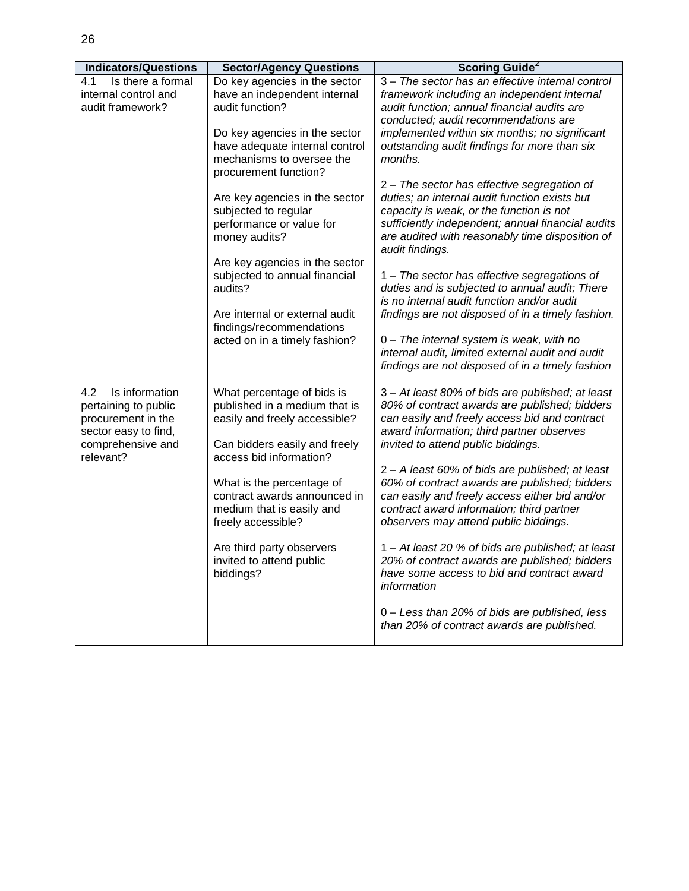Π

| <b>Indicators/Questions</b> | <b>Sector/Agency Questions</b>                                  | <b>Scoring Guide<sup>2</sup></b>                  |
|-----------------------------|-----------------------------------------------------------------|---------------------------------------------------|
| Is there a formal<br>4.1    | Do key agencies in the sector                                   | 3 - The sector has an effective internal control  |
| internal control and        | have an independent internal                                    | framework including an independent internal       |
| audit framework?            | audit function?                                                 | audit function; annual financial audits are       |
|                             |                                                                 | conducted; audit recommendations are              |
|                             | Do key agencies in the sector                                   | implemented within six months; no significant     |
|                             | have adequate internal control                                  | outstanding audit findings for more than six      |
|                             | mechanisms to oversee the                                       | months.                                           |
|                             | procurement function?                                           |                                                   |
|                             |                                                                 | 2 - The sector has effective segregation of       |
|                             | Are key agencies in the sector                                  | duties; an internal audit function exists but     |
|                             | subjected to regular                                            | capacity is weak, or the function is not          |
|                             | performance or value for                                        | sufficiently independent; annual financial audits |
|                             | money audits?                                                   | are audited with reasonably time disposition of   |
|                             |                                                                 | audit findings.                                   |
|                             | Are key agencies in the sector<br>subjected to annual financial | 1 - The sector has effective segregations of      |
|                             | audits?                                                         | duties and is subjected to annual audit; There    |
|                             |                                                                 | is no internal audit function and/or audit        |
|                             | Are internal or external audit                                  | findings are not disposed of in a timely fashion. |
|                             | findings/recommendations                                        |                                                   |
|                             | acted on in a timely fashion?                                   | 0 - The internal system is weak, with no          |
|                             |                                                                 | internal audit, limited external audit and audit  |
|                             |                                                                 | findings are not disposed of in a timely fashion  |
|                             |                                                                 |                                                   |
| Is information<br>4.2       | What percentage of bids is                                      | 3 - At least 80% of bids are published; at least  |
| pertaining to public        | published in a medium that is                                   | 80% of contract awards are published; bidders     |
| procurement in the          | easily and freely accessible?                                   | can easily and freely access bid and contract     |
| sector easy to find,        |                                                                 | award information; third partner observes         |
| comprehensive and           | Can bidders easily and freely<br>access bid information?        | invited to attend public biddings.                |
| relevant?                   |                                                                 | 2 - A least 60% of bids are published; at least   |
|                             | What is the percentage of                                       | 60% of contract awards are published; bidders     |
|                             | contract awards announced in                                    | can easily and freely access either bid and/or    |
|                             | medium that is easily and                                       | contract award information; third partner         |
|                             | freely accessible?                                              | observers may attend public biddings.             |
|                             |                                                                 |                                                   |
|                             | Are third party observers                                       | 1 – At least 20 % of bids are published; at least |
|                             | invited to attend public                                        | 20% of contract awards are published; bidders     |
|                             | biddings?                                                       | have some access to bid and contract award        |
|                             |                                                                 | information                                       |
|                             |                                                                 |                                                   |
|                             |                                                                 | 0 - Less than 20% of bids are published, less     |
|                             |                                                                 | than 20% of contract awards are published.        |
|                             |                                                                 |                                                   |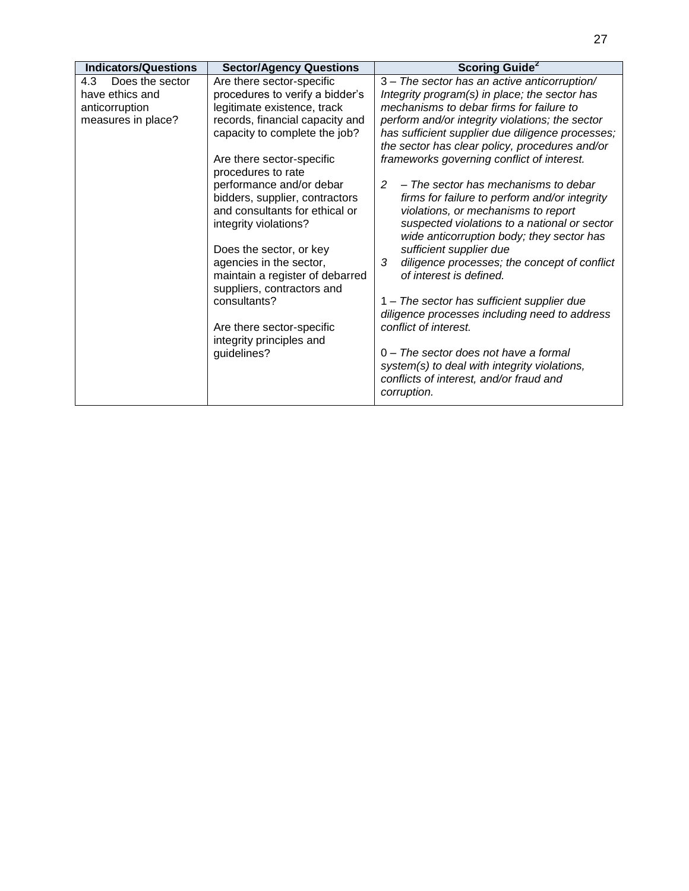| <b>Indicators/Questions</b> | <b>Sector/Agency Questions</b>                                                                                                                                                                                                                               | <b>Scoring Guide<sup>2</sup></b>                                                                                                                                                                                                                                                                                                                                                        |
|-----------------------------|--------------------------------------------------------------------------------------------------------------------------------------------------------------------------------------------------------------------------------------------------------------|-----------------------------------------------------------------------------------------------------------------------------------------------------------------------------------------------------------------------------------------------------------------------------------------------------------------------------------------------------------------------------------------|
| 4.3<br>Does the sector      | Are there sector-specific                                                                                                                                                                                                                                    | 3 - The sector has an active anticorruption/                                                                                                                                                                                                                                                                                                                                            |
| have ethics and             | procedures to verify a bidder's                                                                                                                                                                                                                              | Integrity program(s) in place; the sector has                                                                                                                                                                                                                                                                                                                                           |
| anticorruption              | legitimate existence, track                                                                                                                                                                                                                                  | mechanisms to debar firms for failure to                                                                                                                                                                                                                                                                                                                                                |
| measures in place?          | records, financial capacity and                                                                                                                                                                                                                              | perform and/or integrity violations; the sector                                                                                                                                                                                                                                                                                                                                         |
|                             | capacity to complete the job?                                                                                                                                                                                                                                | has sufficient supplier due diligence processes;<br>the sector has clear policy, procedures and/or                                                                                                                                                                                                                                                                                      |
|                             | Are there sector-specific<br>procedures to rate                                                                                                                                                                                                              | frameworks governing conflict of interest.                                                                                                                                                                                                                                                                                                                                              |
|                             | performance and/or debar<br>bidders, supplier, contractors<br>and consultants for ethical or<br>integrity violations?<br>Does the sector, or key<br>agencies in the sector,<br>maintain a register of debarred<br>suppliers, contractors and<br>consultants? | - The sector has mechanisms to debar<br>2<br>firms for failure to perform and/or integrity<br>violations, or mechanisms to report<br>suspected violations to a national or sector<br>wide anticorruption body; they sector has<br>sufficient supplier due<br>3<br>diligence processes; the concept of conflict<br>of interest is defined.<br>1 – The sector has sufficient supplier due |
|                             | Are there sector-specific<br>integrity principles and<br>guidelines?                                                                                                                                                                                         | diligence processes including need to address<br>conflict of interest.<br>$0$ – The sector does not have a formal<br>system(s) to deal with integrity violations,<br>conflicts of interest, and/or fraud and<br>corruption.                                                                                                                                                             |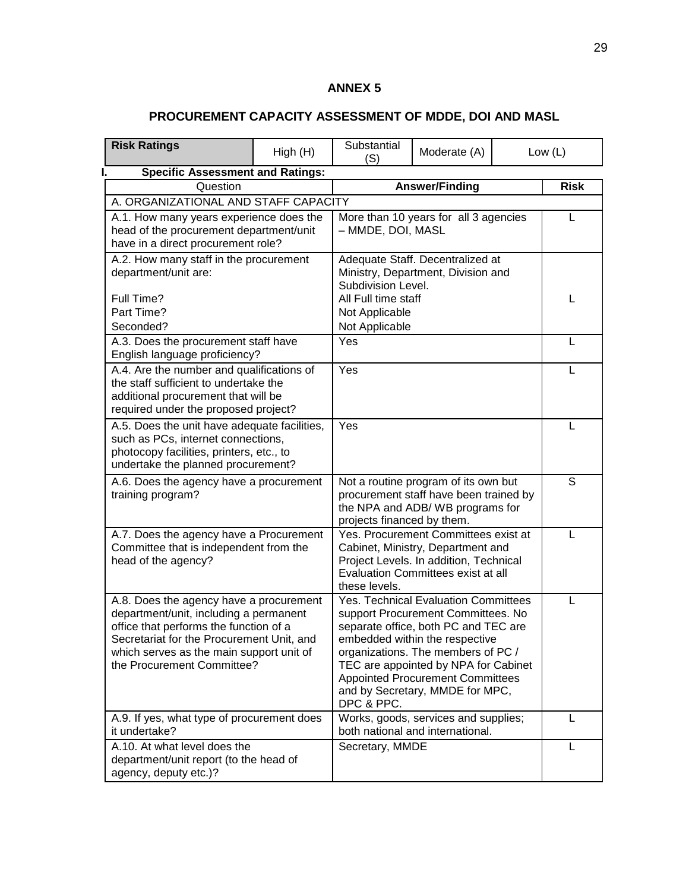## **ANNEX 5**

# **PROCUREMENT CAPACITY ASSESSMENT OF MDDE, DOI AND MASL**

| <b>Risk Ratings</b>                                                                                                                                                                                                                                | High (H) | Substantial<br>(S)                                                                                                                                      | Moderate (A)                                                                                                                                                                                                                                                                                                     |  | Low $(L)$   |
|----------------------------------------------------------------------------------------------------------------------------------------------------------------------------------------------------------------------------------------------------|----------|---------------------------------------------------------------------------------------------------------------------------------------------------------|------------------------------------------------------------------------------------------------------------------------------------------------------------------------------------------------------------------------------------------------------------------------------------------------------------------|--|-------------|
| <b>Specific Assessment and Ratings:</b>                                                                                                                                                                                                            |          |                                                                                                                                                         |                                                                                                                                                                                                                                                                                                                  |  |             |
| Question                                                                                                                                                                                                                                           |          |                                                                                                                                                         | <b>Answer/Finding</b>                                                                                                                                                                                                                                                                                            |  | <b>Risk</b> |
| A. ORGANIZATIONAL AND STAFF CAPACITY                                                                                                                                                                                                               |          |                                                                                                                                                         |                                                                                                                                                                                                                                                                                                                  |  |             |
| A.1. How many years experience does the<br>head of the procurement department/unit<br>have in a direct procurement role?                                                                                                                           |          | - MMDE, DOI, MASL                                                                                                                                       | More than 10 years for all 3 agencies                                                                                                                                                                                                                                                                            |  | L           |
| A.2. How many staff in the procurement<br>department/unit are:<br>Full Time?<br>Part Time?<br>Seconded?                                                                                                                                            |          | Adequate Staff. Decentralized at<br>Ministry, Department, Division and<br>Subdivision Level.<br>All Full time staff<br>Not Applicable<br>Not Applicable |                                                                                                                                                                                                                                                                                                                  |  | L           |
| A.3. Does the procurement staff have<br>English language proficiency?                                                                                                                                                                              |          | Yes                                                                                                                                                     |                                                                                                                                                                                                                                                                                                                  |  | L           |
| A.4. Are the number and qualifications of<br>the staff sufficient to undertake the<br>additional procurement that will be<br>required under the proposed project?                                                                                  |          | Yes                                                                                                                                                     |                                                                                                                                                                                                                                                                                                                  |  | L           |
| A.5. Does the unit have adequate facilities,<br>such as PCs, internet connections,<br>photocopy facilities, printers, etc., to<br>undertake the planned procurement?                                                                               |          | Yes                                                                                                                                                     |                                                                                                                                                                                                                                                                                                                  |  | L           |
| A.6. Does the agency have a procurement<br>training program?                                                                                                                                                                                       |          | projects financed by them.                                                                                                                              | Not a routine program of its own but<br>procurement staff have been trained by<br>the NPA and ADB/WB programs for                                                                                                                                                                                                |  | S           |
| A.7. Does the agency have a Procurement<br>Committee that is independent from the<br>head of the agency?                                                                                                                                           |          | these levels.                                                                                                                                           | Yes. Procurement Committees exist at<br>Cabinet, Ministry, Department and<br>Project Levels. In addition, Technical<br>Evaluation Committees exist at all                                                                                                                                                        |  | L           |
| A.8. Does the agency have a procurement<br>department/unit, including a permanent<br>office that performs the function of a<br>Secretariat for the Procurement Unit, and<br>which serves as the main support unit of<br>the Procurement Committee? |          | DPC & PPC.                                                                                                                                              | Yes. Technical Evaluation Committees<br>support Procurement Committees. No<br>separate office, both PC and TEC are<br>embedded within the respective<br>organizations. The members of PC /<br>TEC are appointed by NPA for Cabinet<br><b>Appointed Procurement Committees</b><br>and by Secretary, MMDE for MPC, |  | L           |
| A.9. If yes, what type of procurement does<br>it undertake?                                                                                                                                                                                        |          |                                                                                                                                                         | Works, goods, services and supplies;<br>both national and international.                                                                                                                                                                                                                                         |  | L           |
| A.10. At what level does the<br>department/unit report (to the head of<br>agency, deputy etc.)?                                                                                                                                                    |          | Secretary, MMDE                                                                                                                                         |                                                                                                                                                                                                                                                                                                                  |  | L           |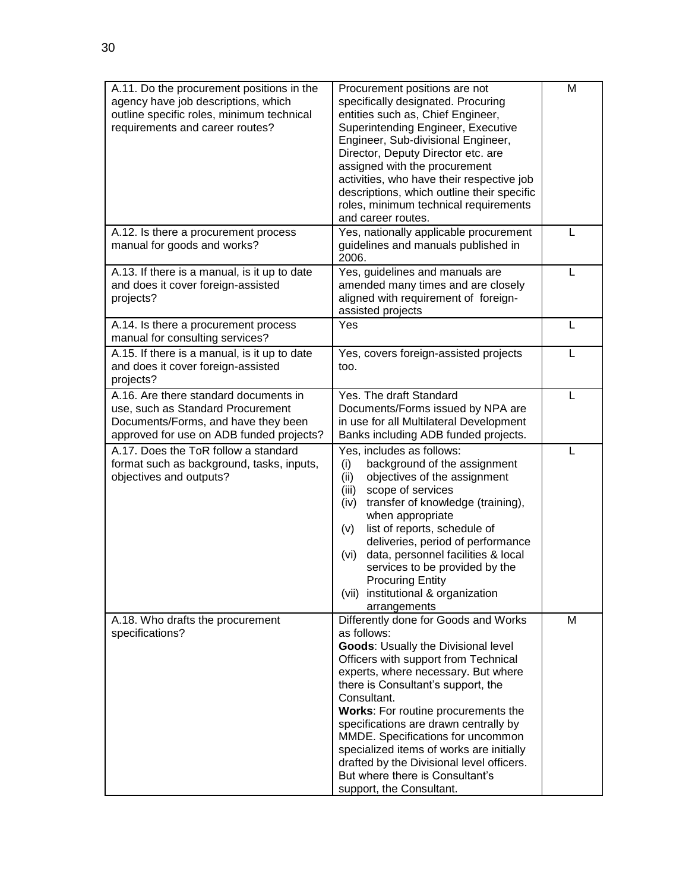| A.11. Do the procurement positions in the<br>agency have job descriptions, which<br>outline specific roles, minimum technical<br>requirements and career routes? | Procurement positions are not<br>specifically designated. Procuring<br>entities such as, Chief Engineer,<br>Superintending Engineer, Executive<br>Engineer, Sub-divisional Engineer,<br>Director, Deputy Director etc. are<br>assigned with the procurement<br>activities, who have their respective job<br>descriptions, which outline their specific<br>roles, minimum technical requirements<br>and career routes.                                                                                       | M |
|------------------------------------------------------------------------------------------------------------------------------------------------------------------|-------------------------------------------------------------------------------------------------------------------------------------------------------------------------------------------------------------------------------------------------------------------------------------------------------------------------------------------------------------------------------------------------------------------------------------------------------------------------------------------------------------|---|
| A.12. Is there a procurement process<br>manual for goods and works?                                                                                              | Yes, nationally applicable procurement<br>guidelines and manuals published in<br>2006.                                                                                                                                                                                                                                                                                                                                                                                                                      | L |
| A.13. If there is a manual, is it up to date<br>and does it cover foreign-assisted<br>projects?                                                                  | Yes, guidelines and manuals are<br>amended many times and are closely<br>aligned with requirement of foreign-<br>assisted projects                                                                                                                                                                                                                                                                                                                                                                          | L |
| A.14. Is there a procurement process<br>manual for consulting services?                                                                                          | Yes                                                                                                                                                                                                                                                                                                                                                                                                                                                                                                         |   |
| A.15. If there is a manual, is it up to date<br>and does it cover foreign-assisted<br>projects?                                                                  | Yes, covers foreign-assisted projects<br>too.                                                                                                                                                                                                                                                                                                                                                                                                                                                               | L |
| A.16. Are there standard documents in<br>use, such as Standard Procurement<br>Documents/Forms, and have they been<br>approved for use on ADB funded projects?    | Yes. The draft Standard<br>Documents/Forms issued by NPA are<br>in use for all Multilateral Development<br>Banks including ADB funded projects.                                                                                                                                                                                                                                                                                                                                                             | L |
| A.17. Does the ToR follow a standard<br>format such as background, tasks, inputs,<br>objectives and outputs?                                                     | Yes, includes as follows:<br>background of the assignment<br>(i)<br>objectives of the assignment<br>(ii)<br>scope of services<br>(iii)<br>transfer of knowledge (training),<br>(iv)<br>when appropriate<br>list of reports, schedule of<br>(v)<br>deliveries, period of performance<br>data, personnel facilities & local<br>(vi)<br>services to be provided by the<br><b>Procuring Entity</b><br>(vii) institutional & organization<br>arrangements                                                        | L |
| A.18. Who drafts the procurement<br>specifications?                                                                                                              | Differently done for Goods and Works<br>as follows:<br>Goods: Usually the Divisional level<br>Officers with support from Technical<br>experts, where necessary. But where<br>there is Consultant's support, the<br>Consultant.<br>Works: For routine procurements the<br>specifications are drawn centrally by<br>MMDE. Specifications for uncommon<br>specialized items of works are initially<br>drafted by the Divisional level officers.<br>But where there is Consultant's<br>support, the Consultant. | М |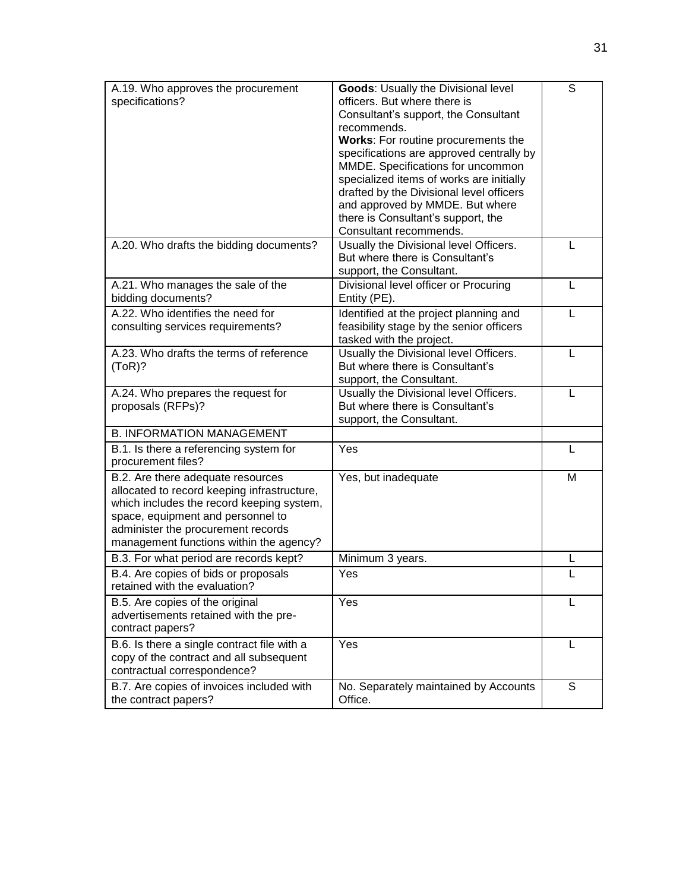| A.19. Who approves the procurement          | Goods: Usually the Divisional level      | S |
|---------------------------------------------|------------------------------------------|---|
| specifications?                             | officers. But where there is             |   |
|                                             | Consultant's support, the Consultant     |   |
|                                             | recommends.                              |   |
|                                             | Works: For routine procurements the      |   |
|                                             | specifications are approved centrally by |   |
|                                             | MMDE. Specifications for uncommon        |   |
|                                             | specialized items of works are initially |   |
|                                             | drafted by the Divisional level officers |   |
|                                             | and approved by MMDE. But where          |   |
|                                             | there is Consultant's support, the       |   |
|                                             | Consultant recommends.                   |   |
| A.20. Who drafts the bidding documents?     | Usually the Divisional level Officers.   | L |
|                                             | But where there is Consultant's          |   |
|                                             | support, the Consultant.                 |   |
| A.21. Who manages the sale of the           | Divisional level officer or Procuring    | L |
| bidding documents?                          | Entity (PE).                             |   |
| A.22. Who identifies the need for           | Identified at the project planning and   | L |
| consulting services requirements?           | feasibility stage by the senior officers |   |
|                                             | tasked with the project.                 |   |
| A.23. Who drafts the terms of reference     | Usually the Divisional level Officers.   | L |
| (ToR)?                                      | But where there is Consultant's          |   |
|                                             | support, the Consultant.                 |   |
| A.24. Who prepares the request for          | Usually the Divisional level Officers.   | L |
|                                             | But where there is Consultant's          |   |
| proposals (RFPs)?                           |                                          |   |
| <b>B. INFORMATION MANAGEMENT</b>            | support, the Consultant.                 |   |
|                                             |                                          |   |
| B.1. Is there a referencing system for      | Yes                                      | L |
| procurement files?                          |                                          |   |
| B.2. Are there adequate resources           | Yes, but inadequate                      | M |
| allocated to record keeping infrastructure, |                                          |   |
| which includes the record keeping system,   |                                          |   |
| space, equipment and personnel to           |                                          |   |
| administer the procurement records          |                                          |   |
| management functions within the agency?     |                                          |   |
| B.3. For what period are records kept?      | Minimum 3 years.                         | L |
| B.4. Are copies of bids or proposals        | Yes                                      | L |
| retained with the evaluation?               |                                          |   |
| B.5. Are copies of the original             | Yes                                      | L |
| advertisements retained with the pre-       |                                          |   |
| contract papers?                            |                                          |   |
|                                             | Yes                                      |   |
| B.6. Is there a single contract file with a |                                          | L |
| copy of the contract and all subsequent     |                                          |   |
| contractual correspondence?                 |                                          |   |
| B.7. Are copies of invoices included with   | No. Separately maintained by Accounts    | S |
| the contract papers?                        | Office.                                  |   |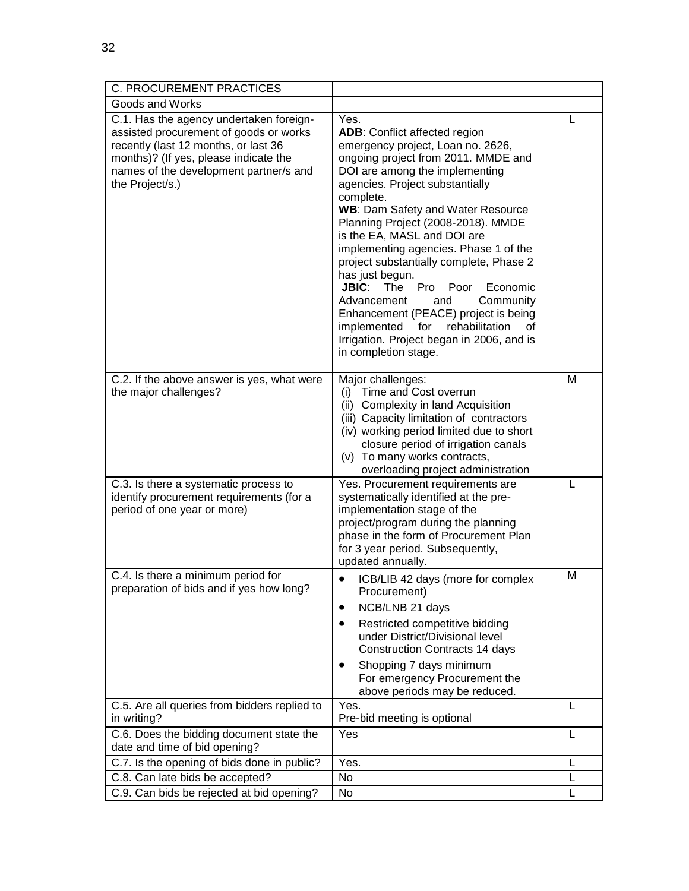| <b>C. PROCUREMENT PRACTICES</b>                                                                                                                                                                                                 |                                                                                                                                                                                                                                                                                                                                                                                                                                                                                                                                                                                                                                                                                    |   |
|---------------------------------------------------------------------------------------------------------------------------------------------------------------------------------------------------------------------------------|------------------------------------------------------------------------------------------------------------------------------------------------------------------------------------------------------------------------------------------------------------------------------------------------------------------------------------------------------------------------------------------------------------------------------------------------------------------------------------------------------------------------------------------------------------------------------------------------------------------------------------------------------------------------------------|---|
| Goods and Works                                                                                                                                                                                                                 |                                                                                                                                                                                                                                                                                                                                                                                                                                                                                                                                                                                                                                                                                    |   |
| C.1. Has the agency undertaken foreign-<br>assisted procurement of goods or works<br>recently (last 12 months, or last 36<br>months)? (If yes, please indicate the<br>names of the development partner/s and<br>the Project/s.) | Yes.<br><b>ADB:</b> Conflict affected region<br>emergency project, Loan no. 2626,<br>ongoing project from 2011. MMDE and<br>DOI are among the implementing<br>agencies. Project substantially<br>complete.<br><b>WB: Dam Safety and Water Resource</b><br>Planning Project (2008-2018). MMDE<br>is the EA, MASL and DOI are<br>implementing agencies. Phase 1 of the<br>project substantially complete, Phase 2<br>has just begun.<br><b>JBIC:</b><br>The<br>Pro<br>Poor<br>Economic<br>Community<br>Advancement<br>and<br>Enhancement (PEACE) project is being<br>implemented<br>rehabilitation<br>for<br>οf<br>Irrigation. Project began in 2006, and is<br>in completion stage. | L |
| C.2. If the above answer is yes, what were<br>the major challenges?                                                                                                                                                             | Major challenges:<br>Time and Cost overrun<br>(i)<br>(ii) Complexity in land Acquisition<br>(iii) Capacity limitation of contractors<br>(iv) working period limited due to short<br>closure period of irrigation canals<br>(v) To many works contracts,<br>overloading project administration                                                                                                                                                                                                                                                                                                                                                                                      | м |
| C.3. Is there a systematic process to<br>identify procurement requirements (for a<br>period of one year or more)                                                                                                                | Yes. Procurement requirements are<br>systematically identified at the pre-<br>implementation stage of the<br>project/program during the planning<br>phase in the form of Procurement Plan<br>for 3 year period. Subsequently,<br>updated annually.                                                                                                                                                                                                                                                                                                                                                                                                                                 |   |
| C.4. Is there a minimum period for<br>preparation of bids and if yes how long?                                                                                                                                                  | ICB/LIB 42 days (more for complex<br>$\bullet$<br>Procurement)<br>NCB/LNB 21 days<br>Restricted competitive bidding<br>٠<br>under District/Divisional level<br><b>Construction Contracts 14 days</b><br>Shopping 7 days minimum<br>٠<br>For emergency Procurement the<br>above periods may be reduced.                                                                                                                                                                                                                                                                                                                                                                             | M |
| C.5. Are all queries from bidders replied to<br>in writing?                                                                                                                                                                     | Yes.<br>Pre-bid meeting is optional                                                                                                                                                                                                                                                                                                                                                                                                                                                                                                                                                                                                                                                | L |
| C.6. Does the bidding document state the<br>date and time of bid opening?                                                                                                                                                       | Yes                                                                                                                                                                                                                                                                                                                                                                                                                                                                                                                                                                                                                                                                                | L |
| C.7. Is the opening of bids done in public?                                                                                                                                                                                     | Yes.                                                                                                                                                                                                                                                                                                                                                                                                                                                                                                                                                                                                                                                                               | L |
| C.8. Can late bids be accepted?                                                                                                                                                                                                 | No                                                                                                                                                                                                                                                                                                                                                                                                                                                                                                                                                                                                                                                                                 | L |
| C.9. Can bids be rejected at bid opening?                                                                                                                                                                                       | No                                                                                                                                                                                                                                                                                                                                                                                                                                                                                                                                                                                                                                                                                 | L |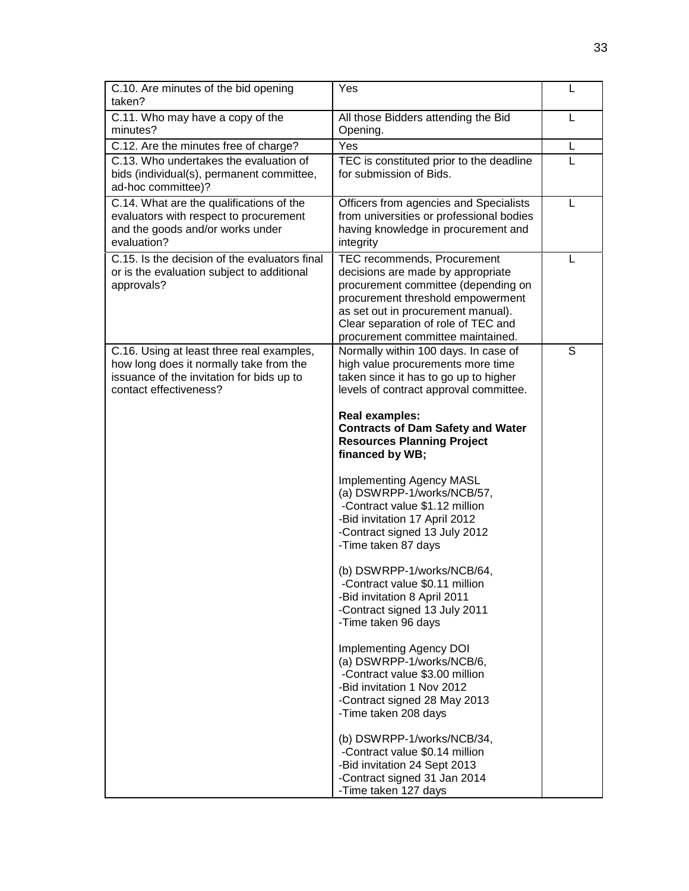| C.10. Are minutes of the bid opening<br>taken?                                                                                                              | Yes                                                                                                                                                                                                                                                                                                                                                                                                                                                                                                                                                                                                                                                                                                                                                                                                                                                                                                                                                                                   | L |
|-------------------------------------------------------------------------------------------------------------------------------------------------------------|---------------------------------------------------------------------------------------------------------------------------------------------------------------------------------------------------------------------------------------------------------------------------------------------------------------------------------------------------------------------------------------------------------------------------------------------------------------------------------------------------------------------------------------------------------------------------------------------------------------------------------------------------------------------------------------------------------------------------------------------------------------------------------------------------------------------------------------------------------------------------------------------------------------------------------------------------------------------------------------|---|
| C.11. Who may have a copy of the<br>minutes?                                                                                                                | All those Bidders attending the Bid<br>Opening.                                                                                                                                                                                                                                                                                                                                                                                                                                                                                                                                                                                                                                                                                                                                                                                                                                                                                                                                       | L |
| C.12. Are the minutes free of charge?                                                                                                                       | Yes                                                                                                                                                                                                                                                                                                                                                                                                                                                                                                                                                                                                                                                                                                                                                                                                                                                                                                                                                                                   | L |
| C.13. Who undertakes the evaluation of<br>bids (individual(s), permanent committee,<br>ad-hoc committee)?                                                   | TEC is constituted prior to the deadline<br>for submission of Bids.                                                                                                                                                                                                                                                                                                                                                                                                                                                                                                                                                                                                                                                                                                                                                                                                                                                                                                                   | L |
| C.14. What are the qualifications of the<br>evaluators with respect to procurement<br>and the goods and/or works under<br>evaluation?                       | Officers from agencies and Specialists<br>from universities or professional bodies<br>having knowledge in procurement and<br>integrity                                                                                                                                                                                                                                                                                                                                                                                                                                                                                                                                                                                                                                                                                                                                                                                                                                                | L |
| C.15. Is the decision of the evaluators final<br>or is the evaluation subject to additional<br>approvals?                                                   | TEC recommends, Procurement<br>decisions are made by appropriate<br>procurement committee (depending on<br>procurement threshold empowerment<br>as set out in procurement manual).<br>Clear separation of role of TEC and<br>procurement committee maintained.                                                                                                                                                                                                                                                                                                                                                                                                                                                                                                                                                                                                                                                                                                                        | L |
| C.16. Using at least three real examples,<br>how long does it normally take from the<br>issuance of the invitation for bids up to<br>contact effectiveness? | Normally within 100 days. In case of<br>high value procurements more time<br>taken since it has to go up to higher<br>levels of contract approval committee.<br><b>Real examples:</b><br><b>Contracts of Dam Safety and Water</b><br><b>Resources Planning Project</b><br>financed by WB;<br><b>Implementing Agency MASL</b><br>(a) DSWRPP-1/works/NCB/57,<br>-Contract value \$1.12 million<br>-Bid invitation 17 April 2012<br>-Contract signed 13 July 2012<br>-Time taken 87 days<br>(b) DSWRPP-1/works/NCB/64,<br>-Contract value \$0.11 million<br>-Bid invitation 8 April 2011<br>-Contract signed 13 July 2011<br>-Time taken 96 days<br>Implementing Agency DOI<br>(a) DSWRPP-1/works/NCB/6,<br>-Contract value \$3.00 million<br>-Bid invitation 1 Nov 2012<br>-Contract signed 28 May 2013<br>-Time taken 208 days<br>(b) DSWRPP-1/works/NCB/34,<br>-Contract value \$0.14 million<br>-Bid invitation 24 Sept 2013<br>-Contract signed 31 Jan 2014<br>-Time taken 127 days | S |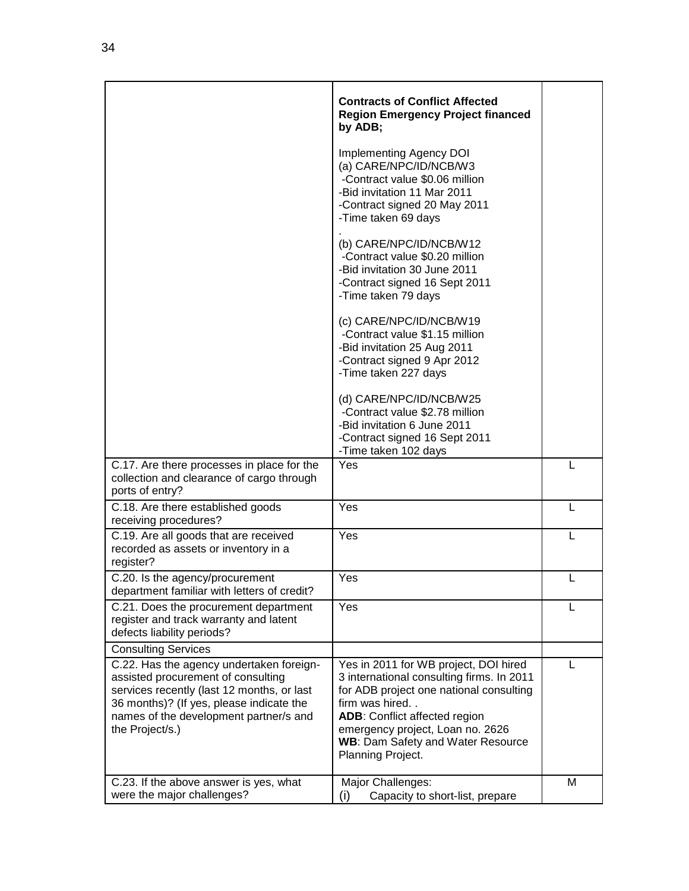|                                                                                                                                                                                                                                       | <b>Contracts of Conflict Affected</b><br><b>Region Emergency Project financed</b><br>by ADB;<br>Implementing Agency DOI<br>(a) CARE/NPC/ID/NCB/W3<br>-Contract value \$0.06 million<br>-Bid invitation 11 Mar 2011<br>-Contract signed 20 May 2011<br>-Time taken 69 days<br>(b) CARE/NPC/ID/NCB/W12<br>-Contract value \$0.20 million<br>-Bid invitation 30 June 2011<br>-Contract signed 16 Sept 2011<br>-Time taken 79 days<br>(c) CARE/NPC/ID/NCB/W19<br>-Contract value \$1.15 million<br>-Bid invitation 25 Aug 2011<br>-Contract signed 9 Apr 2012<br>-Time taken 227 days<br>(d) CARE/NPC/ID/NCB/W25<br>-Contract value \$2.78 million<br>-Bid invitation 6 June 2011<br>-Contract signed 16 Sept 2011<br>-Time taken 102 days |   |
|---------------------------------------------------------------------------------------------------------------------------------------------------------------------------------------------------------------------------------------|----------------------------------------------------------------------------------------------------------------------------------------------------------------------------------------------------------------------------------------------------------------------------------------------------------------------------------------------------------------------------------------------------------------------------------------------------------------------------------------------------------------------------------------------------------------------------------------------------------------------------------------------------------------------------------------------------------------------------------------|---|
| C.17. Are there processes in place for the<br>collection and clearance of cargo through<br>ports of entry?                                                                                                                            | Yes                                                                                                                                                                                                                                                                                                                                                                                                                                                                                                                                                                                                                                                                                                                                    | L |
| C.18. Are there established goods<br>receiving procedures?                                                                                                                                                                            | Yes                                                                                                                                                                                                                                                                                                                                                                                                                                                                                                                                                                                                                                                                                                                                    | L |
| C.19. Are all goods that are received<br>recorded as assets or inventory in a<br>register?                                                                                                                                            | Yes                                                                                                                                                                                                                                                                                                                                                                                                                                                                                                                                                                                                                                                                                                                                    | L |
| C.20. Is the agency/procurement<br>department familiar with letters of credit?                                                                                                                                                        | Yes                                                                                                                                                                                                                                                                                                                                                                                                                                                                                                                                                                                                                                                                                                                                    | L |
| C.21. Does the procurement department<br>register and track warranty and latent<br>defects liability periods?                                                                                                                         | Yes                                                                                                                                                                                                                                                                                                                                                                                                                                                                                                                                                                                                                                                                                                                                    |   |
| <b>Consulting Services</b>                                                                                                                                                                                                            |                                                                                                                                                                                                                                                                                                                                                                                                                                                                                                                                                                                                                                                                                                                                        |   |
| C.22. Has the agency undertaken foreign-<br>assisted procurement of consulting<br>services recently (last 12 months, or last<br>36 months)? (If yes, please indicate the<br>names of the development partner/s and<br>the Project/s.) | Yes in 2011 for WB project, DOI hired<br>3 international consulting firms. In 2011<br>for ADB project one national consulting<br>firm was hired<br><b>ADB:</b> Conflict affected region<br>emergency project, Loan no. 2626<br><b>WB: Dam Safety and Water Resource</b><br>Planning Project.                                                                                                                                                                                                                                                                                                                                                                                                                                           | L |
| C.23. If the above answer is yes, what<br>were the major challenges?                                                                                                                                                                  | Major Challenges:<br>Capacity to short-list, prepare<br>$\mathbf{(i)}$                                                                                                                                                                                                                                                                                                                                                                                                                                                                                                                                                                                                                                                                 | M |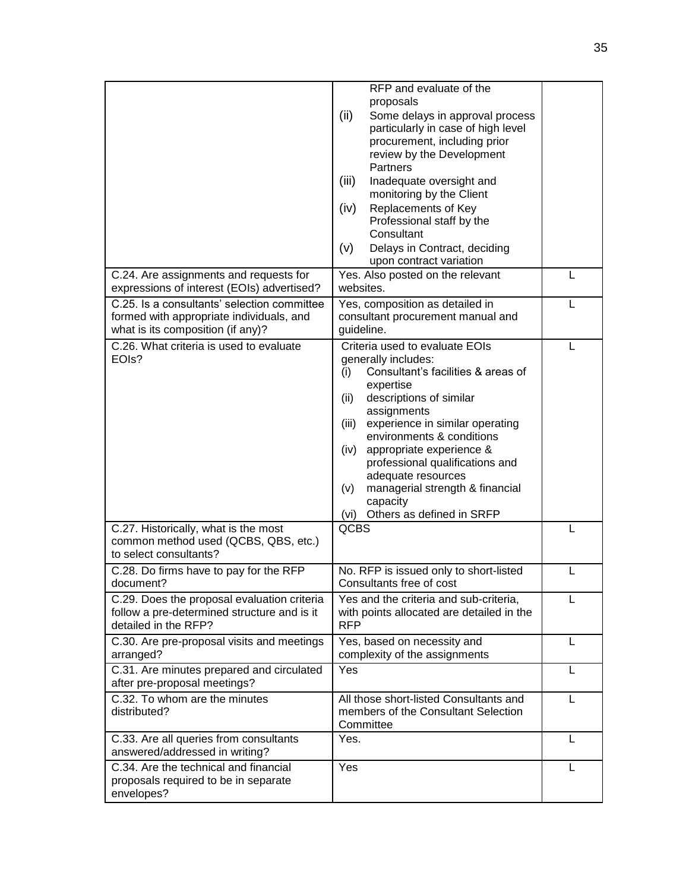|                                                                                                                              | RFP and evaluate of the<br>proposals<br>(ii)<br>Some delays in approval process<br>particularly in case of high level<br>procurement, including prior<br>review by the Development<br>Partners<br>(iii)<br>Inadequate oversight and<br>monitoring by the Client                                                                                                                                                                    |   |
|------------------------------------------------------------------------------------------------------------------------------|------------------------------------------------------------------------------------------------------------------------------------------------------------------------------------------------------------------------------------------------------------------------------------------------------------------------------------------------------------------------------------------------------------------------------------|---|
|                                                                                                                              | (iv)<br>Replacements of Key<br>Professional staff by the<br>Consultant<br>(v)<br>Delays in Contract, deciding                                                                                                                                                                                                                                                                                                                      |   |
|                                                                                                                              | upon contract variation                                                                                                                                                                                                                                                                                                                                                                                                            |   |
| C.24. Are assignments and requests for<br>expressions of interest (EOIs) advertised?                                         | Yes. Also posted on the relevant<br>websites.                                                                                                                                                                                                                                                                                                                                                                                      | L |
| C.25. Is a consultants' selection committee<br>formed with appropriate individuals, and<br>what is its composition (if any)? | Yes, composition as detailed in<br>consultant procurement manual and<br>guideline.                                                                                                                                                                                                                                                                                                                                                 | L |
| C.26. What criteria is used to evaluate<br>EOIs?                                                                             | Criteria used to evaluate EOIs<br>generally includes:<br>Consultant's facilities & areas of<br>(i)<br>expertise<br>descriptions of similar<br>(ii)<br>assignments<br>experience in similar operating<br>(iii)<br>environments & conditions<br>appropriate experience &<br>(iv)<br>professional qualifications and<br>adequate resources<br>managerial strength & financial<br>(v)<br>capacity<br>Others as defined in SRFP<br>(vi) | L |
| C.27. Historically, what is the most<br>common method used (QCBS, QBS, etc.)<br>to select consultants?                       | <b>QCBS</b>                                                                                                                                                                                                                                                                                                                                                                                                                        | L |
| C.28. Do firms have to pay for the RFP<br>document?                                                                          | No. RFP is issued only to short-listed<br>Consultants free of cost                                                                                                                                                                                                                                                                                                                                                                 | L |
| C.29. Does the proposal evaluation criteria<br>follow a pre-determined structure and is it<br>detailed in the RFP?           | Yes and the criteria and sub-criteria,<br>with points allocated are detailed in the<br><b>RFP</b>                                                                                                                                                                                                                                                                                                                                  |   |
| C.30. Are pre-proposal visits and meetings<br>arranged?                                                                      | Yes, based on necessity and<br>complexity of the assignments                                                                                                                                                                                                                                                                                                                                                                       | L |
| C.31. Are minutes prepared and circulated<br>after pre-proposal meetings?                                                    | Yes                                                                                                                                                                                                                                                                                                                                                                                                                                | L |
| C.32. To whom are the minutes<br>distributed?                                                                                | All those short-listed Consultants and<br>members of the Consultant Selection<br>Committee                                                                                                                                                                                                                                                                                                                                         | L |
| C.33. Are all queries from consultants<br>answered/addressed in writing?                                                     | Yes.                                                                                                                                                                                                                                                                                                                                                                                                                               | L |
| C.34. Are the technical and financial<br>proposals required to be in separate<br>envelopes?                                  | Yes                                                                                                                                                                                                                                                                                                                                                                                                                                | L |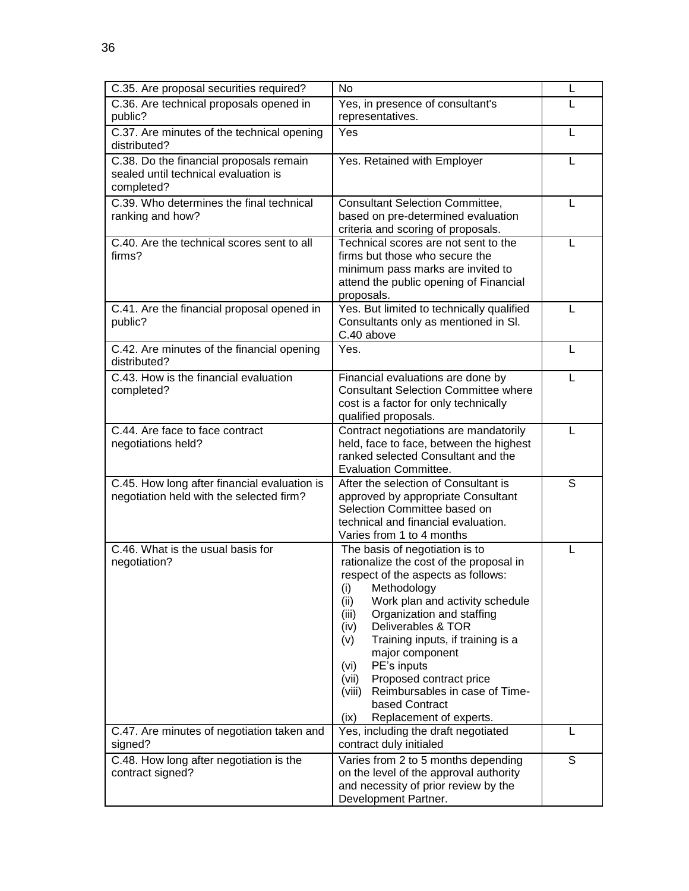| C.35. Are proposal securities required?                                                       | <b>No</b>                                                                                                                                                                                                                                                                                                                                                                                                                                                                    | L |
|-----------------------------------------------------------------------------------------------|------------------------------------------------------------------------------------------------------------------------------------------------------------------------------------------------------------------------------------------------------------------------------------------------------------------------------------------------------------------------------------------------------------------------------------------------------------------------------|---|
| C.36. Are technical proposals opened in<br>public?                                            | Yes, in presence of consultant's<br>representatives.                                                                                                                                                                                                                                                                                                                                                                                                                         | L |
| C.37. Are minutes of the technical opening<br>distributed?                                    | Yes                                                                                                                                                                                                                                                                                                                                                                                                                                                                          | L |
| C.38. Do the financial proposals remain<br>sealed until technical evaluation is<br>completed? | Yes. Retained with Employer                                                                                                                                                                                                                                                                                                                                                                                                                                                  | L |
| C.39. Who determines the final technical<br>ranking and how?                                  | <b>Consultant Selection Committee,</b><br>based on pre-determined evaluation<br>criteria and scoring of proposals.                                                                                                                                                                                                                                                                                                                                                           | L |
| C.40. Are the technical scores sent to all<br>firms?                                          | Technical scores are not sent to the<br>firms but those who secure the<br>minimum pass marks are invited to<br>attend the public opening of Financial<br>proposals.                                                                                                                                                                                                                                                                                                          | L |
| C.41. Are the financial proposal opened in<br>public?                                         | Yes. But limited to technically qualified<br>Consultants only as mentioned in SI.<br>C.40 above                                                                                                                                                                                                                                                                                                                                                                              | L |
| C.42. Are minutes of the financial opening<br>distributed?                                    | Yes.                                                                                                                                                                                                                                                                                                                                                                                                                                                                         | L |
| C.43. How is the financial evaluation<br>completed?                                           | Financial evaluations are done by<br><b>Consultant Selection Committee where</b><br>cost is a factor for only technically<br>qualified proposals.                                                                                                                                                                                                                                                                                                                            | L |
| C.44. Are face to face contract<br>negotiations held?                                         | Contract negotiations are mandatorily<br>held, face to face, between the highest<br>ranked selected Consultant and the<br><b>Evaluation Committee.</b>                                                                                                                                                                                                                                                                                                                       | L |
| C.45. How long after financial evaluation is<br>negotiation held with the selected firm?      | After the selection of Consultant is<br>approved by appropriate Consultant<br>Selection Committee based on<br>technical and financial evaluation.<br>Varies from 1 to 4 months                                                                                                                                                                                                                                                                                               | S |
| C.46. What is the usual basis for<br>negotiation?                                             | The basis of negotiation is to<br>rationalize the cost of the proposal in<br>respect of the aspects as follows:<br>(i) Methodology<br>Work plan and activity schedule<br>(ii)<br>Organization and staffing<br>(iii)<br>Deliverables & TOR<br>(iv)<br>Training inputs, if training is a<br>(v)<br>major component<br>PE's inputs<br>(vi)<br>Proposed contract price<br>(vii)<br>Reimbursables in case of Time-<br>(viii)<br>based Contract<br>Replacement of experts.<br>(ix) | L |
| C.47. Are minutes of negotiation taken and<br>signed?                                         | Yes, including the draft negotiated<br>contract duly initialed                                                                                                                                                                                                                                                                                                                                                                                                               | L |
| C.48. How long after negotiation is the<br>contract signed?                                   | Varies from 2 to 5 months depending<br>on the level of the approval authority<br>and necessity of prior review by the<br>Development Partner.                                                                                                                                                                                                                                                                                                                                | S |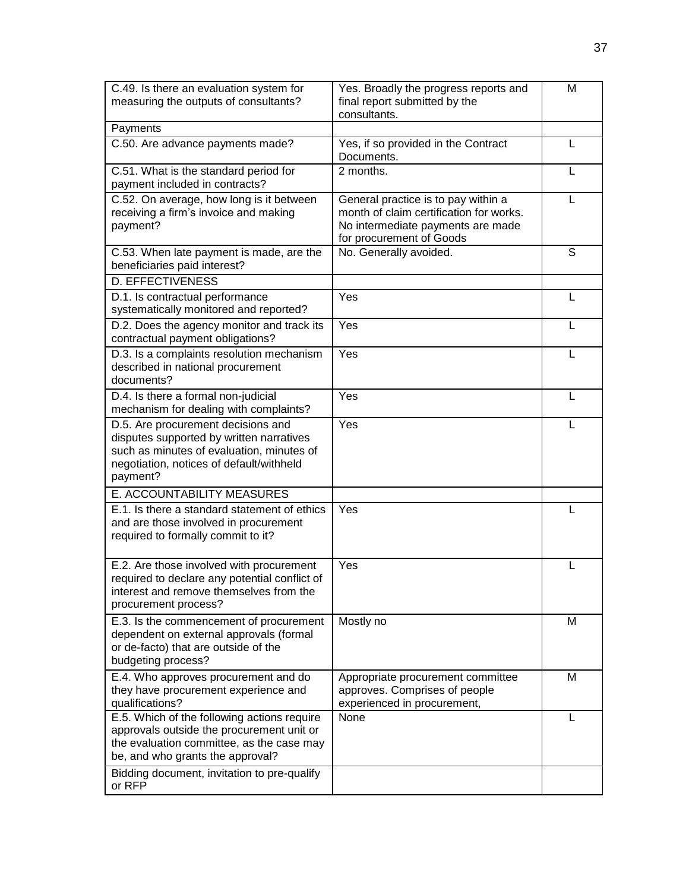| C.49. Is there an evaluation system for<br>measuring the outputs of consultants?                                                                                                    | Yes. Broadly the progress reports and<br>final report submitted by the<br>consultants.                                                          | M |
|-------------------------------------------------------------------------------------------------------------------------------------------------------------------------------------|-------------------------------------------------------------------------------------------------------------------------------------------------|---|
| Payments                                                                                                                                                                            |                                                                                                                                                 |   |
| C.50. Are advance payments made?                                                                                                                                                    | Yes, if so provided in the Contract<br>Documents.                                                                                               |   |
| C.51. What is the standard period for<br>payment included in contracts?                                                                                                             | 2 months.                                                                                                                                       |   |
| C.52. On average, how long is it between<br>receiving a firm's invoice and making<br>payment?                                                                                       | General practice is to pay within a<br>month of claim certification for works.<br>No intermediate payments are made<br>for procurement of Goods | L |
| C.53. When late payment is made, are the<br>beneficiaries paid interest?                                                                                                            | No. Generally avoided.                                                                                                                          | S |
| <b>D. EFFECTIVENESS</b>                                                                                                                                                             |                                                                                                                                                 |   |
| D.1. Is contractual performance<br>systematically monitored and reported?                                                                                                           | Yes                                                                                                                                             | L |
| D.2. Does the agency monitor and track its<br>contractual payment obligations?                                                                                                      | Yes                                                                                                                                             | L |
| D.3. Is a complaints resolution mechanism<br>described in national procurement<br>documents?                                                                                        | Yes                                                                                                                                             |   |
| D.4. Is there a formal non-judicial<br>mechanism for dealing with complaints?                                                                                                       | Yes                                                                                                                                             | L |
| D.5. Are procurement decisions and<br>disputes supported by written narratives<br>such as minutes of evaluation, minutes of<br>negotiation, notices of default/withheld<br>payment? | Yes                                                                                                                                             |   |
| E. ACCOUNTABILITY MEASURES                                                                                                                                                          |                                                                                                                                                 |   |
| E.1. Is there a standard statement of ethics<br>and are those involved in procurement<br>required to formally commit to it?                                                         | Yes                                                                                                                                             |   |
| E.2. Are those involved with procurement<br>required to declare any potential conflict of<br>interest and remove themselves from the<br>procurement process?                        | Yes                                                                                                                                             |   |
| E.3. Is the commencement of procurement<br>dependent on external approvals (formal<br>or de-facto) that are outside of the<br>budgeting process?                                    | Mostly no                                                                                                                                       | м |
| E.4. Who approves procurement and do<br>they have procurement experience and<br>qualifications?                                                                                     | Appropriate procurement committee<br>approves. Comprises of people<br>experienced in procurement,                                               | M |
| E.5. Which of the following actions require<br>approvals outside the procurement unit or<br>the evaluation committee, as the case may<br>be, and who grants the approval?           | None                                                                                                                                            |   |
| Bidding document, invitation to pre-qualify<br>or RFP                                                                                                                               |                                                                                                                                                 |   |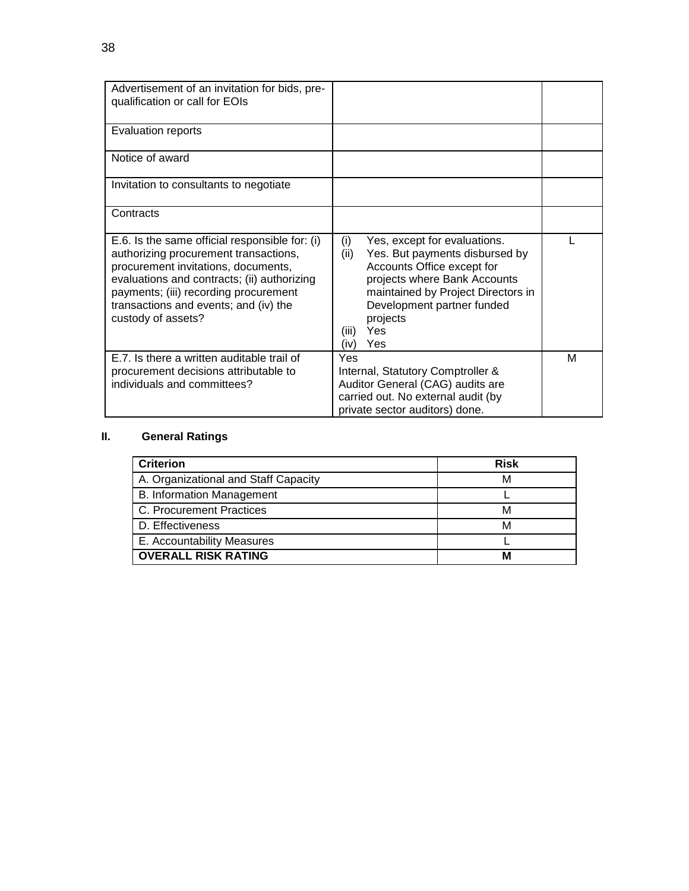| Advertisement of an invitation for bids, pre-<br>qualification or call for EOIs                                                                                                                                                                                                       |                                                                                                                                                                                                                                                            |   |
|---------------------------------------------------------------------------------------------------------------------------------------------------------------------------------------------------------------------------------------------------------------------------------------|------------------------------------------------------------------------------------------------------------------------------------------------------------------------------------------------------------------------------------------------------------|---|
| <b>Evaluation reports</b>                                                                                                                                                                                                                                                             |                                                                                                                                                                                                                                                            |   |
| Notice of award                                                                                                                                                                                                                                                                       |                                                                                                                                                                                                                                                            |   |
| Invitation to consultants to negotiate                                                                                                                                                                                                                                                |                                                                                                                                                                                                                                                            |   |
| Contracts                                                                                                                                                                                                                                                                             |                                                                                                                                                                                                                                                            |   |
| E.6. Is the same official responsible for: (i)<br>authorizing procurement transactions,<br>procurement invitations, documents,<br>evaluations and contracts; (ii) authorizing<br>payments; (iii) recording procurement<br>transactions and events; and (iv) the<br>custody of assets? | (i)<br>Yes, except for evaluations.<br>Yes. But payments disbursed by<br>(ii)<br>Accounts Office except for<br>projects where Bank Accounts<br>maintained by Project Directors in<br>Development partner funded<br>projects<br>Yes<br>(iii)<br>Yes<br>(iv) |   |
| E.7. Is there a written auditable trail of<br>procurement decisions attributable to<br>individuals and committees?                                                                                                                                                                    | Yes<br>Internal, Statutory Comptroller &<br>Auditor General (CAG) audits are<br>carried out. No external audit (by<br>private sector auditors) done.                                                                                                       | М |

# **II. General Ratings**

| <b>Criterion</b>                     | <b>Risk</b> |
|--------------------------------------|-------------|
| A. Organizational and Staff Capacity | м           |
| <b>B. Information Management</b>     |             |
| C. Procurement Practices             | М           |
| D. Effectiveness                     | М           |
| E. Accountability Measures           |             |
| <b>OVERALL RISK RATING</b>           | N           |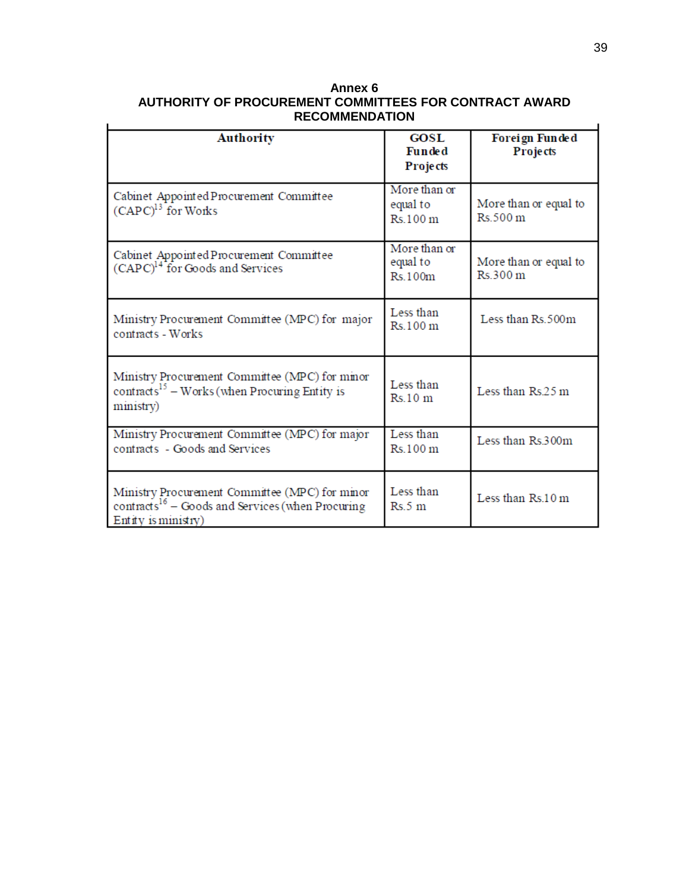| Annex 6                                                |
|--------------------------------------------------------|
| AUTHORITY OF PROCUREMENT COMMITTEES FOR CONTRACT AWARD |
| <b>RECOMMENDATION</b>                                  |

| <b>Authority</b>                                                                                                                        | <b>GOSL</b><br><b>Funded</b><br><b>Projects</b> | Foreign Funded<br><b>Projects</b> |  |
|-----------------------------------------------------------------------------------------------------------------------------------------|-------------------------------------------------|-----------------------------------|--|
| Cabinet Appointed Procurement Committee<br>$(CAPC)^{13}$ for Works                                                                      | More than or<br>equal to<br>Rs.100 m            | More than or equal to<br>Rs.500 m |  |
| Cabinet Appointed Procurement Committee<br>(CAPC) <sup>14</sup> for Goods and Services                                                  | More than or<br>equal to<br>Rs.100m             | More than or equal to<br>Rs.300 m |  |
| Ministry Procurement Committee (MPC) for major<br>contracts - Works                                                                     | Less than<br>Rs.100 m                           | Less than Rs.500m                 |  |
| Ministry Procurement Committee (MPC) for minor<br>contracts <sup>15</sup> – Works (when Procuring Entity is<br>ministry)                | Less than<br>Rs.10 m                            | Less than Rs.25 m                 |  |
| Ministry Procurement Committee (MPC) for major<br>contracts - Goods and Services                                                        | Less than<br>Rs.100 m                           | Less than Rs.300m                 |  |
| Ministry Procurement Committee (MPC) for minor<br>contracts <sup>16</sup> – Goods and Services (when Procuring<br>$Entity$ is ministry) | Less than<br>Rs.5 m                             | Less than $Rs.10 \text{ m}$       |  |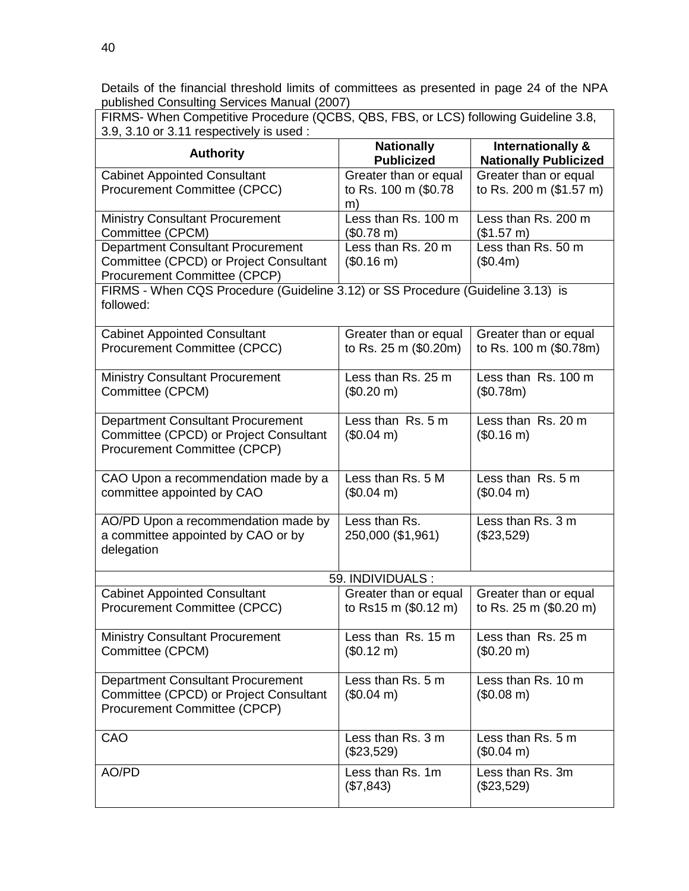Details of the financial threshold limits of committees as presented in page 24 of the NPA published Consulting Services Manual (2007)

| FIRMS- When Competitive Procedure (QCBS, QBS, FBS, or LCS) following Guideline 3.8, |  |
|-------------------------------------------------------------------------------------|--|
| 3.9, 3.10 or 3.11 respectively is used :                                            |  |

| 3.9, 3.10 or 3.11 respectively is used :                                                                                  |                                                     |                                                   |  |
|---------------------------------------------------------------------------------------------------------------------------|-----------------------------------------------------|---------------------------------------------------|--|
| <b>Authority</b>                                                                                                          | <b>Nationally</b><br><b>Publicized</b>              | Internationally &<br><b>Nationally Publicized</b> |  |
| <b>Cabinet Appointed Consultant</b><br><b>Procurement Committee (CPCC)</b>                                                | Greater than or equal<br>to Rs. 100 m (\$0.78<br>m) | Greater than or equal<br>to Rs. 200 m (\$1.57 m)  |  |
| <b>Ministry Consultant Procurement</b><br>Committee (CPCM)                                                                | Less than Rs. 100 m<br>$($0.78 \text{ m})$          | Less than Rs. 200 m<br>(\$1.57 m)                 |  |
| <b>Department Consultant Procurement</b><br>Committee (CPCD) or Project Consultant<br>Procurement Committee (CPCP)        | Less than Rs. 20 m<br>$($0.16 \text{ m})$           | Less than Rs. 50 m<br>(\$0.4m)                    |  |
| FIRMS - When CQS Procedure (Guideline 3.12) or SS Procedure (Guideline 3.13) is<br>followed:                              |                                                     |                                                   |  |
| <b>Cabinet Appointed Consultant</b><br><b>Procurement Committee (CPCC)</b>                                                | Greater than or equal<br>to Rs. 25 m (\$0.20m)      | Greater than or equal<br>to Rs. 100 m (\$0.78m)   |  |
| <b>Ministry Consultant Procurement</b><br>Committee (CPCM)                                                                | Less than Rs. 25 m<br>$($0.20 \text{ m})$           | Less than Rs. 100 m<br>(\$0.78m)                  |  |
| <b>Department Consultant Procurement</b><br>Committee (CPCD) or Project Consultant<br>Procurement Committee (CPCP)        | Less than Rs. 5 m<br>$($0.04 \text{ m})$            | Less than Rs. 20 m<br>(\$0.16 m)                  |  |
| CAO Upon a recommendation made by a<br>committee appointed by CAO                                                         | Less than Rs. 5 M<br>$($0.04 \text{ m})$            | Less than Rs. 5 m<br>$($0.04 \text{ m})$          |  |
| AO/PD Upon a recommendation made by<br>a committee appointed by CAO or by<br>delegation                                   | Less than Rs.<br>250,000 (\$1,961)                  | Less than Rs. 3 m<br>(\$23,529)                   |  |
| 59. INDIVIDUALS :                                                                                                         |                                                     |                                                   |  |
| <b>Cabinet Appointed Consultant</b><br>Procurement Committee (CPCC)                                                       | Greater than or equal<br>to Rs15 m (\$0.12 m)       | Greater than or equal<br>to Rs. 25 m (\$0.20 m)   |  |
| <b>Ministry Consultant Procurement</b><br>Committee (CPCM)                                                                | Less than Rs. 15 m<br>$($0.12 \text{ m})$           | Less than Rs. 25 m<br>(\$0.20 m)                  |  |
| <b>Department Consultant Procurement</b><br>Committee (CPCD) or Project Consultant<br><b>Procurement Committee (CPCP)</b> | Less than Rs. 5 m<br>$($0.04 \text{ m})$            | Less than Rs. 10 m<br>$($0.08 \text{ m})$         |  |
| CAO                                                                                                                       | Less than Rs. 3 m<br>(\$23,529)                     | Less than Rs. 5 m<br>$($0.04 \text{ m})$          |  |
| AO/PD                                                                                                                     | Less than Rs. 1m<br>(\$7,843)                       | Less than Rs. 3m<br>(\$23,529)                    |  |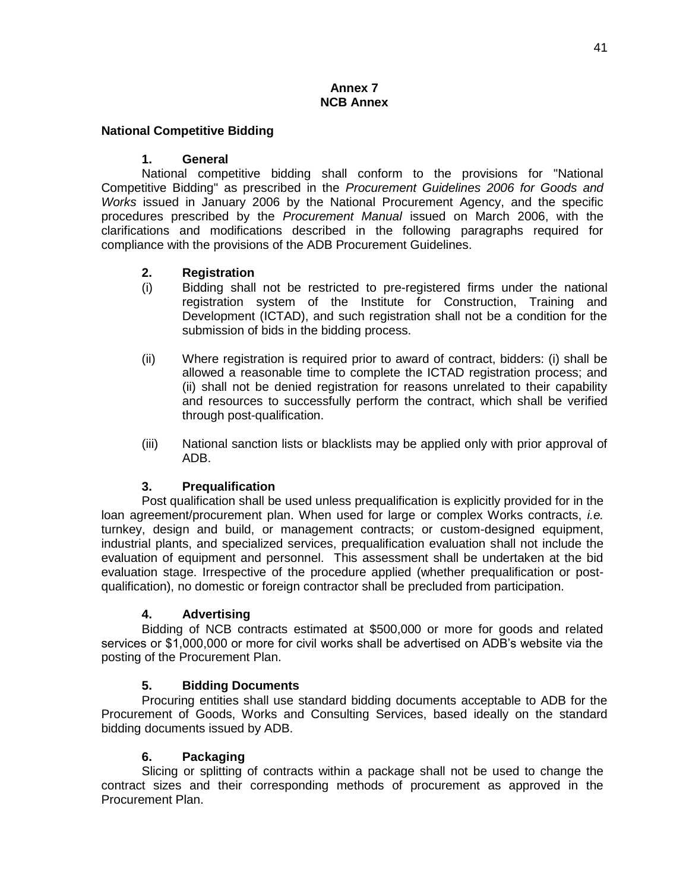#### **Annex 7 NCB Annex**

#### **National Competitive Bidding**

#### **1. General**

National competitive bidding shall conform to the provisions for "National Competitive Bidding" as prescribed in the *Procurement Guidelines 2006 for Goods and Works* issued in January 2006 by the National Procurement Agency, and the specific procedures prescribed by the *Procurement Manual* issued on March 2006, with the clarifications and modifications described in the following paragraphs required for compliance with the provisions of the ADB Procurement Guidelines.

#### **2. Registration**

- (i) Bidding shall not be restricted to pre-registered firms under the national registration system of the Institute for Construction, Training and Development (ICTAD), and such registration shall not be a condition for the submission of bids in the bidding process.
- (ii) Where registration is required prior to award of contract, bidders: (i) shall be allowed a reasonable time to complete the ICTAD registration process; and (ii) shall not be denied registration for reasons unrelated to their capability and resources to successfully perform the contract, which shall be verified through post-qualification.
- (iii) National sanction lists or blacklists may be applied only with prior approval of ADB.

#### **3. Prequalification**

Post qualification shall be used unless prequalification is explicitly provided for in the loan agreement/procurement plan. When used for large or complex Works contracts, *i.e.*  turnkey, design and build, or management contracts; or custom-designed equipment, industrial plants, and specialized services, prequalification evaluation shall not include the evaluation of equipment and personnel. This assessment shall be undertaken at the bid evaluation stage. Irrespective of the procedure applied (whether prequalification or postqualification), no domestic or foreign contractor shall be precluded from participation.

#### **4. Advertising**

Bidding of NCB contracts estimated at \$500,000 or more for goods and related services or \$1,000,000 or more for civil works shall be advertised on ADB's website via the posting of the Procurement Plan.

#### **5. Bidding Documents**

Procuring entities shall use standard bidding documents acceptable to ADB for the Procurement of Goods, Works and Consulting Services, based ideally on the standard bidding documents issued by ADB.

#### **6. Packaging**

Slicing or splitting of contracts within a package shall not be used to change the contract sizes and their corresponding methods of procurement as approved in the Procurement Plan.